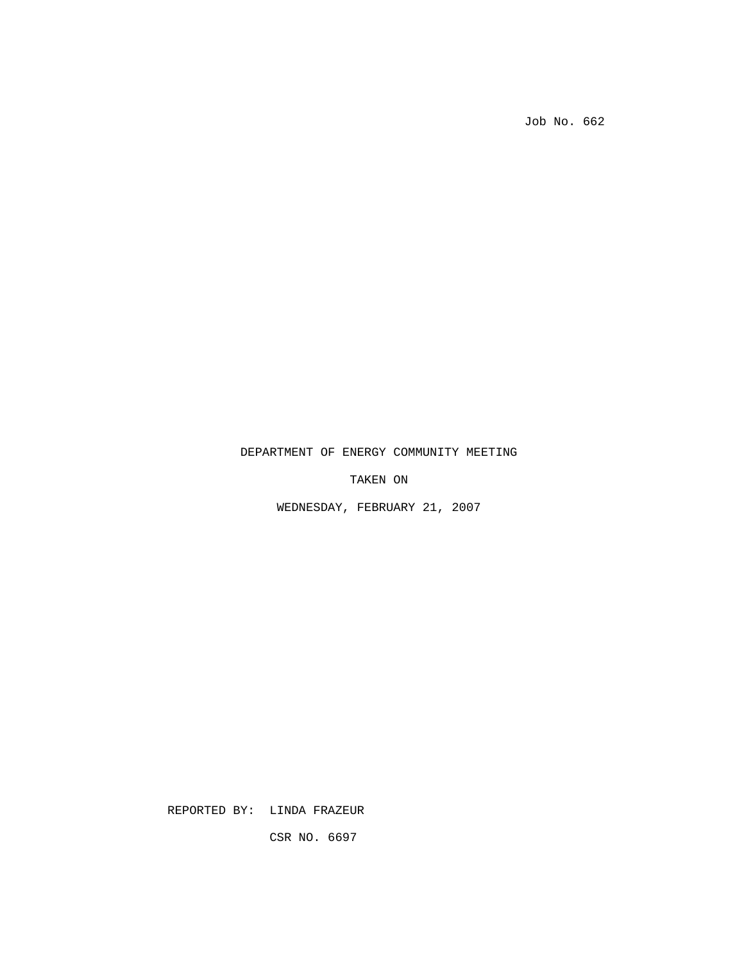Job No. 662

## DEPARTMENT OF ENERGY COMMUNITY MEETING

TAKEN ON

WEDNESDAY, FEBRUARY 21, 2007

REPORTED BY: LINDA FRAZEUR

CSR NO. 6697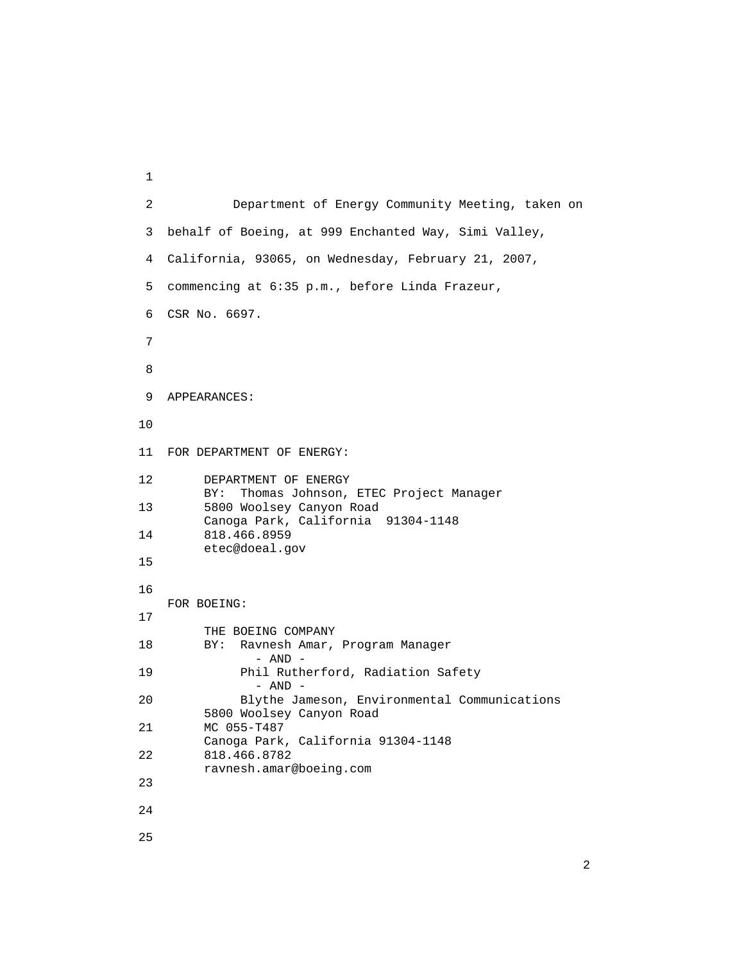```
 1 
        2 Department of Energy Community Meeting, taken on 
        3 behalf of Boeing, at 999 Enchanted Way, Simi Valley, 
        4 California, 93065, on Wednesday, February 21, 2007, 
        5 commencing at 6:35 p.m., before Linda Frazeur, 
        6 CSR No. 6697. 
7 
8 
        9 APPEARANCES: 
       10 
       11 FOR DEPARTMENT OF ENERGY: 
       12 DEPARTMENT OF ENERGY 
                BY: Thomas Johnson, ETEC Project Manager 
       13 5800 Woolsey Canyon Road 
                Canoga Park, California 91304-1148 
       14 818.466.8959 
                etec@doeal.gov 
       15 
       16 
           FOR BOEING: 
       17 
                THE BOEING COMPANY 
       18 BY: Ravnesh Amar, Program Manager 
                       - AND - 
       19 Phil Rutherford, Radiation Safety 
                       - AND - 
       20 Blythe Jameson, Environmental Communications 
                5800 Woolsey Canyon Road 
       21 MC 055-T487 
      Canoga Park, California 91304-1148<br>22 818.466.8782
               818.466.8782
                ravnesh.amar@boeing.com 
       23 
       24 
       25
```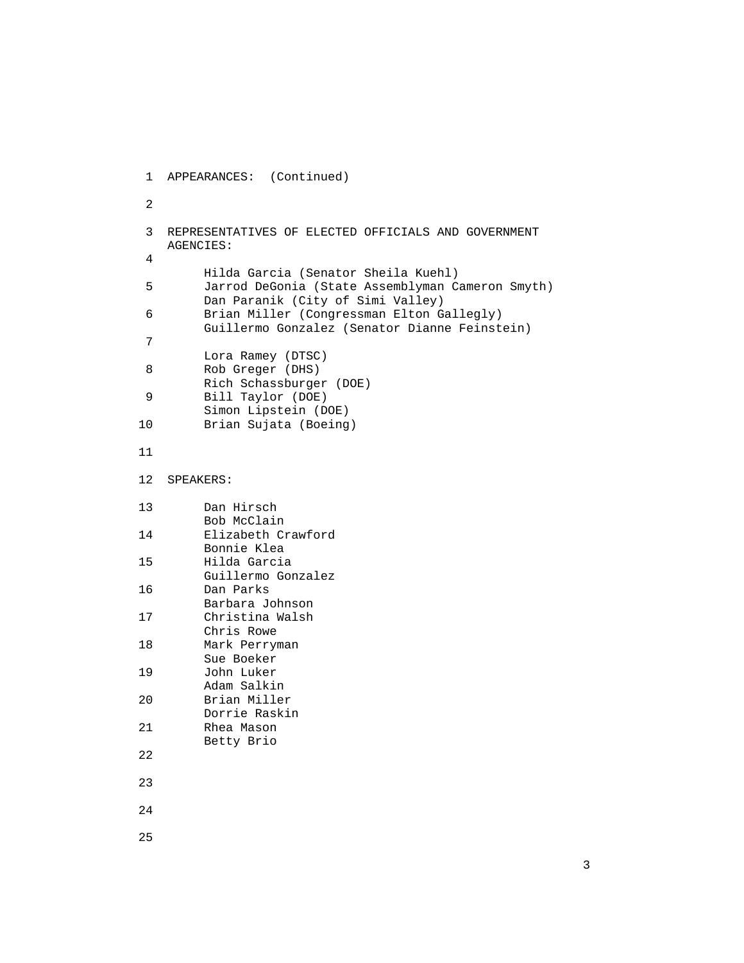```
 1 APPEARANCES: (Continued) 
2 
        3 REPRESENTATIVES OF ELECTED OFFICIALS AND GOVERNMENT 
           AGENCIES: 
4 
       Hilda Garcia (Senator Sheila Kuehl)<br>5 Jarrod DeGonia (State Assemblyman C
                5 Jarrod DeGonia (State Assemblyman Cameron Smyth) 
                Dan Paranik (City of Simi Valley) 
         6 Brian Miller (Congressman Elton Gallegly) 
         Guillermo Gonzalez (Senator Dianne Feinstein) 
7 
                Lora Ramey (DTSC) 
        8 Rob Greger (DHS) 
                Rich Schassburger (DOE) 
        9 Bill Taylor (DOE) 
                Simon Lipstein (DOE) 
       10 Brian Sujata (Boeing) 
       11 
       12 SPEAKERS: 
       13 Dan Hirsch 
                Bob McClain 
       14 Elizabeth Crawford 
                Bonnie Klea 
       15 Hilda Garcia 
                Guillermo Gonzalez 
       16 Dan Parks 
                Barbara Johnson 
       17 Christina Walsh 
                Chris Rowe 
       18 Mark Perryman 
                Sue Boeker 
       19 John Luker 
                Adam Salkin 
       20 Brian Miller 
                Dorrie Raskin 
       21 Rhea Mason 
                Betty Brio 
       22 
       23 
       24 
       25
```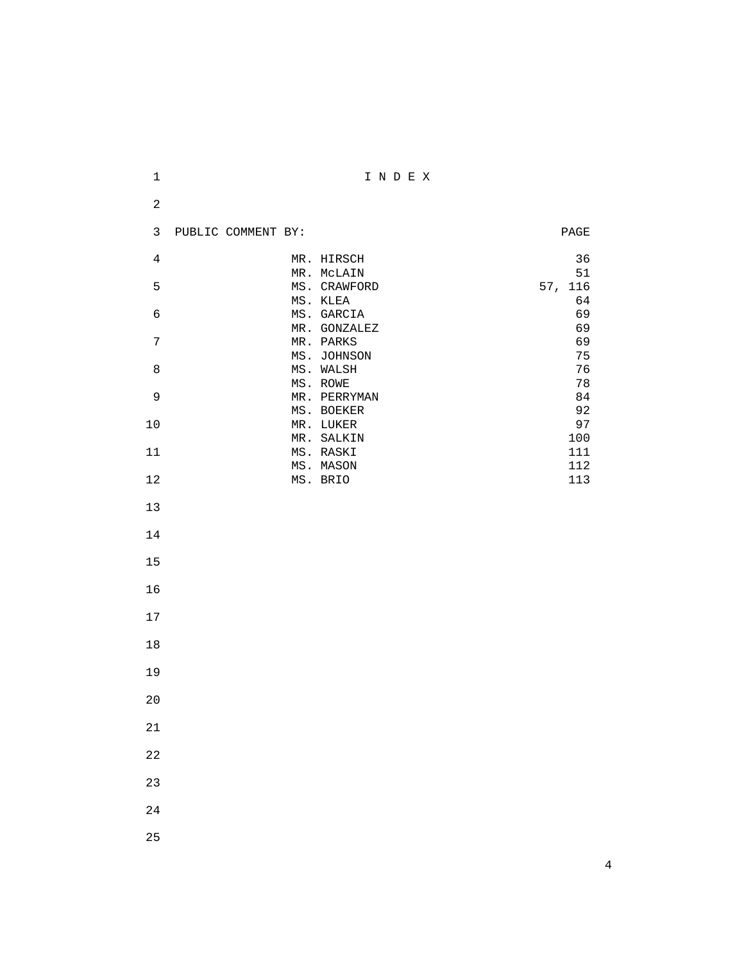| $\mathbf 1$    |                    |                           | INDEX |  |                          |
|----------------|--------------------|---------------------------|-------|--|--------------------------|
| $\sqrt{2}$     |                    |                           |       |  |                          |
| $\mathbf{3}$   | PUBLIC COMMENT BY: |                           |       |  | $\mathop{\mathtt{PAGE}}$ |
| $\overline{4}$ |                    | MR. HIRSCH                |       |  | 36                       |
|                |                    | MR. MCLAIN                |       |  | 51                       |
| 5              |                    | MS. CRAWFORD<br>MS. KLEA  |       |  | 57, 116<br>64            |
| $\epsilon$     |                    | MS. GARCIA                |       |  | 69                       |
| $\overline{7}$ |                    | MR. GONZALEZ<br>MR. PARKS |       |  | 69<br>69                 |
|                |                    | MS. JOHNSON               |       |  | 75                       |
| $\,8\,$        |                    | MS. WALSH                 |       |  | 76                       |
|                |                    | MS. ROWE                  |       |  | 78                       |
| $\mathsf 9$    |                    | MR. PERRYMAN              |       |  | 84                       |
|                |                    | MS. BOEKER                |       |  | 92                       |
| $10$           |                    | MR. LUKER<br>MR. SALKIN   |       |  | 97<br>100                |
| $11\,$         |                    | MS. RASKI                 |       |  | $111\,$                  |
|                |                    | MS. MASON                 |       |  | 112                      |
| $12\,$         |                    | MS. BRIO                  |       |  | 113                      |
|                |                    |                           |       |  |                          |
| 13             |                    |                           |       |  |                          |
| 14             |                    |                           |       |  |                          |
|                |                    |                           |       |  |                          |
| 15             |                    |                           |       |  |                          |
|                |                    |                           |       |  |                          |
| 16             |                    |                           |       |  |                          |
| $17$           |                    |                           |       |  |                          |
|                |                    |                           |       |  |                          |
| $18\,$         |                    |                           |       |  |                          |
|                |                    |                           |       |  |                          |
| 19             |                    |                           |       |  |                          |
| 20             |                    |                           |       |  |                          |
|                |                    |                           |       |  |                          |
| $21\,$         |                    |                           |       |  |                          |
| 22             |                    |                           |       |  |                          |
|                |                    |                           |       |  |                          |
| 23             |                    |                           |       |  |                          |
|                |                    |                           |       |  |                          |
| 24             |                    |                           |       |  |                          |
| 25             |                    |                           |       |  |                          |
|                |                    |                           |       |  |                          |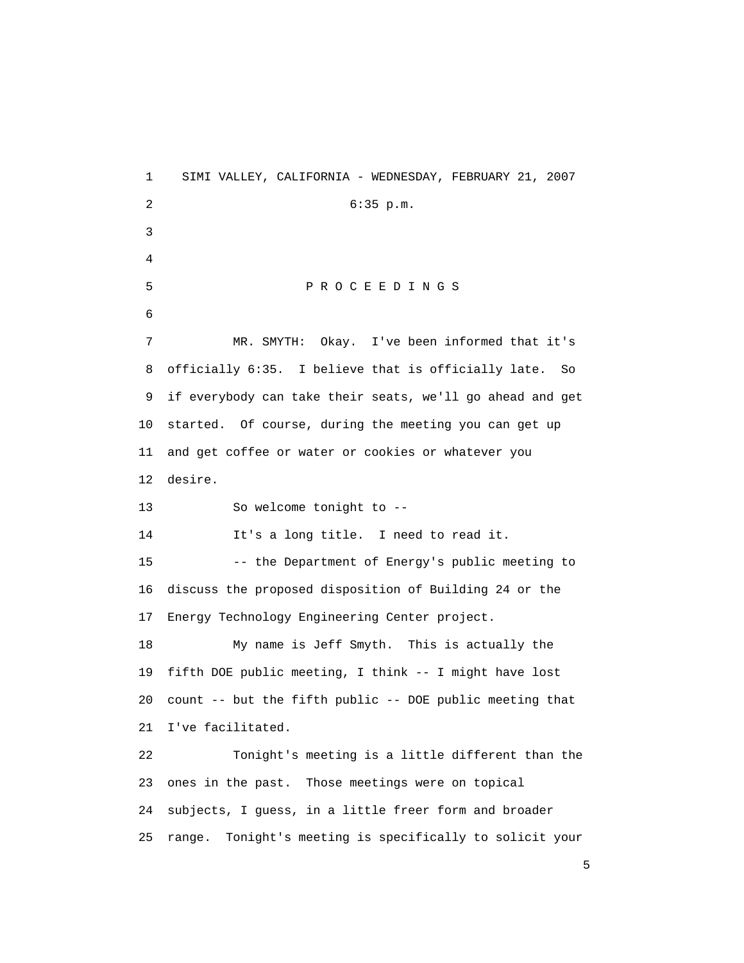1 SIMI VALLEY, CALIFORNIA - WEDNESDAY, FEBRUARY 21, 2007 2 6:35 p.m. 3 4 5 P R O C E E D I N G S 6 7 MR. SMYTH: Okay. I've been informed that it's 8 officially 6:35. I believe that is officially late. So 9 if everybody can take their seats, we'll go ahead and get 10 started. Of course, during the meeting you can get up 11 and get coffee or water or cookies or whatever you 12 desire. 13 So welcome tonight to -- 14 It's a long title. I need to read it. 15 -- the Department of Energy's public meeting to 16 discuss the proposed disposition of Building 24 or the 17 Energy Technology Engineering Center project. 18 My name is Jeff Smyth. This is actually the 19 fifth DOE public meeting, I think -- I might have lost 20 count -- but the fifth public -- DOE public meeting that 21 I've facilitated. 22 Tonight's meeting is a little different than the 23 ones in the past. Those meetings were on topical 24 subjects, I guess, in a little freer form and broader 25 range. Tonight's meeting is specifically to solicit your

 $\sim$  5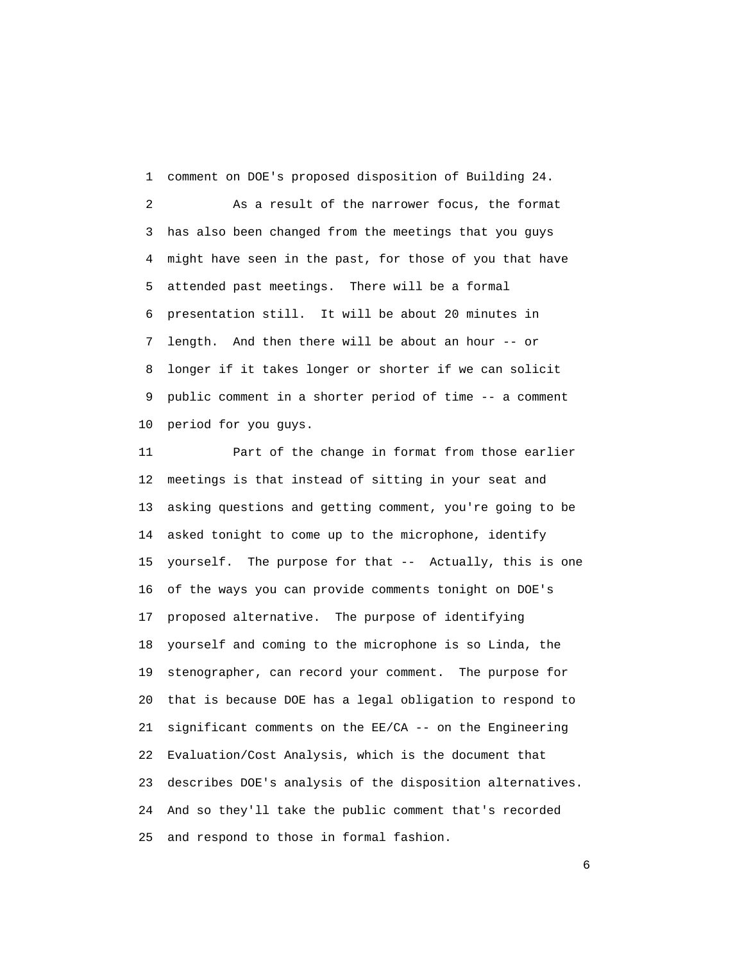1 comment on DOE's proposed disposition of Building 24.

 2 As a result of the narrower focus, the format 3 has also been changed from the meetings that you guys 4 might have seen in the past, for those of you that have 5 attended past meetings. There will be a formal 6 presentation still. It will be about 20 minutes in 7 length. And then there will be about an hour -- or 8 longer if it takes longer or shorter if we can solicit 9 public comment in a shorter period of time -- a comment 10 period for you guys.

 11 Part of the change in format from those earlier 12 meetings is that instead of sitting in your seat and 13 asking questions and getting comment, you're going to be 14 asked tonight to come up to the microphone, identify 15 yourself. The purpose for that -- Actually, this is one 16 of the ways you can provide comments tonight on DOE's 17 proposed alternative. The purpose of identifying 18 yourself and coming to the microphone is so Linda, the 19 stenographer, can record your comment. The purpose for 20 that is because DOE has a legal obligation to respond to 21 significant comments on the EE/CA -- on the Engineering 22 Evaluation/Cost Analysis, which is the document that 23 describes DOE's analysis of the disposition alternatives. 24 And so they'll take the public comment that's recorded 25 and respond to those in formal fashion.

 $\sim$  6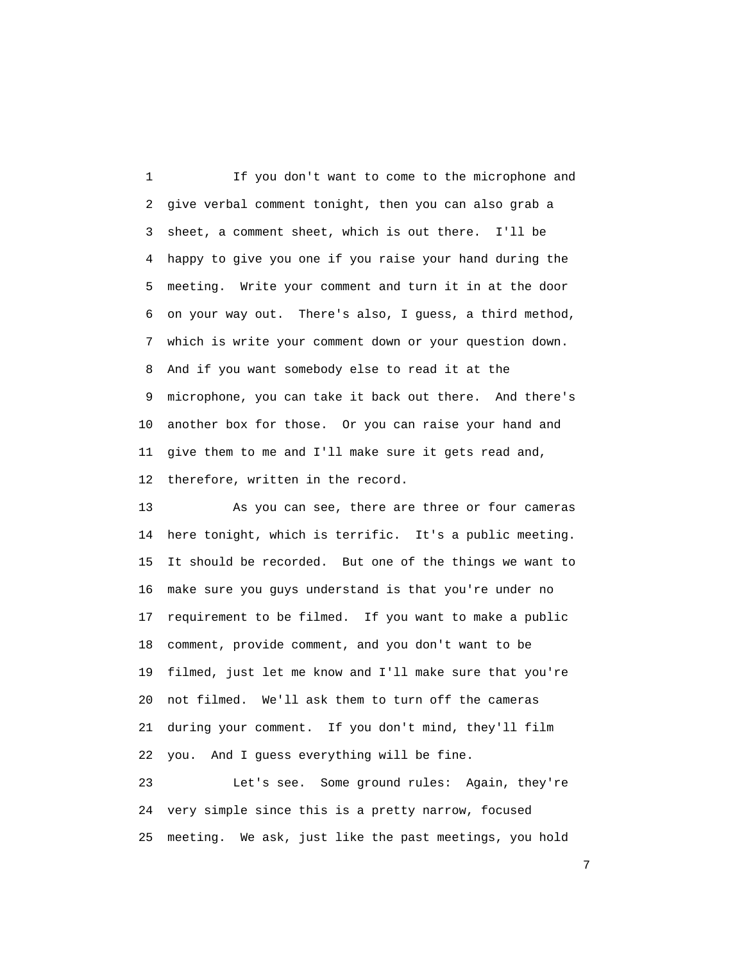1 If you don't want to come to the microphone and 2 give verbal comment tonight, then you can also grab a 3 sheet, a comment sheet, which is out there. I'll be 4 happy to give you one if you raise your hand during the 5 meeting. Write your comment and turn it in at the door 6 on your way out. There's also, I guess, a third method, 7 which is write your comment down or your question down. 8 And if you want somebody else to read it at the 9 microphone, you can take it back out there. And there's 10 another box for those. Or you can raise your hand and 11 give them to me and I'll make sure it gets read and, 12 therefore, written in the record.

 13 As you can see, there are three or four cameras 14 here tonight, which is terrific. It's a public meeting. 15 It should be recorded. But one of the things we want to 16 make sure you guys understand is that you're under no 17 requirement to be filmed. If you want to make a public 18 comment, provide comment, and you don't want to be 19 filmed, just let me know and I'll make sure that you're 20 not filmed. We'll ask them to turn off the cameras 21 during your comment. If you don't mind, they'll film 22 you. And I guess everything will be fine.

 23 Let's see. Some ground rules: Again, they're 24 very simple since this is a pretty narrow, focused 25 meeting. We ask, just like the past meetings, you hold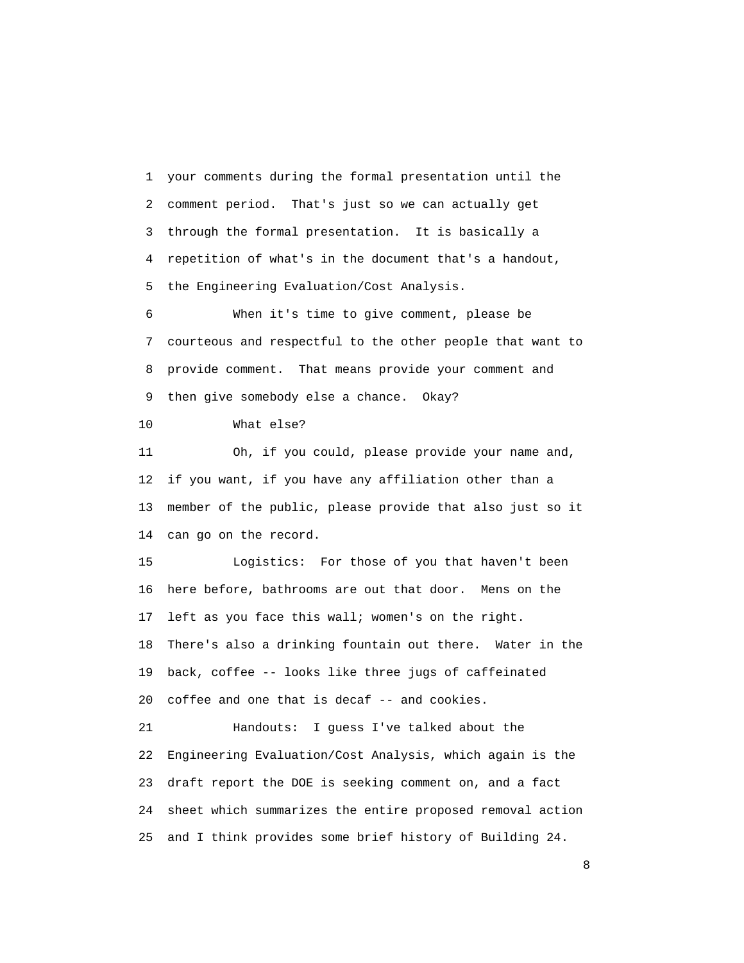1 your comments during the formal presentation until the 2 comment period. That's just so we can actually get 3 through the formal presentation. It is basically a 4 repetition of what's in the document that's a handout, 5 the Engineering Evaluation/Cost Analysis.

 6 When it's time to give comment, please be 7 courteous and respectful to the other people that want to 8 provide comment. That means provide your comment and 9 then give somebody else a chance. Okay?

10 What else?

 11 Oh, if you could, please provide your name and, 12 if you want, if you have any affiliation other than a 13 member of the public, please provide that also just so it 14 can go on the record.

 15 Logistics: For those of you that haven't been 16 here before, bathrooms are out that door. Mens on the 17 left as you face this wall; women's on the right. 18 There's also a drinking fountain out there. Water in the 19 back, coffee -- looks like three jugs of caffeinated 20 coffee and one that is decaf -- and cookies.

 21 Handouts: I guess I've talked about the 22 Engineering Evaluation/Cost Analysis, which again is the 23 draft report the DOE is seeking comment on, and a fact 24 sheet which summarizes the entire proposed removal action 25 and I think provides some brief history of Building 24.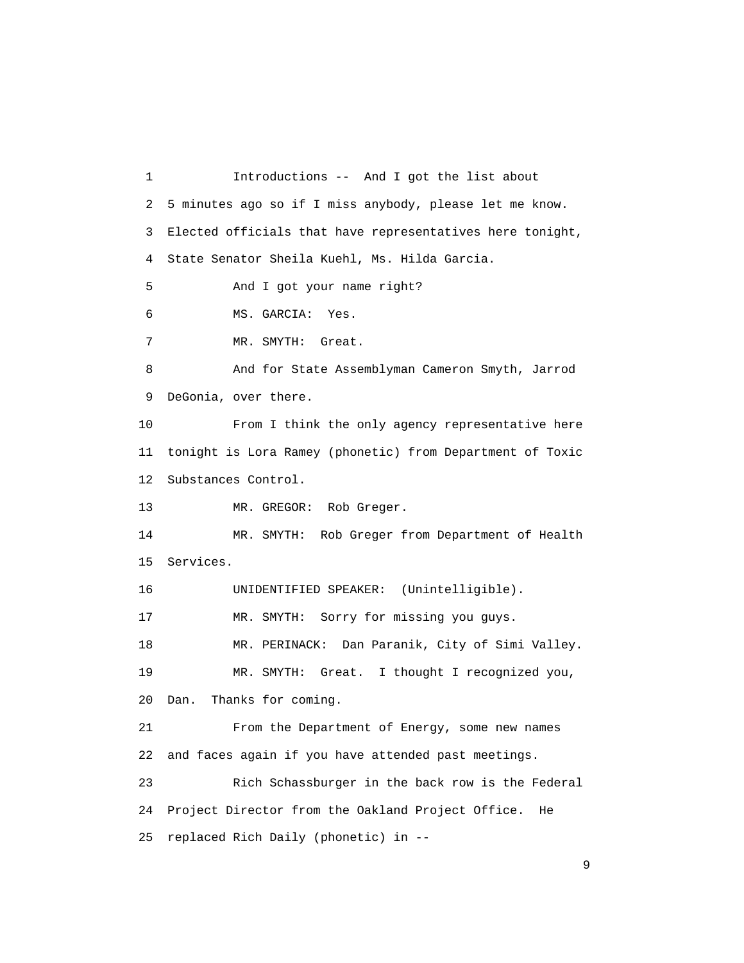1 Introductions -- And I got the list about 2 5 minutes ago so if I miss anybody, please let me know. 3 Elected officials that have representatives here tonight, 4 State Senator Sheila Kuehl, Ms. Hilda Garcia. 5 And I got your name right? 6 MS. GARCIA: Yes. 7 MR. SMYTH: Great. 8 And for State Assemblyman Cameron Smyth, Jarrod 9 DeGonia, over there. 10 From I think the only agency representative here 11 tonight is Lora Ramey (phonetic) from Department of Toxic 12 Substances Control. 13 MR. GREGOR: Rob Greger. 14 MR. SMYTH: Rob Greger from Department of Health 15 Services. 16 UNIDENTIFIED SPEAKER: (Unintelligible). 17 MR. SMYTH: Sorry for missing you guys. 18 MR. PERINACK: Dan Paranik, City of Simi Valley. 19 MR. SMYTH: Great. I thought I recognized you, 20 Dan. Thanks for coming. 21 From the Department of Energy, some new names 22 and faces again if you have attended past meetings. 23 Rich Schassburger in the back row is the Federal 24 Project Director from the Oakland Project Office. He 25 replaced Rich Daily (phonetic) in --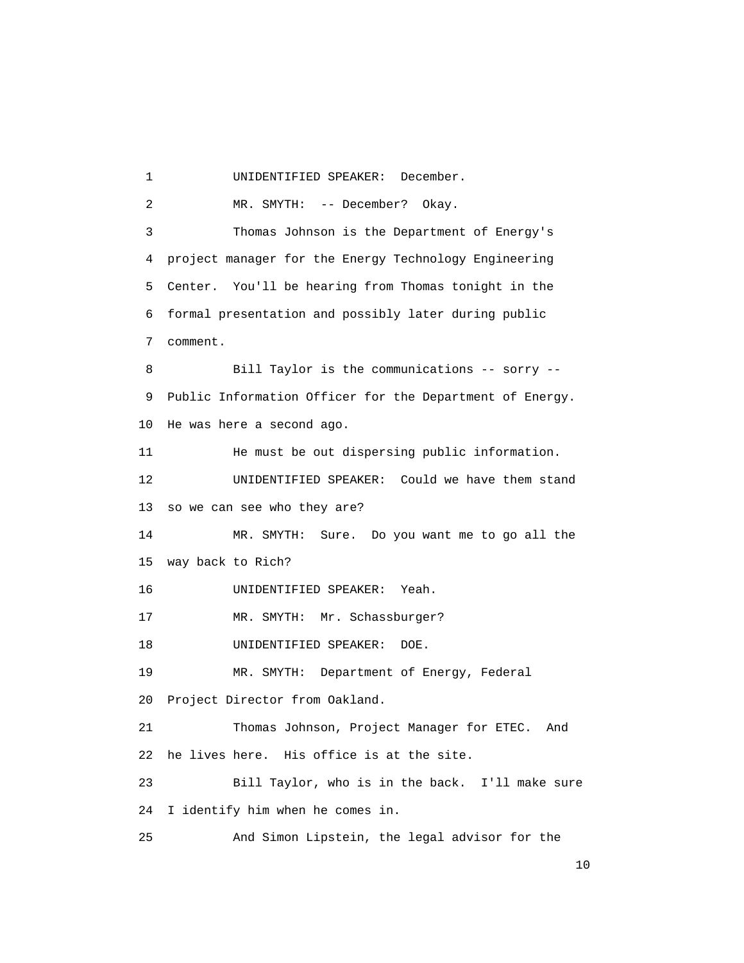2 MR. SMYTH: -- December? Okay. 3 Thomas Johnson is the Department of Energy's 4 project manager for the Energy Technology Engineering 5 Center. You'll be hearing from Thomas tonight in the 6 formal presentation and possibly later during public 7 comment. 8 Bill Taylor is the communications -- sorry -- 9 Public Information Officer for the Department of Energy. 10 He was here a second ago. 11 He must be out dispersing public information. 12 UNIDENTIFIED SPEAKER: Could we have them stand 13 so we can see who they are? 14 MR. SMYTH: Sure. Do you want me to go all the 15 way back to Rich? 16 UNIDENTIFIED SPEAKER: Yeah. 17 MR. SMYTH: Mr. Schassburger? 18 UNIDENTIFIED SPEAKER: DOE. 19 MR. SMYTH: Department of Energy, Federal 20 Project Director from Oakland. 21 Thomas Johnson, Project Manager for ETEC. And 22 he lives here. His office is at the site. 23 Bill Taylor, who is in the back. I'll make sure 24 I identify him when he comes in. 25 And Simon Lipstein, the legal advisor for the

1 UNIDENTIFIED SPEAKER: December.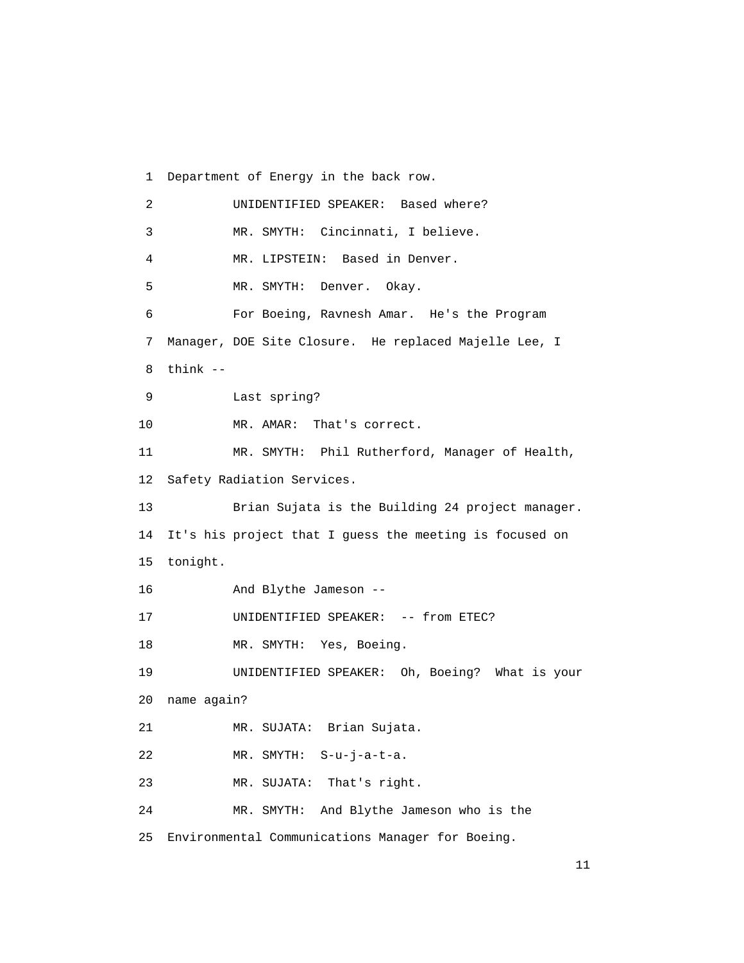1 Department of Energy in the back row. 2 UNIDENTIFIED SPEAKER: Based where? 3 MR. SMYTH: Cincinnati, I believe. 4 MR. LIPSTEIN: Based in Denver. 5 MR. SMYTH: Denver. Okay. 6 For Boeing, Ravnesh Amar. He's the Program 7 Manager, DOE Site Closure. He replaced Majelle Lee, I 8 think -- 9 Last spring? 10 MR. AMAR: That's correct. 11 MR. SMYTH: Phil Rutherford, Manager of Health, 12 Safety Radiation Services. 13 Brian Sujata is the Building 24 project manager. 14 It's his project that I guess the meeting is focused on 15 tonight. 16 And Blythe Jameson -- 17 UNIDENTIFIED SPEAKER: -- from ETEC? 18 MR. SMYTH: Yes, Boeing. 19 UNIDENTIFIED SPEAKER: Oh, Boeing? What is your 20 name again? 21 MR. SUJATA: Brian Sujata. 22 MR. SMYTH: S-u-j-a-t-a. 23 MR. SUJATA: That's right. 24 MR. SMYTH: And Blythe Jameson who is the 25 Environmental Communications Manager for Boeing.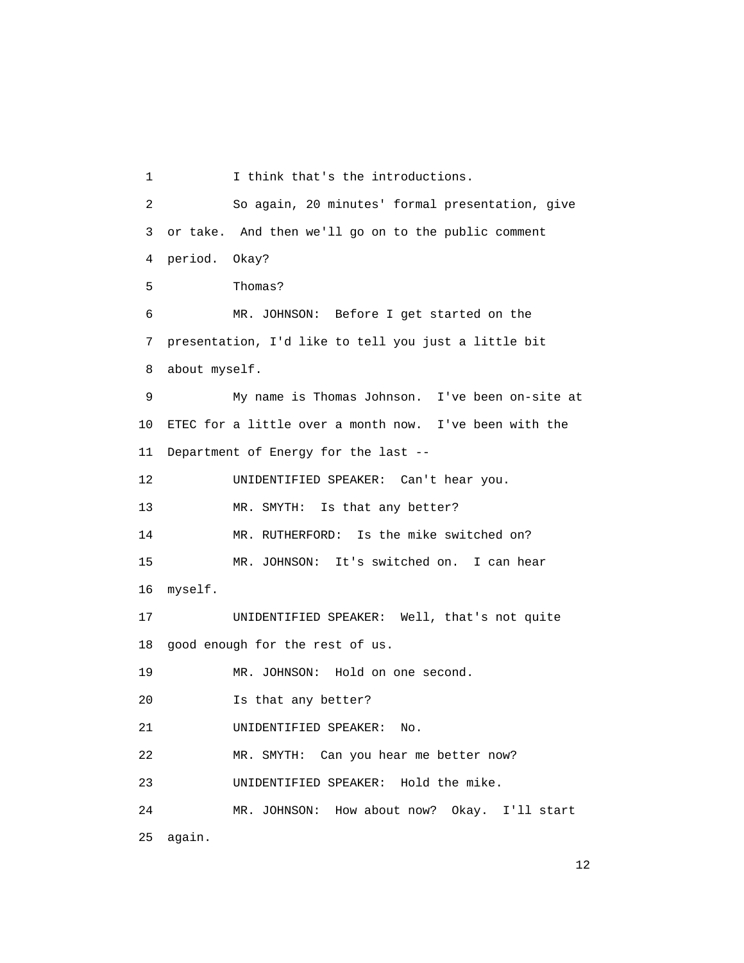1 I think that's the introductions. 2 So again, 20 minutes' formal presentation, give 3 or take. And then we'll go on to the public comment 4 period. Okay? 5 Thomas? 6 MR. JOHNSON: Before I get started on the 7 presentation, I'd like to tell you just a little bit 8 about myself. 9 My name is Thomas Johnson. I've been on-site at 10 ETEC for a little over a month now. I've been with the 11 Department of Energy for the last -- 12 UNIDENTIFIED SPEAKER: Can't hear you. 13 MR. SMYTH: Is that any better? 14 MR. RUTHERFORD: Is the mike switched on? 15 MR. JOHNSON: It's switched on. I can hear 16 myself. 17 UNIDENTIFIED SPEAKER: Well, that's not quite 18 good enough for the rest of us. 19 MR. JOHNSON: Hold on one second. 20 Is that any better? 21 UNIDENTIFIED SPEAKER: No. 22 MR. SMYTH: Can you hear me better now? 23 UNIDENTIFIED SPEAKER: Hold the mike. 24 MR. JOHNSON: How about now? Okay. I'll start 25 again.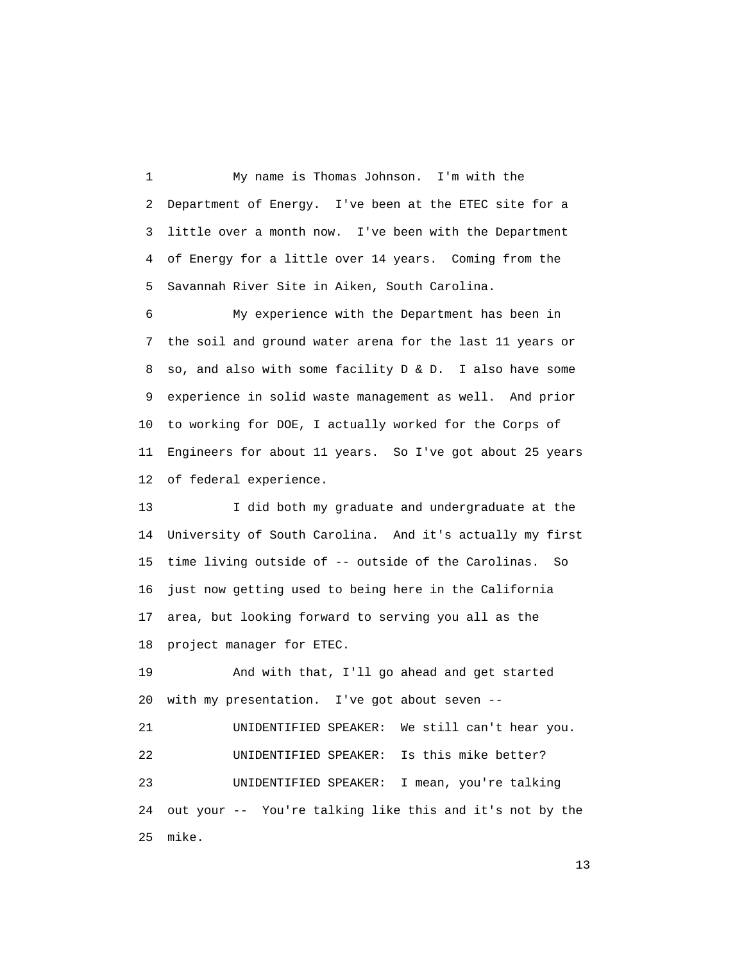1 My name is Thomas Johnson. I'm with the 2 Department of Energy. I've been at the ETEC site for a 3 little over a month now. I've been with the Department 4 of Energy for a little over 14 years. Coming from the 5 Savannah River Site in Aiken, South Carolina.

 6 My experience with the Department has been in 7 the soil and ground water arena for the last 11 years or 8 so, and also with some facility D & D. I also have some 9 experience in solid waste management as well. And prior 10 to working for DOE, I actually worked for the Corps of 11 Engineers for about 11 years. So I've got about 25 years 12 of federal experience.

 13 I did both my graduate and undergraduate at the 14 University of South Carolina. And it's actually my first 15 time living outside of -- outside of the Carolinas. So 16 just now getting used to being here in the California 17 area, but looking forward to serving you all as the 18 project manager for ETEC.

 19 And with that, I'll go ahead and get started 20 with my presentation. I've got about seven --

 21 UNIDENTIFIED SPEAKER: We still can't hear you. 22 UNIDENTIFIED SPEAKER: Is this mike better? 23 UNIDENTIFIED SPEAKER: I mean, you're talking 24 out your -- You're talking like this and it's not by the 25 mike.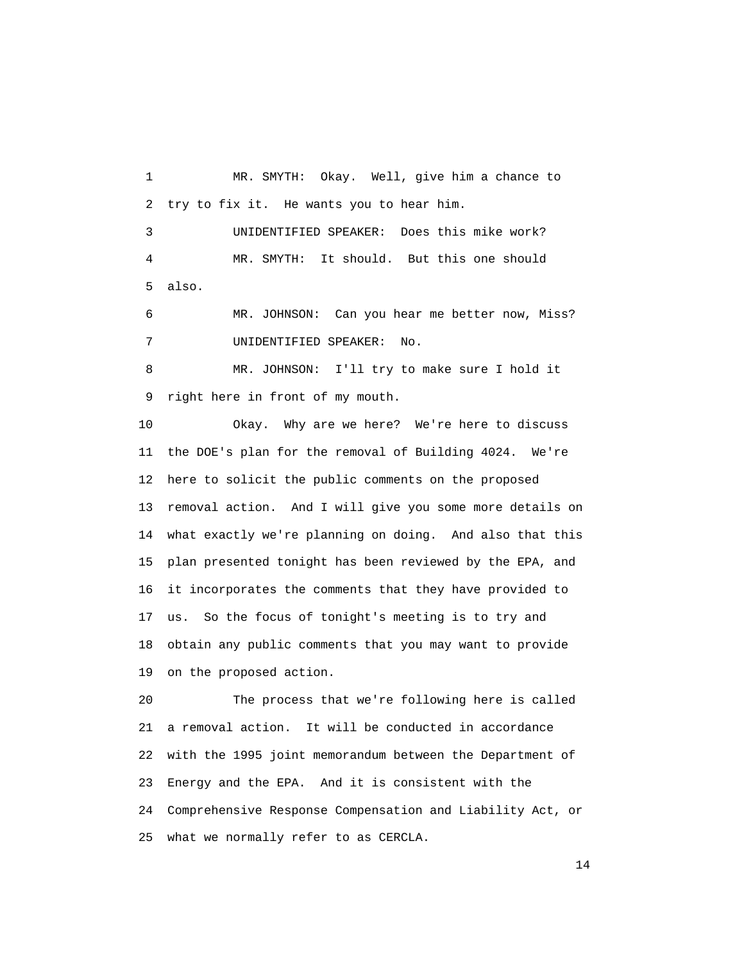1 MR. SMYTH: Okay. Well, give him a chance to 2 try to fix it. He wants you to hear him. 3 UNIDENTIFIED SPEAKER: Does this mike work? 4 MR. SMYTH: It should. But this one should 5 also. 6 MR. JOHNSON: Can you hear me better now, Miss? 7 UNIDENTIFIED SPEAKER: No. 8 MR. JOHNSON: I'll try to make sure I hold it 9 right here in front of my mouth. 10 Okay. Why are we here? We're here to discuss 11 the DOE's plan for the removal of Building 4024. We're 12 here to solicit the public comments on the proposed

 13 removal action. And I will give you some more details on 14 what exactly we're planning on doing. And also that this 15 plan presented tonight has been reviewed by the EPA, and 16 it incorporates the comments that they have provided to 17 us. So the focus of tonight's meeting is to try and 18 obtain any public comments that you may want to provide 19 on the proposed action.

 20 The process that we're following here is called 21 a removal action. It will be conducted in accordance 22 with the 1995 joint memorandum between the Department of 23 Energy and the EPA. And it is consistent with the 24 Comprehensive Response Compensation and Liability Act, or 25 what we normally refer to as CERCLA.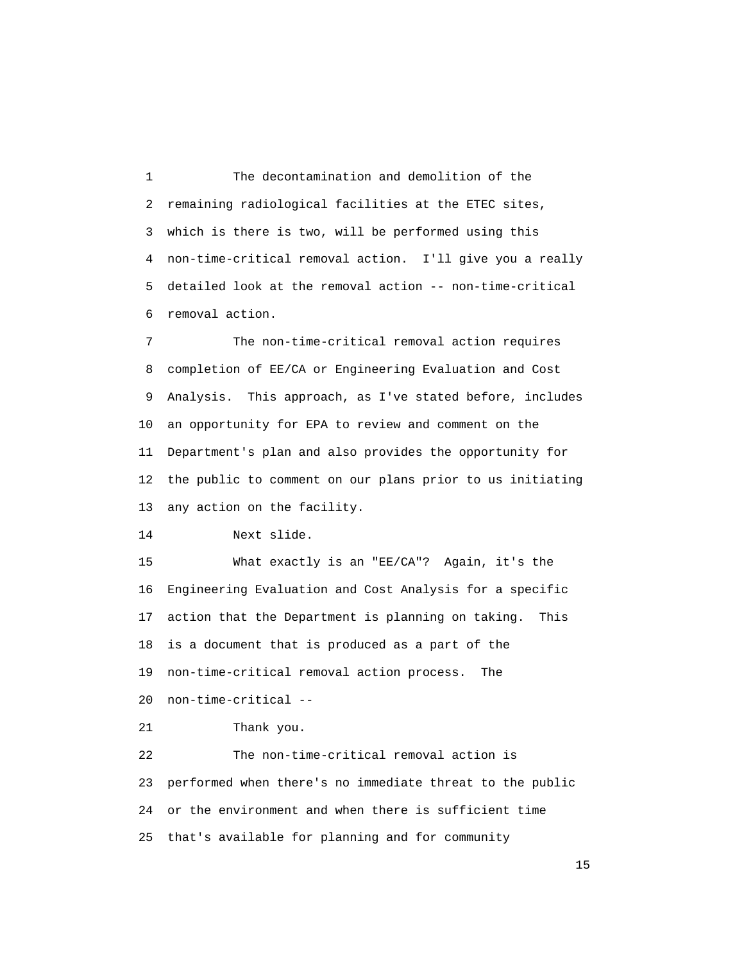1 The decontamination and demolition of the 2 remaining radiological facilities at the ETEC sites, 3 which is there is two, will be performed using this 4 non-time-critical removal action. I'll give you a really 5 detailed look at the removal action -- non-time-critical 6 removal action.

 7 The non-time-critical removal action requires 8 completion of EE/CA or Engineering Evaluation and Cost 9 Analysis. This approach, as I've stated before, includes 10 an opportunity for EPA to review and comment on the 11 Department's plan and also provides the opportunity for 12 the public to comment on our plans prior to us initiating 13 any action on the facility.

14 Next slide.

 15 What exactly is an "EE/CA"? Again, it's the 16 Engineering Evaluation and Cost Analysis for a specific 17 action that the Department is planning on taking. This 18 is a document that is produced as a part of the 19 non-time-critical removal action process. The 20 non-time-critical --

```
 21 Thank you.
```
 22 The non-time-critical removal action is 23 performed when there's no immediate threat to the public 24 or the environment and when there is sufficient time 25 that's available for planning and for community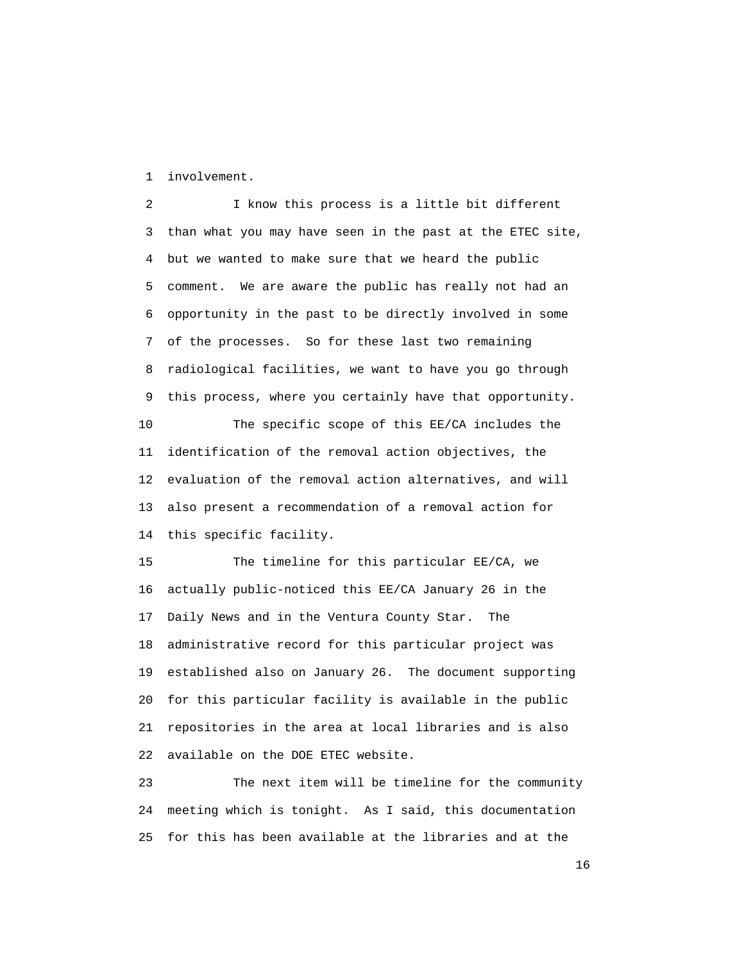1 involvement.

 2 I know this process is a little bit different 3 than what you may have seen in the past at the ETEC site, 4 but we wanted to make sure that we heard the public 5 comment. We are aware the public has really not had an 6 opportunity in the past to be directly involved in some 7 of the processes. So for these last two remaining 8 radiological facilities, we want to have you go through 9 this process, where you certainly have that opportunity. 10 The specific scope of this EE/CA includes the 11 identification of the removal action objectives, the 12 evaluation of the removal action alternatives, and will 13 also present a recommendation of a removal action for 14 this specific facility.

 15 The timeline for this particular EE/CA, we 16 actually public-noticed this EE/CA January 26 in the 17 Daily News and in the Ventura County Star. The 18 administrative record for this particular project was 19 established also on January 26. The document supporting 20 for this particular facility is available in the public 21 repositories in the area at local libraries and is also 22 available on the DOE ETEC website.

 23 The next item will be timeline for the community 24 meeting which is tonight. As I said, this documentation 25 for this has been available at the libraries and at the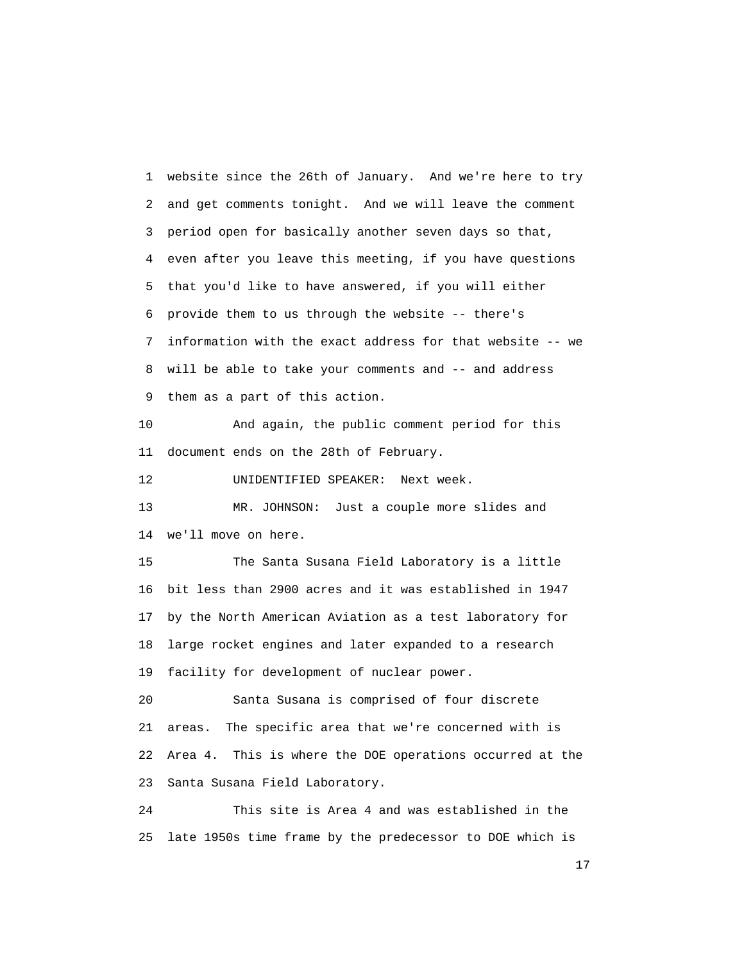1 website since the 26th of January. And we're here to try 2 and get comments tonight. And we will leave the comment 3 period open for basically another seven days so that, 4 even after you leave this meeting, if you have questions 5 that you'd like to have answered, if you will either 6 provide them to us through the website -- there's 7 information with the exact address for that website -- we 8 will be able to take your comments and -- and address 9 them as a part of this action.

 10 And again, the public comment period for this 11 document ends on the 28th of February.

12 UNIDENTIFIED SPEAKER: Next week.

 13 MR. JOHNSON: Just a couple more slides and 14 we'll move on here.

 15 The Santa Susana Field Laboratory is a little 16 bit less than 2900 acres and it was established in 1947 17 by the North American Aviation as a test laboratory for 18 large rocket engines and later expanded to a research 19 facility for development of nuclear power.

 20 Santa Susana is comprised of four discrete 21 areas. The specific area that we're concerned with is 22 Area 4. This is where the DOE operations occurred at the 23 Santa Susana Field Laboratory.

 24 This site is Area 4 and was established in the 25 late 1950s time frame by the predecessor to DOE which is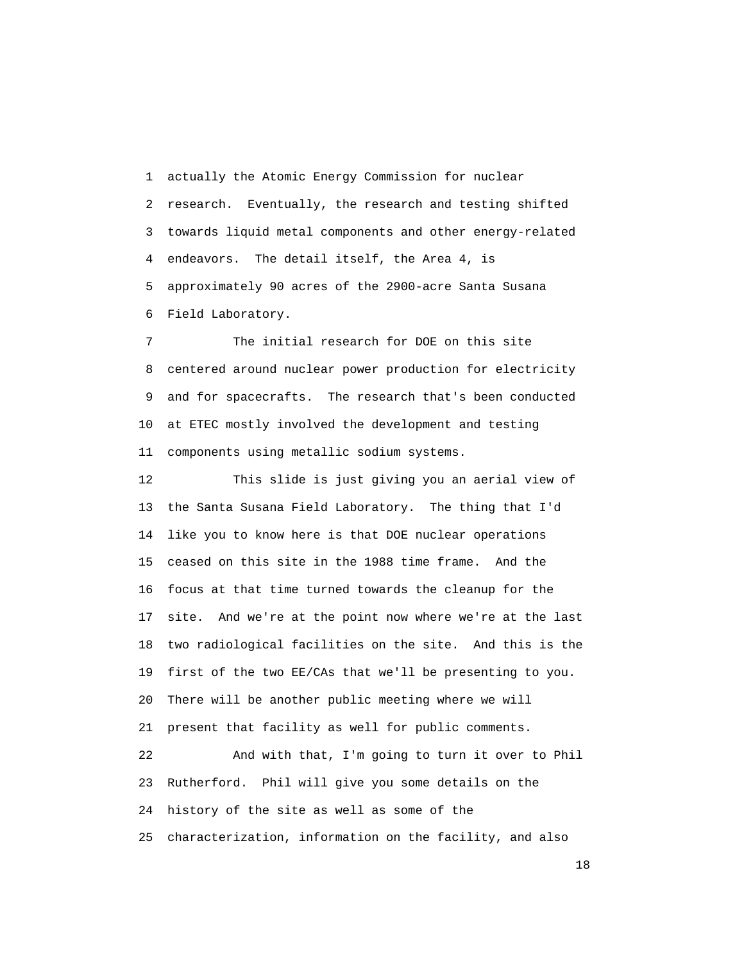1 actually the Atomic Energy Commission for nuclear 2 research. Eventually, the research and testing shifted 3 towards liquid metal components and other energy-related 4 endeavors. The detail itself, the Area 4, is 5 approximately 90 acres of the 2900-acre Santa Susana 6 Field Laboratory.

 7 The initial research for DOE on this site 8 centered around nuclear power production for electricity 9 and for spacecrafts. The research that's been conducted 10 at ETEC mostly involved the development and testing 11 components using metallic sodium systems.

 12 This slide is just giving you an aerial view of 13 the Santa Susana Field Laboratory. The thing that I'd 14 like you to know here is that DOE nuclear operations 15 ceased on this site in the 1988 time frame. And the 16 focus at that time turned towards the cleanup for the 17 site. And we're at the point now where we're at the last 18 two radiological facilities on the site. And this is the 19 first of the two EE/CAs that we'll be presenting to you. 20 There will be another public meeting where we will 21 present that facility as well for public comments.

 22 And with that, I'm going to turn it over to Phil 23 Rutherford. Phil will give you some details on the 24 history of the site as well as some of the 25 characterization, information on the facility, and also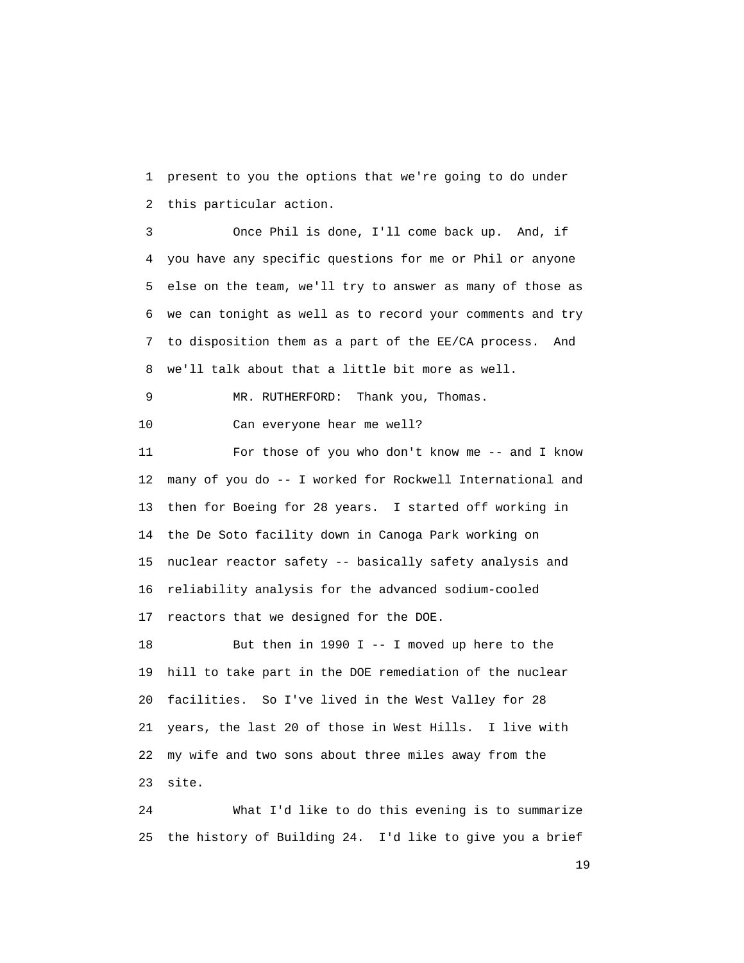1 present to you the options that we're going to do under 2 this particular action.

 3 Once Phil is done, I'll come back up. And, if 4 you have any specific questions for me or Phil or anyone 5 else on the team, we'll try to answer as many of those as 6 we can tonight as well as to record your comments and try 7 to disposition them as a part of the EE/CA process. And 8 we'll talk about that a little bit more as well.

```
 9 MR. RUTHERFORD: Thank you, Thomas. 
10 Can everyone hear me well?
```
 11 For those of you who don't know me -- and I know 12 many of you do -- I worked for Rockwell International and 13 then for Boeing for 28 years. I started off working in 14 the De Soto facility down in Canoga Park working on 15 nuclear reactor safety -- basically safety analysis and 16 reliability analysis for the advanced sodium-cooled 17 reactors that we designed for the DOE.

 18 But then in 1990 I -- I moved up here to the 19 hill to take part in the DOE remediation of the nuclear 20 facilities. So I've lived in the West Valley for 28 21 years, the last 20 of those in West Hills. I live with 22 my wife and two sons about three miles away from the 23 site.

 24 What I'd like to do this evening is to summarize 25 the history of Building 24. I'd like to give you a brief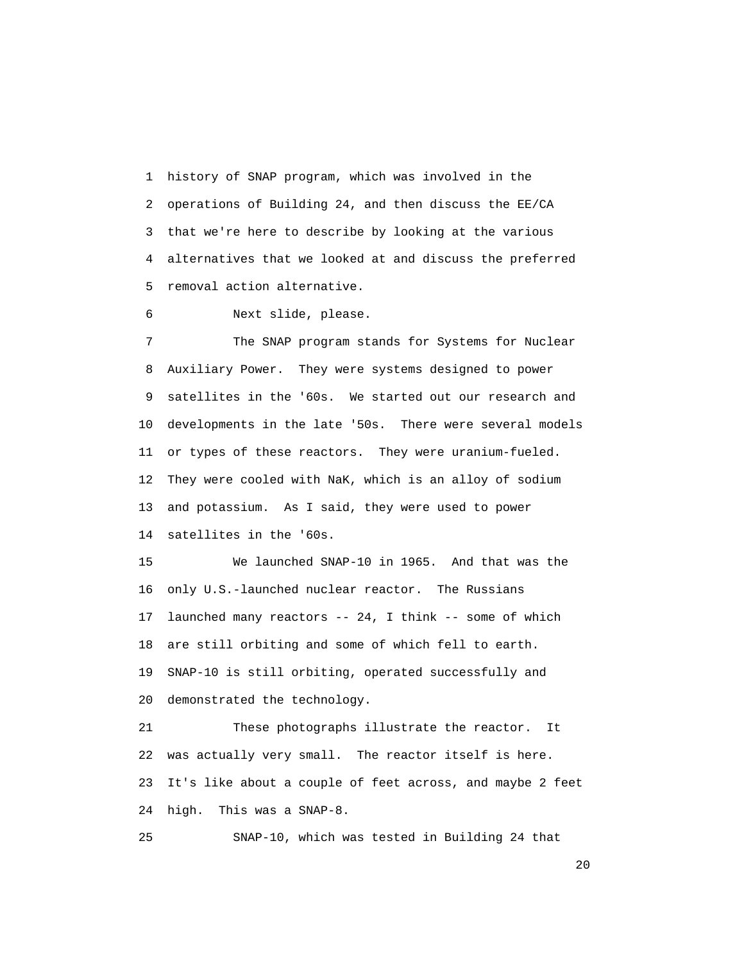1 history of SNAP program, which was involved in the 2 operations of Building 24, and then discuss the EE/CA 3 that we're here to describe by looking at the various 4 alternatives that we looked at and discuss the preferred 5 removal action alternative.

6 Next slide, please.

 7 The SNAP program stands for Systems for Nuclear 8 Auxiliary Power. They were systems designed to power 9 satellites in the '60s. We started out our research and 10 developments in the late '50s. There were several models 11 or types of these reactors. They were uranium-fueled. 12 They were cooled with NaK, which is an alloy of sodium 13 and potassium. As I said, they were used to power 14 satellites in the '60s.

 15 We launched SNAP-10 in 1965. And that was the 16 only U.S.-launched nuclear reactor. The Russians 17 launched many reactors -- 24, I think -- some of which 18 are still orbiting and some of which fell to earth. 19 SNAP-10 is still orbiting, operated successfully and 20 demonstrated the technology.

 21 These photographs illustrate the reactor. It 22 was actually very small. The reactor itself is here. 23 It's like about a couple of feet across, and maybe 2 feet 24 high. This was a SNAP-8.

25 SNAP-10, which was tested in Building 24 that

20 and 20 and 20 and 20 and 20 and 20 and 20 and 20 and 20 and 20 and 20 and 20 and 20 and 20 and 20 and 20 an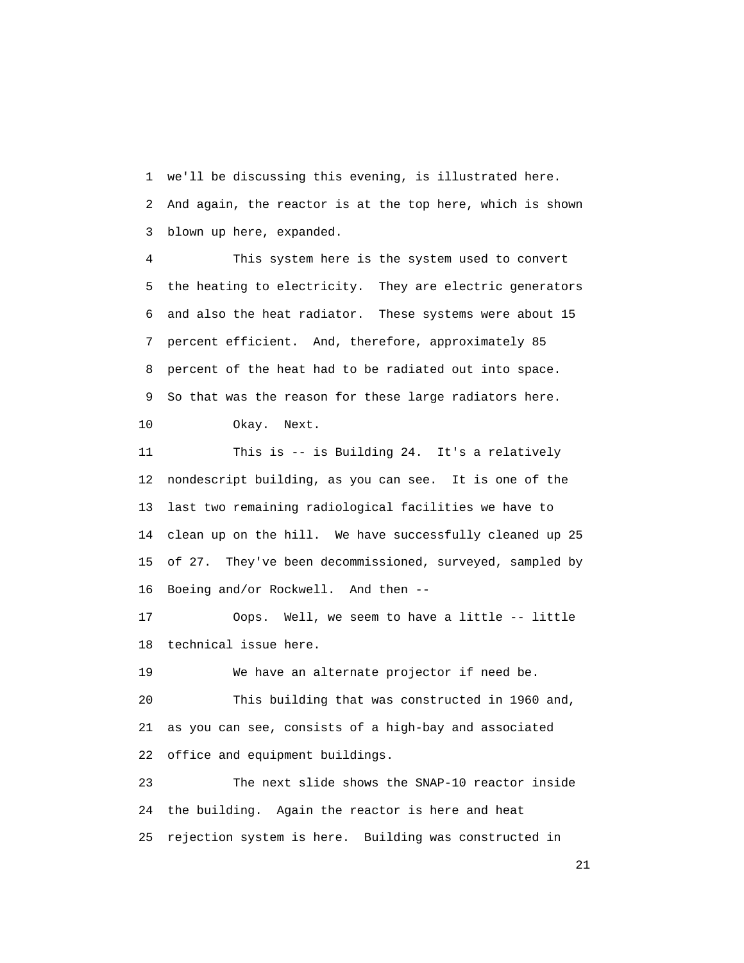1 we'll be discussing this evening, is illustrated here. 2 And again, the reactor is at the top here, which is shown 3 blown up here, expanded.

 4 This system here is the system used to convert 5 the heating to electricity. They are electric generators 6 and also the heat radiator. These systems were about 15 7 percent efficient. And, therefore, approximately 85 8 percent of the heat had to be radiated out into space. 9 So that was the reason for these large radiators here. 10 Okay. Next.

 11 This is -- is Building 24. It's a relatively 12 nondescript building, as you can see. It is one of the 13 last two remaining radiological facilities we have to 14 clean up on the hill. We have successfully cleaned up 25 15 of 27. They've been decommissioned, surveyed, sampled by 16 Boeing and/or Rockwell. And then --

 17 Oops. Well, we seem to have a little -- little 18 technical issue here.

 19 We have an alternate projector if need be. 20 This building that was constructed in 1960 and, 21 as you can see, consists of a high-bay and associated 22 office and equipment buildings.

 23 The next slide shows the SNAP-10 reactor inside 24 the building. Again the reactor is here and heat 25 rejection system is here. Building was constructed in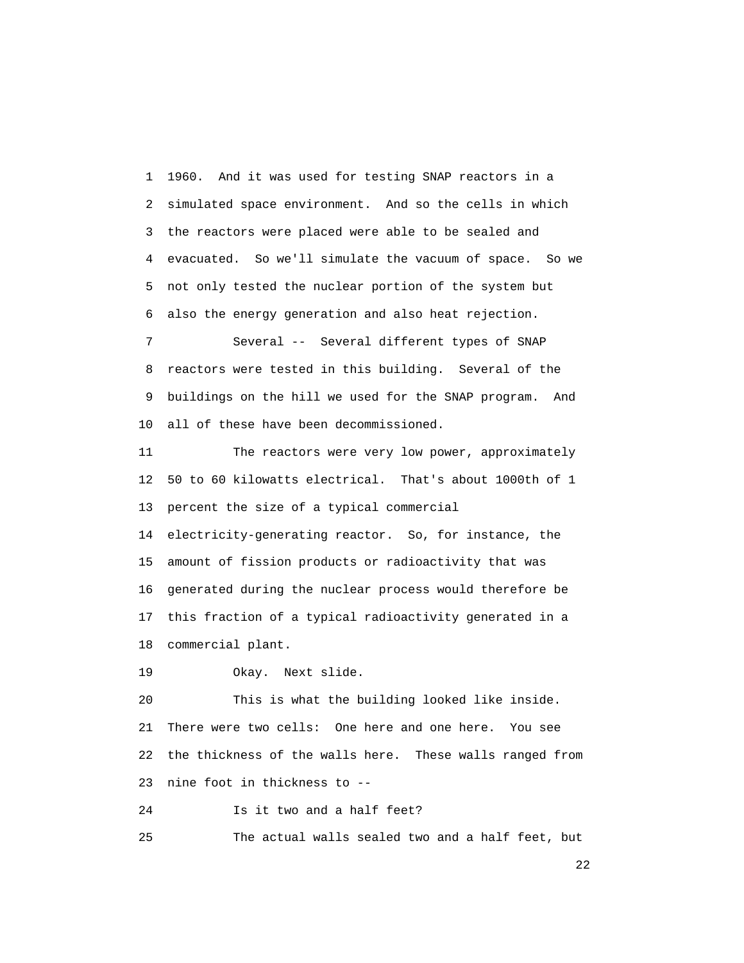1 1960. And it was used for testing SNAP reactors in a 2 simulated space environment. And so the cells in which 3 the reactors were placed were able to be sealed and 4 evacuated. So we'll simulate the vacuum of space. So we 5 not only tested the nuclear portion of the system but 6 also the energy generation and also heat rejection.

 7 Several -- Several different types of SNAP 8 reactors were tested in this building. Several of the 9 buildings on the hill we used for the SNAP program. And 10 all of these have been decommissioned.

 11 The reactors were very low power, approximately 12 50 to 60 kilowatts electrical. That's about 1000th of 1 13 percent the size of a typical commercial

 14 electricity-generating reactor. So, for instance, the 15 amount of fission products or radioactivity that was 16 generated during the nuclear process would therefore be 17 this fraction of a typical radioactivity generated in a 18 commercial plant.

19 Okay. Next slide.

 20 This is what the building looked like inside. 21 There were two cells: One here and one here. You see 22 the thickness of the walls here. These walls ranged from 23 nine foot in thickness to --

24 Is it two and a half feet?

25 The actual walls sealed two and a half feet, but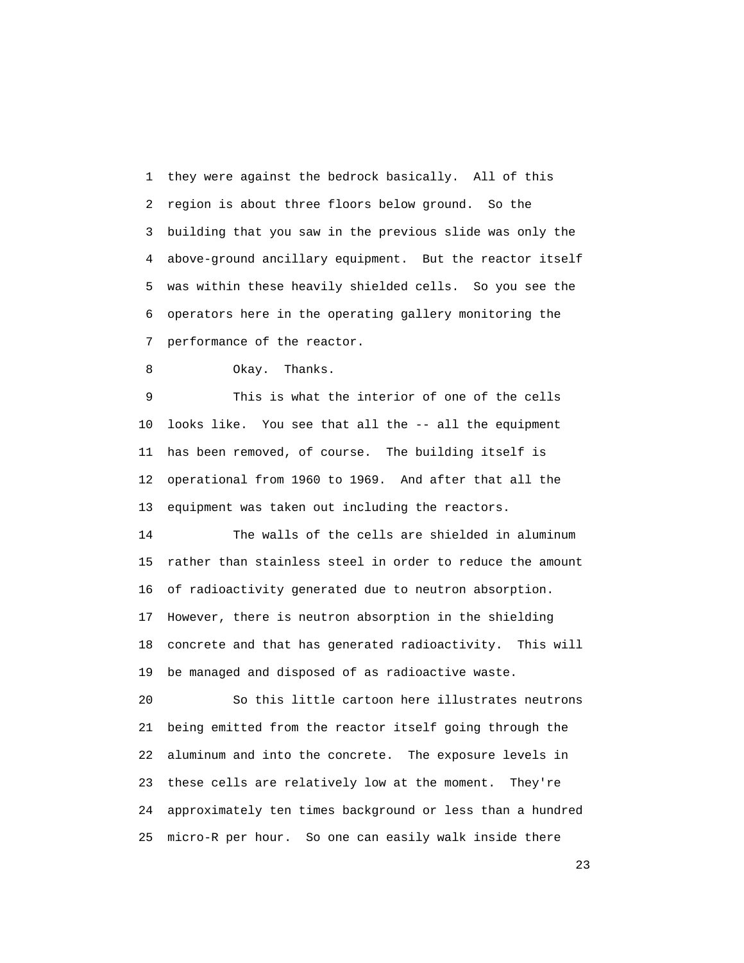1 they were against the bedrock basically. All of this 2 region is about three floors below ground. So the 3 building that you saw in the previous slide was only the 4 above-ground ancillary equipment. But the reactor itself 5 was within these heavily shielded cells. So you see the 6 operators here in the operating gallery monitoring the 7 performance of the reactor.

```
 8 Okay. Thanks.
```
 9 This is what the interior of one of the cells 10 looks like. You see that all the -- all the equipment 11 has been removed, of course. The building itself is 12 operational from 1960 to 1969. And after that all the 13 equipment was taken out including the reactors.

 14 The walls of the cells are shielded in aluminum 15 rather than stainless steel in order to reduce the amount 16 of radioactivity generated due to neutron absorption. 17 However, there is neutron absorption in the shielding 18 concrete and that has generated radioactivity. This will 19 be managed and disposed of as radioactive waste.

 20 So this little cartoon here illustrates neutrons 21 being emitted from the reactor itself going through the 22 aluminum and into the concrete. The exposure levels in 23 these cells are relatively low at the moment. They're 24 approximately ten times background or less than a hundred 25 micro-R per hour. So one can easily walk inside there

23 and 23 and 23 and 23 and 23 and 23 and 23 and 23 and 23 and 23 and 23 and 23 and 23 and 23 and 23 and 23 and 23 and 23 and 23 and 23 and 23 and 23 and 24 and 25 and 25 and 25 and 25 and 25 and 25 and 26 and 26 and 26 an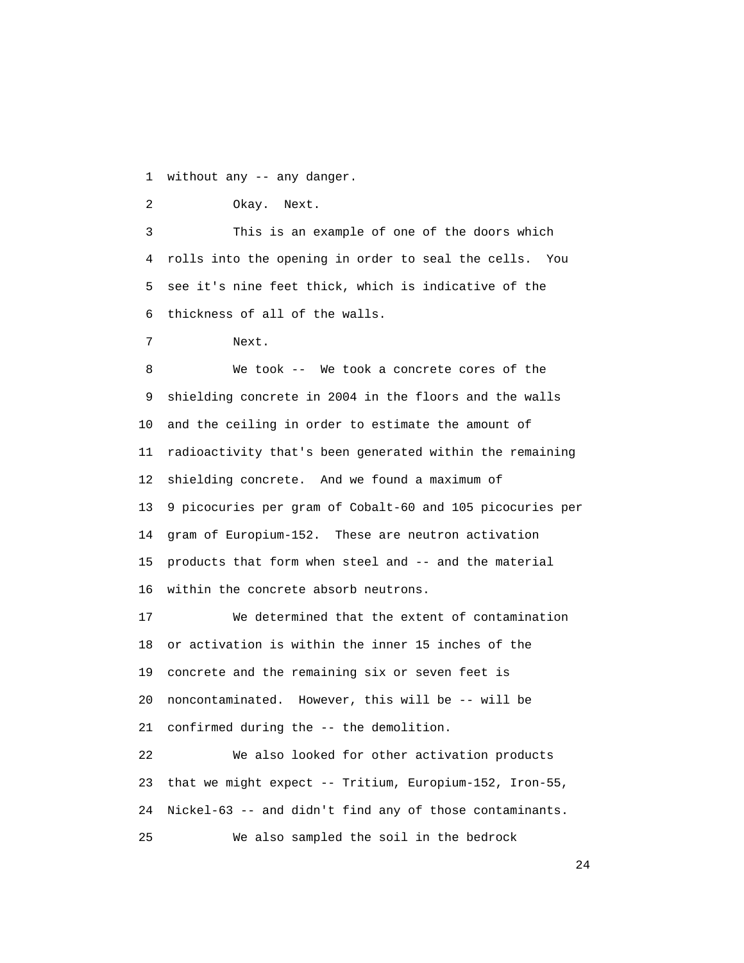1 without any -- any danger.

```
 2 Okay. Next.
```
 3 This is an example of one of the doors which 4 rolls into the opening in order to seal the cells. You 5 see it's nine feet thick, which is indicative of the 6 thickness of all of the walls.

7 Next.

 8 We took -- We took a concrete cores of the 9 shielding concrete in 2004 in the floors and the walls 10 and the ceiling in order to estimate the amount of 11 radioactivity that's been generated within the remaining 12 shielding concrete. And we found a maximum of 13 9 picocuries per gram of Cobalt-60 and 105 picocuries per 14 gram of Europium-152. These are neutron activation 15 products that form when steel and -- and the material 16 within the concrete absorb neutrons.

 17 We determined that the extent of contamination 18 or activation is within the inner 15 inches of the 19 concrete and the remaining six or seven feet is 20 noncontaminated. However, this will be -- will be 21 confirmed during the -- the demolition.

 22 We also looked for other activation products 23 that we might expect -- Tritium, Europium-152, Iron-55, 24 Nickel-63 -- and didn't find any of those contaminants. 25 We also sampled the soil in the bedrock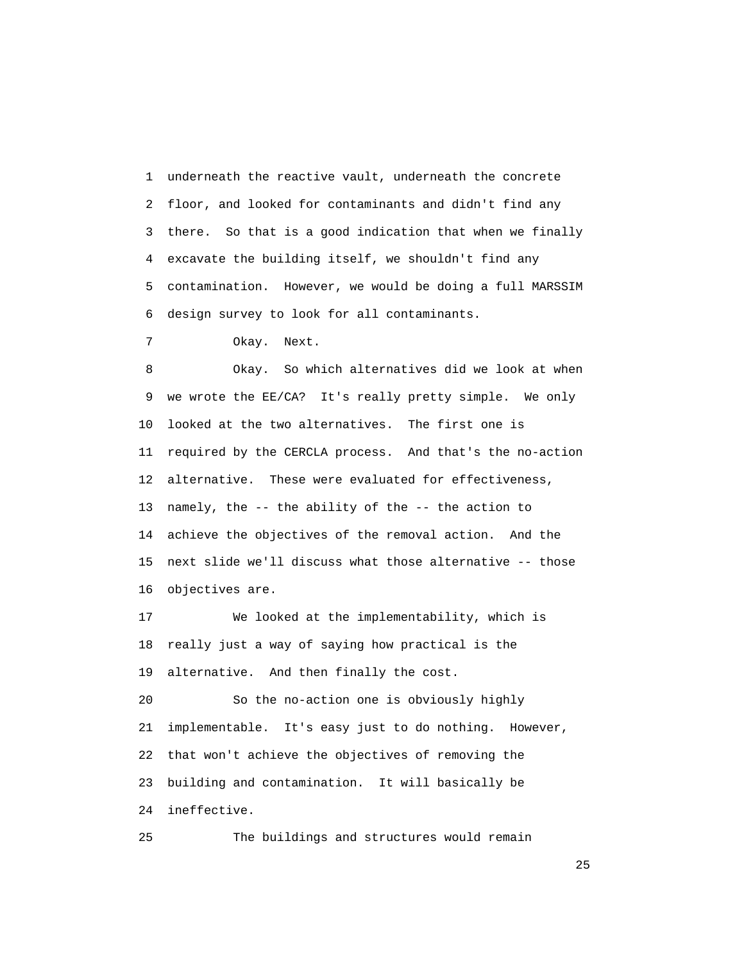1 underneath the reactive vault, underneath the concrete 2 floor, and looked for contaminants and didn't find any 3 there. So that is a good indication that when we finally 4 excavate the building itself, we shouldn't find any 5 contamination. However, we would be doing a full MARSSIM 6 design survey to look for all contaminants.

7 Okay. Next.

 8 Okay. So which alternatives did we look at when 9 we wrote the EE/CA? It's really pretty simple. We only 10 looked at the two alternatives. The first one is 11 required by the CERCLA process. And that's the no-action 12 alternative. These were evaluated for effectiveness, 13 namely, the -- the ability of the -- the action to 14 achieve the objectives of the removal action. And the 15 next slide we'll discuss what those alternative -- those 16 objectives are.

 17 We looked at the implementability, which is 18 really just a way of saying how practical is the 19 alternative. And then finally the cost.

 20 So the no-action one is obviously highly 21 implementable. It's easy just to do nothing. However, 22 that won't achieve the objectives of removing the 23 building and contamination. It will basically be 24 ineffective.

25 The buildings and structures would remain

25 and 25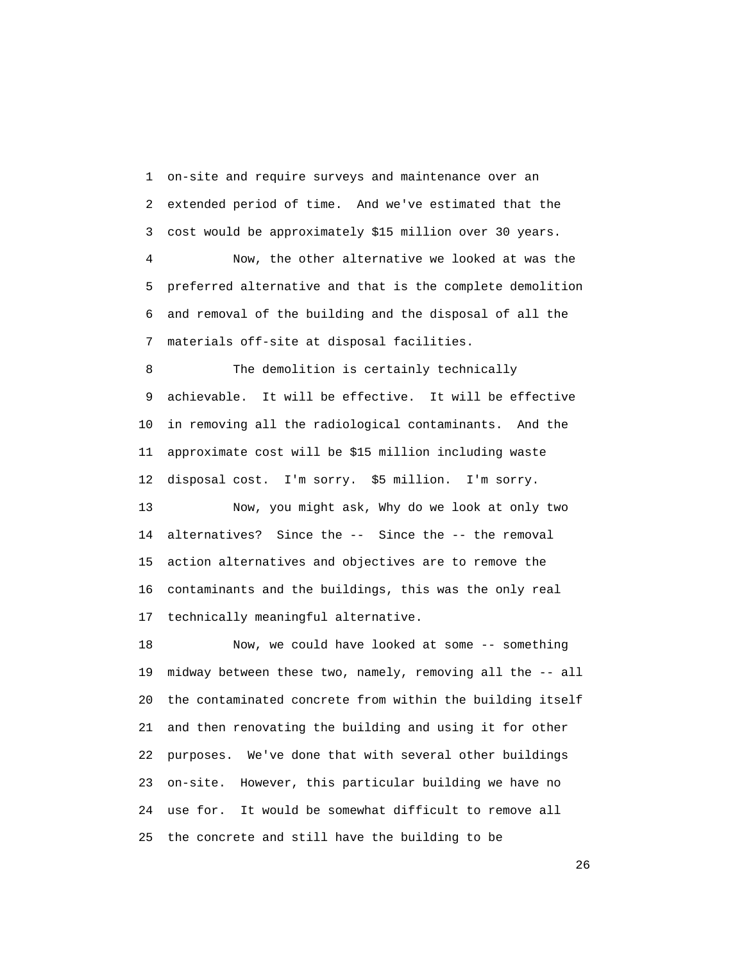1 on-site and require surveys and maintenance over an 2 extended period of time. And we've estimated that the 3 cost would be approximately \$15 million over 30 years.

 4 Now, the other alternative we looked at was the 5 preferred alternative and that is the complete demolition 6 and removal of the building and the disposal of all the 7 materials off-site at disposal facilities.

 8 The demolition is certainly technically 9 achievable. It will be effective. It will be effective 10 in removing all the radiological contaminants. And the 11 approximate cost will be \$15 million including waste 12 disposal cost. I'm sorry. \$5 million. I'm sorry.

 13 Now, you might ask, Why do we look at only two 14 alternatives? Since the -- Since the -- the removal 15 action alternatives and objectives are to remove the 16 contaminants and the buildings, this was the only real 17 technically meaningful alternative.

 18 Now, we could have looked at some -- something 19 midway between these two, namely, removing all the -- all 20 the contaminated concrete from within the building itself 21 and then renovating the building and using it for other 22 purposes. We've done that with several other buildings 23 on-site. However, this particular building we have no 24 use for. It would be somewhat difficult to remove all 25 the concrete and still have the building to be

26 and 20 and 20 and 20 and 20 and 20 and 20 and 20 and 20 and 20 and 20 and 20 and 20 and 20 and 20 and 20 an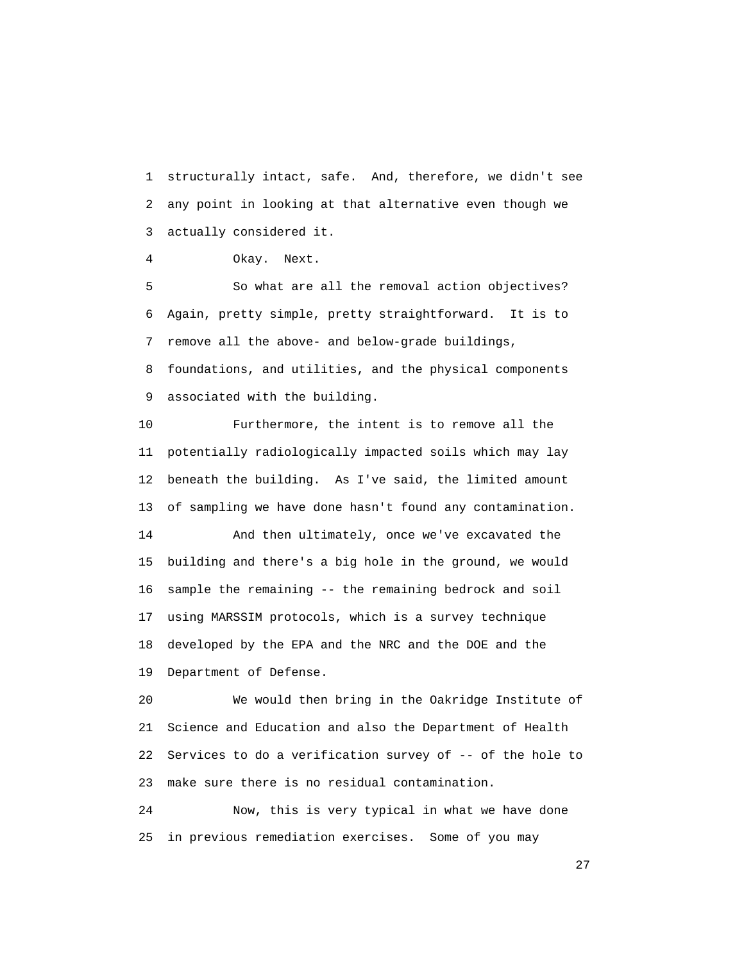1 structurally intact, safe. And, therefore, we didn't see 2 any point in looking at that alternative even though we 3 actually considered it.

4 Okay. Next.

 5 So what are all the removal action objectives? 6 Again, pretty simple, pretty straightforward. It is to 7 remove all the above- and below-grade buildings,

 8 foundations, and utilities, and the physical components 9 associated with the building.

 10 Furthermore, the intent is to remove all the 11 potentially radiologically impacted soils which may lay 12 beneath the building. As I've said, the limited amount 13 of sampling we have done hasn't found any contamination.

 14 And then ultimately, once we've excavated the 15 building and there's a big hole in the ground, we would 16 sample the remaining -- the remaining bedrock and soil 17 using MARSSIM protocols, which is a survey technique 18 developed by the EPA and the NRC and the DOE and the 19 Department of Defense.

 20 We would then bring in the Oakridge Institute of 21 Science and Education and also the Department of Health 22 Services to do a verification survey of -- of the hole to 23 make sure there is no residual contamination.

 24 Now, this is very typical in what we have done 25 in previous remediation exercises. Some of you may

27 and 27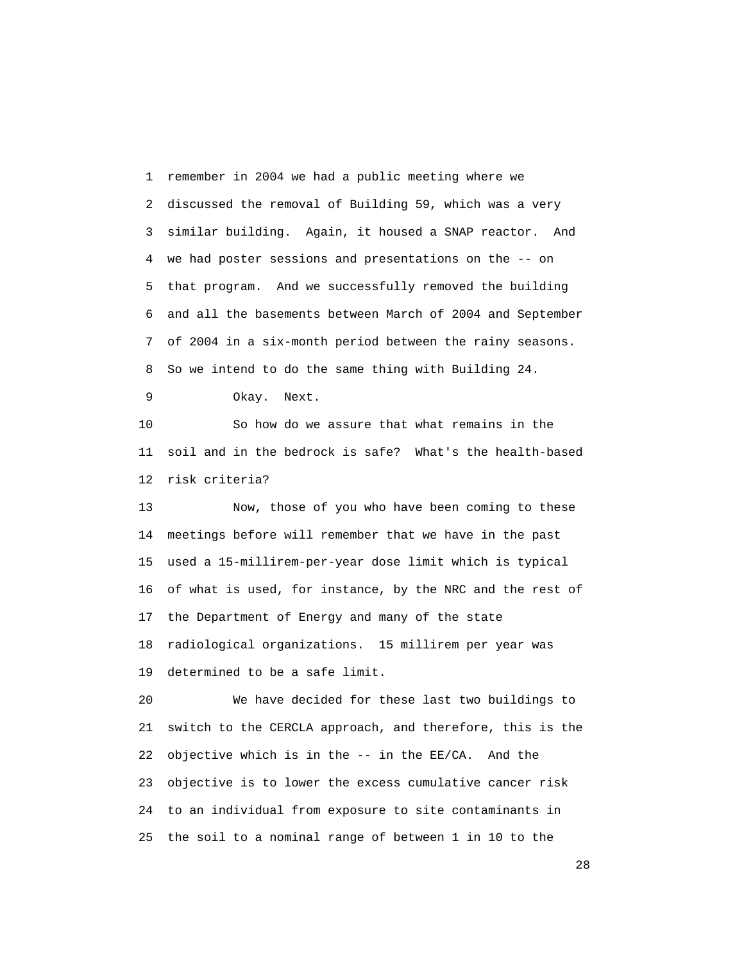1 remember in 2004 we had a public meeting where we 2 discussed the removal of Building 59, which was a very 3 similar building. Again, it housed a SNAP reactor. And 4 we had poster sessions and presentations on the -- on 5 that program. And we successfully removed the building 6 and all the basements between March of 2004 and September 7 of 2004 in a six-month period between the rainy seasons. 8 So we intend to do the same thing with Building 24.

9 Okay. Next.

 10 So how do we assure that what remains in the 11 soil and in the bedrock is safe? What's the health-based 12 risk criteria?

 13 Now, those of you who have been coming to these 14 meetings before will remember that we have in the past 15 used a 15-millirem-per-year dose limit which is typical 16 of what is used, for instance, by the NRC and the rest of 17 the Department of Energy and many of the state 18 radiological organizations. 15 millirem per year was 19 determined to be a safe limit.

 20 We have decided for these last two buildings to 21 switch to the CERCLA approach, and therefore, this is the 22 objective which is in the -- in the EE/CA. And the 23 objective is to lower the excess cumulative cancer risk 24 to an individual from exposure to site contaminants in 25 the soil to a nominal range of between 1 in 10 to the

28 and 28 and 28 and 28 and 28 and 28 and 28 and 28 and 28 and 28 and 28 and 28 and 28 and 28 and 28 and 28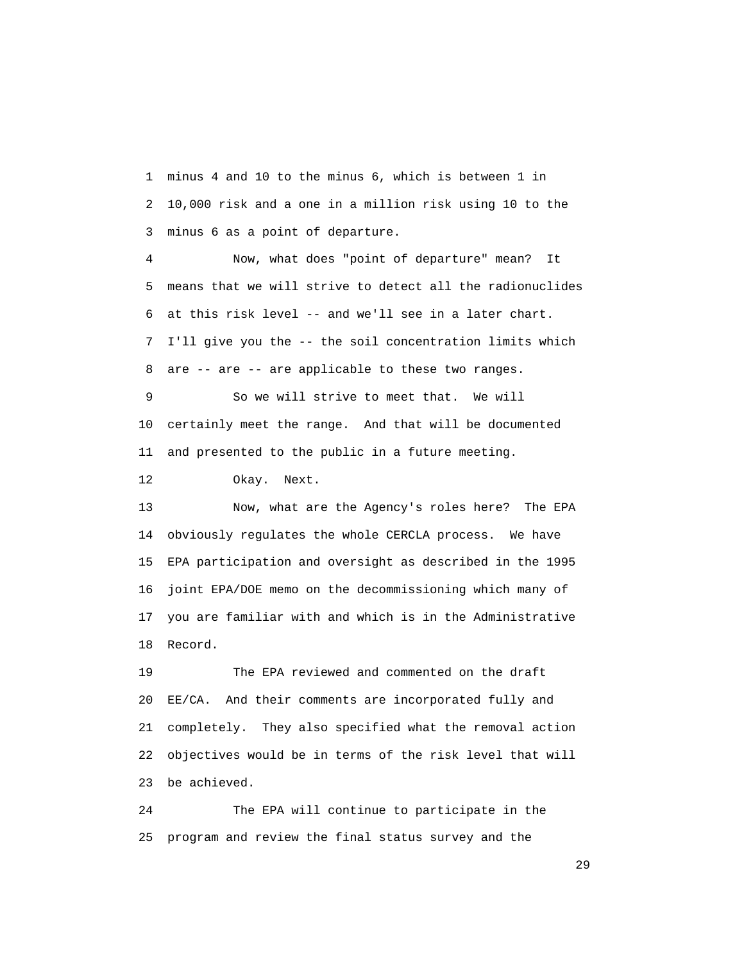1 minus 4 and 10 to the minus 6, which is between 1 in 2 10,000 risk and a one in a million risk using 10 to the 3 minus 6 as a point of departure.

 4 Now, what does "point of departure" mean? It 5 means that we will strive to detect all the radionuclides 6 at this risk level -- and we'll see in a later chart. 7 I'll give you the -- the soil concentration limits which 8 are -- are -- are applicable to these two ranges.

 9 So we will strive to meet that. We will 10 certainly meet the range. And that will be documented 11 and presented to the public in a future meeting.

12 Okay. Next.

 13 Now, what are the Agency's roles here? The EPA 14 obviously regulates the whole CERCLA process. We have 15 EPA participation and oversight as described in the 1995 16 joint EPA/DOE memo on the decommissioning which many of 17 you are familiar with and which is in the Administrative 18 Record.

 19 The EPA reviewed and commented on the draft 20 EE/CA. And their comments are incorporated fully and 21 completely. They also specified what the removal action 22 objectives would be in terms of the risk level that will 23 be achieved.

 24 The EPA will continue to participate in the 25 program and review the final status survey and the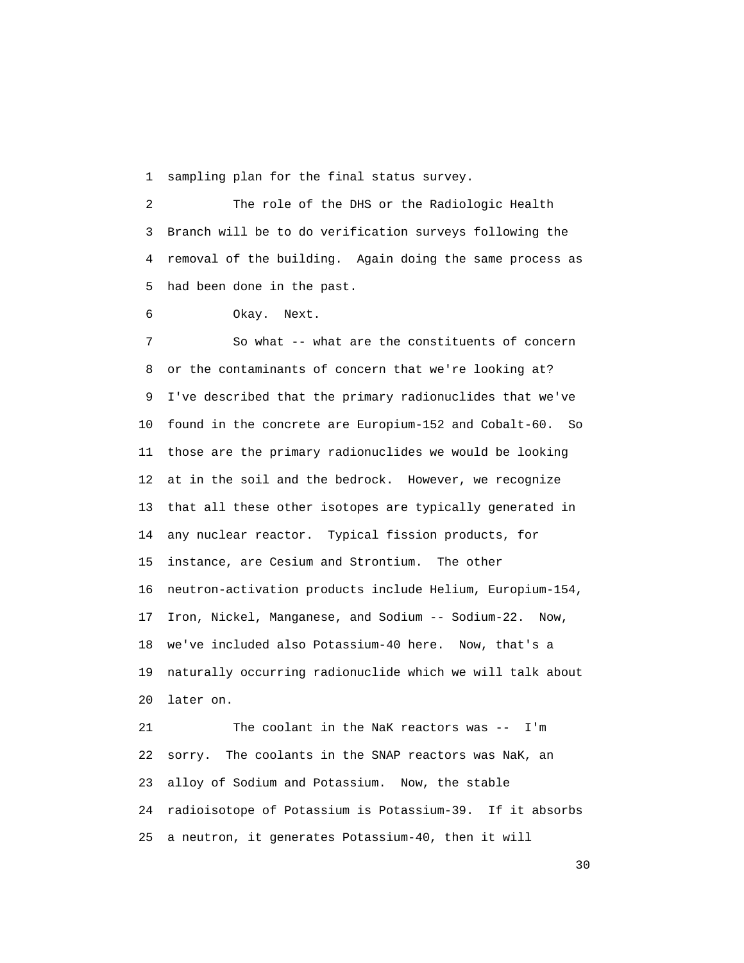1 sampling plan for the final status survey.

 2 The role of the DHS or the Radiologic Health 3 Branch will be to do verification surveys following the 4 removal of the building. Again doing the same process as 5 had been done in the past.

6 Okay. Next.

 7 So what -- what are the constituents of concern 8 or the contaminants of concern that we're looking at? 9 I've described that the primary radionuclides that we've 10 found in the concrete are Europium-152 and Cobalt-60. So 11 those are the primary radionuclides we would be looking 12 at in the soil and the bedrock. However, we recognize 13 that all these other isotopes are typically generated in 14 any nuclear reactor. Typical fission products, for 15 instance, are Cesium and Strontium. The other 16 neutron-activation products include Helium, Europium-154, 17 Iron, Nickel, Manganese, and Sodium -- Sodium-22. Now, 18 we've included also Potassium-40 here. Now, that's a 19 naturally occurring radionuclide which we will talk about 20 later on.

 21 The coolant in the NaK reactors was -- I'm 22 sorry. The coolants in the SNAP reactors was NaK, an 23 alloy of Sodium and Potassium. Now, the stable 24 radioisotope of Potassium is Potassium-39. If it absorbs 25 a neutron, it generates Potassium-40, then it will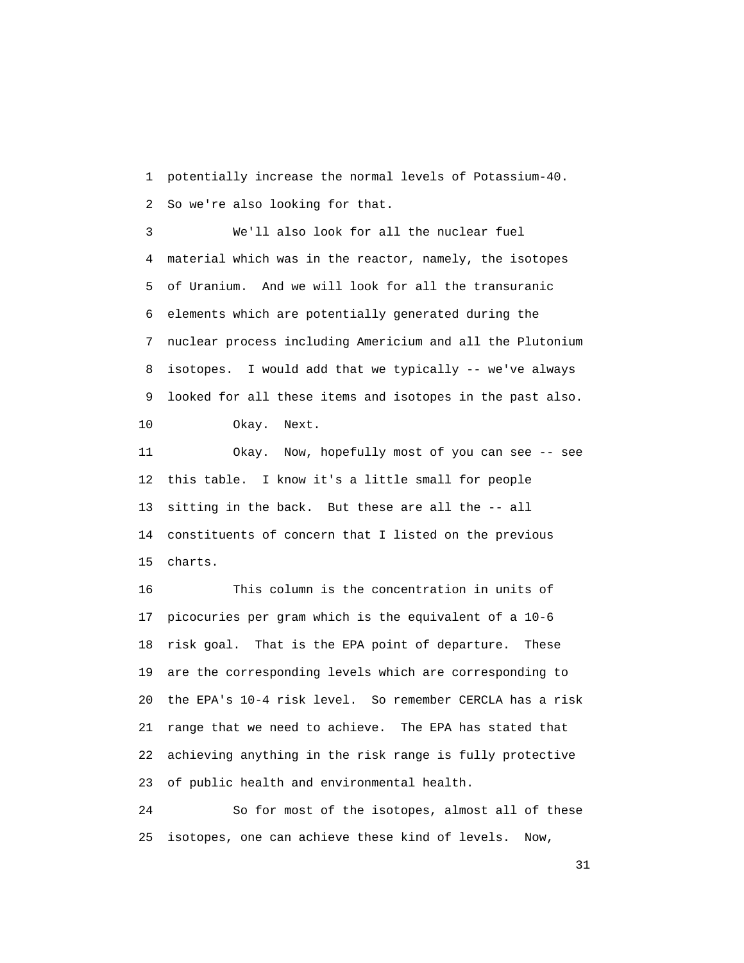1 potentially increase the normal levels of Potassium-40. 2 So we're also looking for that.

 3 We'll also look for all the nuclear fuel 4 material which was in the reactor, namely, the isotopes 5 of Uranium. And we will look for all the transuranic 6 elements which are potentially generated during the 7 nuclear process including Americium and all the Plutonium 8 isotopes. I would add that we typically -- we've always 9 looked for all these items and isotopes in the past also.

10 Okay. Next.

 11 Okay. Now, hopefully most of you can see -- see 12 this table. I know it's a little small for people 13 sitting in the back. But these are all the -- all 14 constituents of concern that I listed on the previous 15 charts.

 16 This column is the concentration in units of 17 picocuries per gram which is the equivalent of a 10-6 18 risk goal. That is the EPA point of departure. These 19 are the corresponding levels which are corresponding to 20 the EPA's 10-4 risk level. So remember CERCLA has a risk 21 range that we need to achieve. The EPA has stated that 22 achieving anything in the risk range is fully protective 23 of public health and environmental health.

 24 So for most of the isotopes, almost all of these 25 isotopes, one can achieve these kind of levels. Now,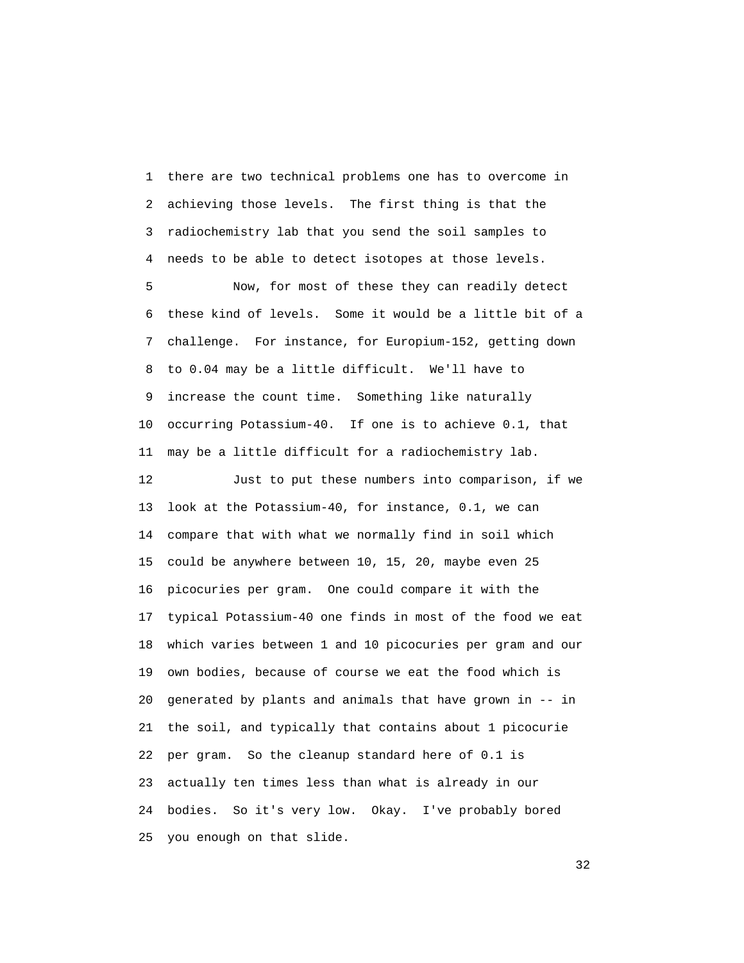1 there are two technical problems one has to overcome in 2 achieving those levels. The first thing is that the 3 radiochemistry lab that you send the soil samples to 4 needs to be able to detect isotopes at those levels.

 5 Now, for most of these they can readily detect 6 these kind of levels. Some it would be a little bit of a 7 challenge. For instance, for Europium-152, getting down 8 to 0.04 may be a little difficult. We'll have to 9 increase the count time. Something like naturally 10 occurring Potassium-40. If one is to achieve 0.1, that 11 may be a little difficult for a radiochemistry lab.

 12 Just to put these numbers into comparison, if we 13 look at the Potassium-40, for instance, 0.1, we can 14 compare that with what we normally find in soil which 15 could be anywhere between 10, 15, 20, maybe even 25 16 picocuries per gram. One could compare it with the 17 typical Potassium-40 one finds in most of the food we eat 18 which varies between 1 and 10 picocuries per gram and our 19 own bodies, because of course we eat the food which is 20 generated by plants and animals that have grown in -- in 21 the soil, and typically that contains about 1 picocurie 22 per gram. So the cleanup standard here of 0.1 is 23 actually ten times less than what is already in our 24 bodies. So it's very low. Okay. I've probably bored 25 you enough on that slide.

 $32<sup>2</sup>$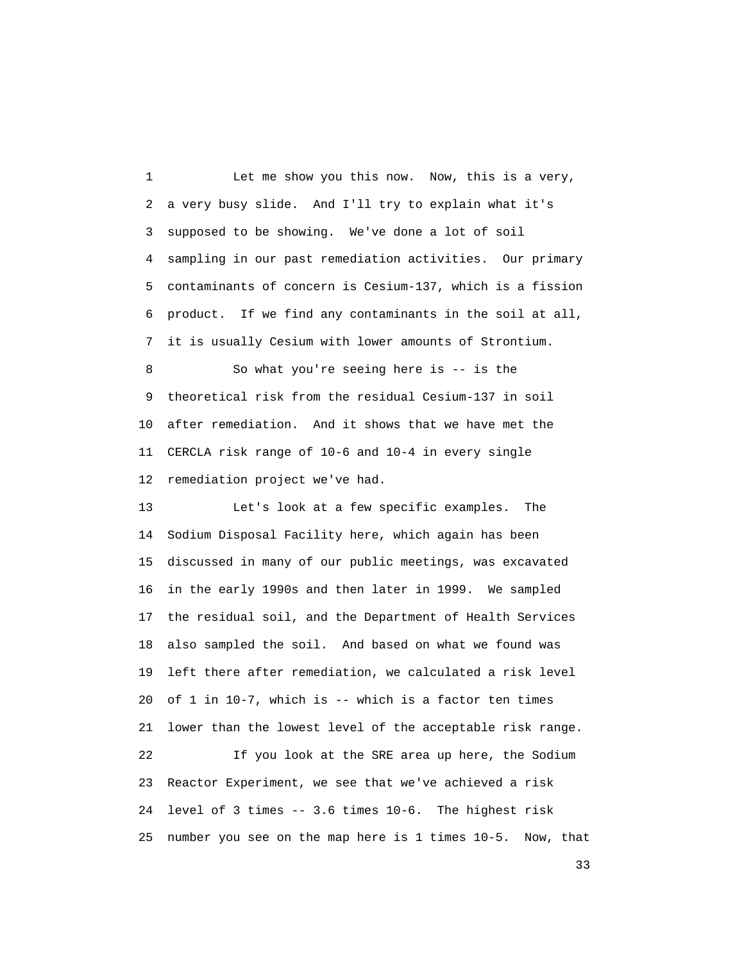1 Let me show you this now. Now, this is a very, 2 a very busy slide. And I'll try to explain what it's 3 supposed to be showing. We've done a lot of soil 4 sampling in our past remediation activities. Our primary 5 contaminants of concern is Cesium-137, which is a fission 6 product. If we find any contaminants in the soil at all, 7 it is usually Cesium with lower amounts of Strontium.

 8 So what you're seeing here is -- is the 9 theoretical risk from the residual Cesium-137 in soil 10 after remediation. And it shows that we have met the 11 CERCLA risk range of 10-6 and 10-4 in every single 12 remediation project we've had.

 13 Let's look at a few specific examples. The 14 Sodium Disposal Facility here, which again has been 15 discussed in many of our public meetings, was excavated 16 in the early 1990s and then later in 1999. We sampled 17 the residual soil, and the Department of Health Services 18 also sampled the soil. And based on what we found was 19 left there after remediation, we calculated a risk level 20 of 1 in 10-7, which is -- which is a factor ten times 21 lower than the lowest level of the acceptable risk range. 22 If you look at the SRE area up here, the Sodium 23 Reactor Experiment, we see that we've achieved a risk 24 level of 3 times -- 3.6 times 10-6. The highest risk 25 number you see on the map here is 1 times 10-5. Now, that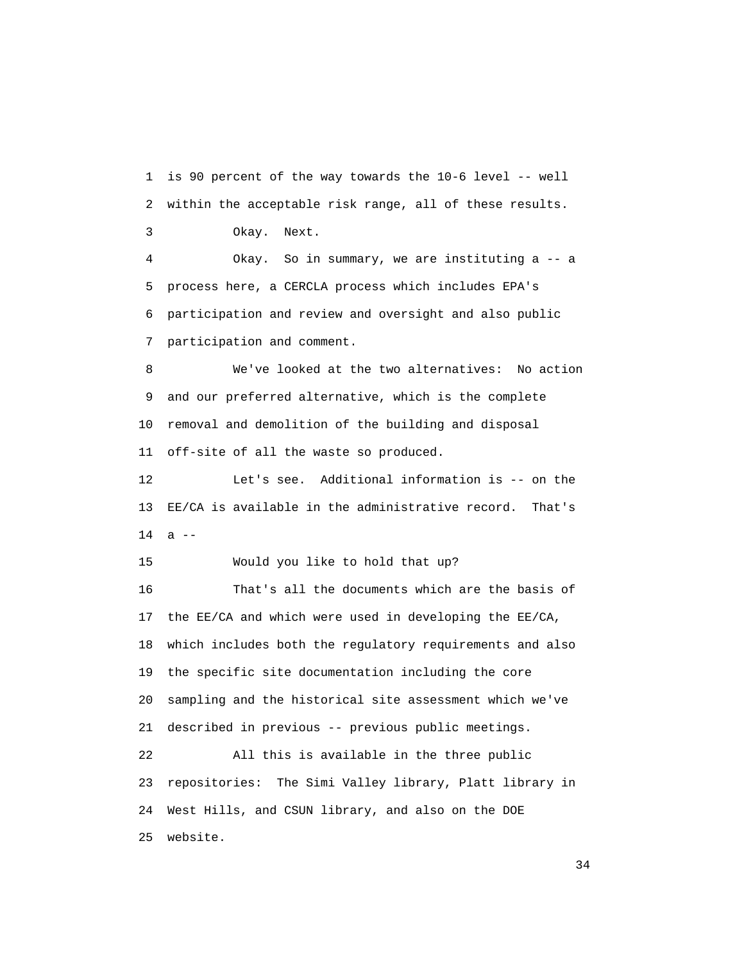1 is 90 percent of the way towards the 10-6 level -- well 2 within the acceptable risk range, all of these results. 3 Okay. Next. 4 Okay. So in summary, we are instituting a -- a 5 process here, a CERCLA process which includes EPA's 6 participation and review and oversight and also public 7 participation and comment.

 8 We've looked at the two alternatives: No action 9 and our preferred alternative, which is the complete 10 removal and demolition of the building and disposal 11 off-site of all the waste so produced.

 12 Let's see. Additional information is -- on the 13 EE/CA is available in the administrative record. That's  $14$  a  $-$ 

15 Would you like to hold that up?

 16 That's all the documents which are the basis of 17 the EE/CA and which were used in developing the EE/CA, 18 which includes both the regulatory requirements and also 19 the specific site documentation including the core 20 sampling and the historical site assessment which we've 21 described in previous -- previous public meetings. 22 All this is available in the three public 23 repositories: The Simi Valley library, Platt library in 24 West Hills, and CSUN library, and also on the DOE

25 website.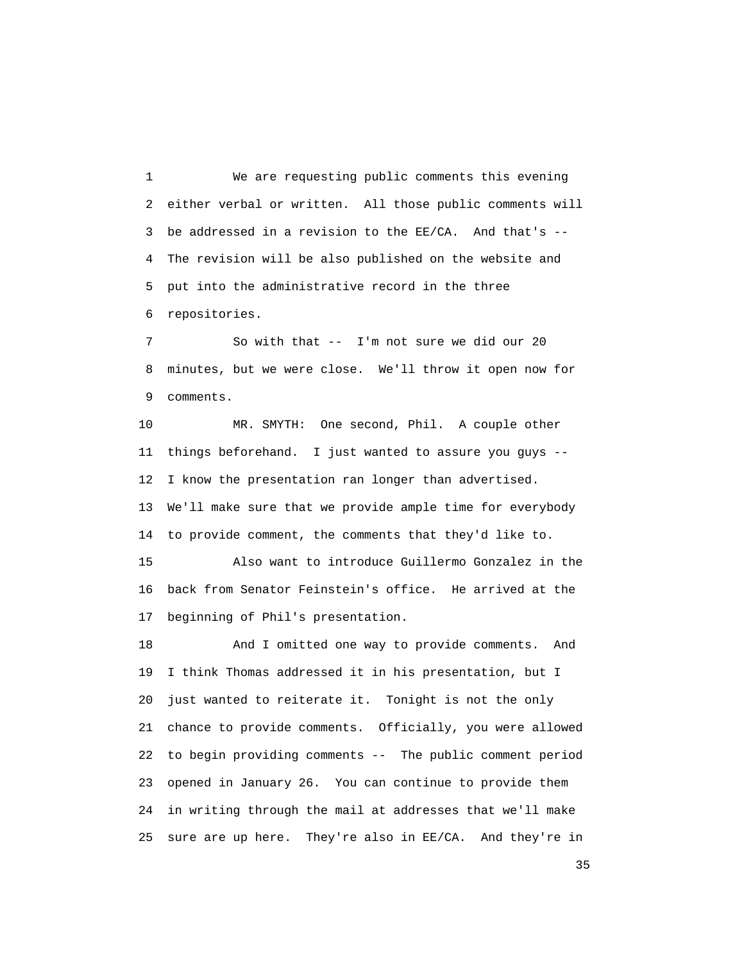1 We are requesting public comments this evening 2 either verbal or written. All those public comments will 3 be addressed in a revision to the EE/CA. And that's -- 4 The revision will be also published on the website and 5 put into the administrative record in the three 6 repositories.

 7 So with that -- I'm not sure we did our 20 8 minutes, but we were close. We'll throw it open now for 9 comments.

 10 MR. SMYTH: One second, Phil. A couple other 11 things beforehand. I just wanted to assure you guys -- 12 I know the presentation ran longer than advertised. 13 We'll make sure that we provide ample time for everybody 14 to provide comment, the comments that they'd like to.

 15 Also want to introduce Guillermo Gonzalez in the 16 back from Senator Feinstein's office. He arrived at the 17 beginning of Phil's presentation.

 18 And I omitted one way to provide comments. And 19 I think Thomas addressed it in his presentation, but I 20 just wanted to reiterate it. Tonight is not the only 21 chance to provide comments. Officially, you were allowed 22 to begin providing comments -- The public comment period 23 opened in January 26. You can continue to provide them 24 in writing through the mail at addresses that we'll make 25 sure are up here. They're also in EE/CA. And they're in

<u>35</u>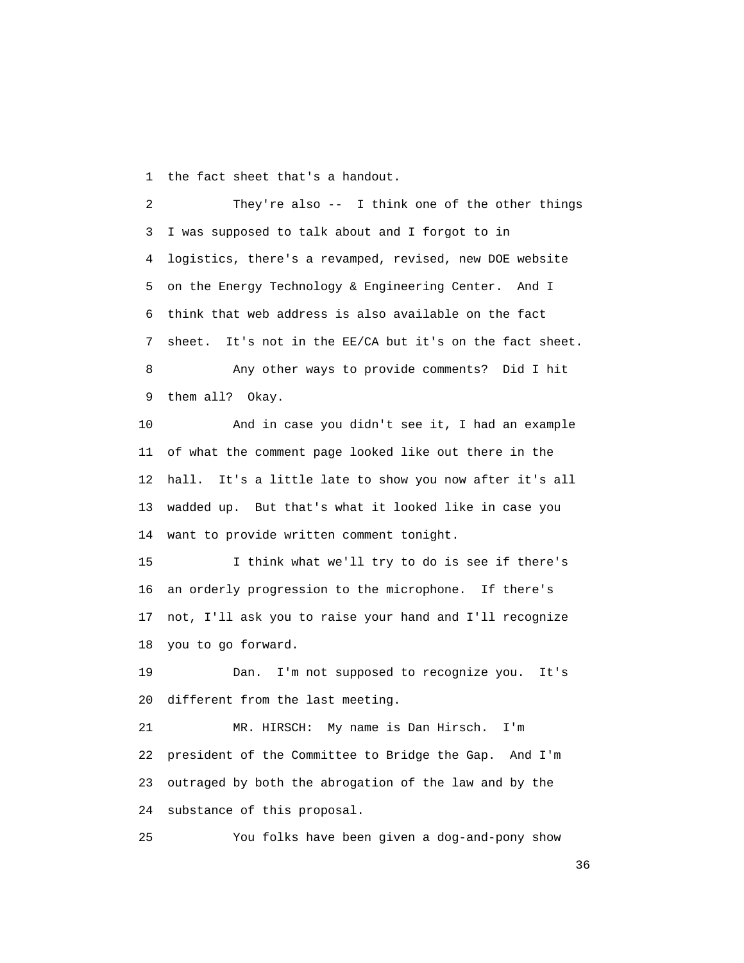1 the fact sheet that's a handout.

 2 They're also -- I think one of the other things 3 I was supposed to talk about and I forgot to in 4 logistics, there's a revamped, revised, new DOE website 5 on the Energy Technology & Engineering Center. And I 6 think that web address is also available on the fact 7 sheet. It's not in the EE/CA but it's on the fact sheet. 8 Any other ways to provide comments? Did I hit

9 them all? Okay.

 10 And in case you didn't see it, I had an example 11 of what the comment page looked like out there in the 12 hall. It's a little late to show you now after it's all 13 wadded up. But that's what it looked like in case you 14 want to provide written comment tonight.

 15 I think what we'll try to do is see if there's 16 an orderly progression to the microphone. If there's 17 not, I'll ask you to raise your hand and I'll recognize 18 you to go forward.

 19 Dan. I'm not supposed to recognize you. It's 20 different from the last meeting.

 21 MR. HIRSCH: My name is Dan Hirsch. I'm 22 president of the Committee to Bridge the Gap. And I'm 23 outraged by both the abrogation of the law and by the 24 substance of this proposal.

25 You folks have been given a dog-and-pony show

 $36<sup>2</sup>$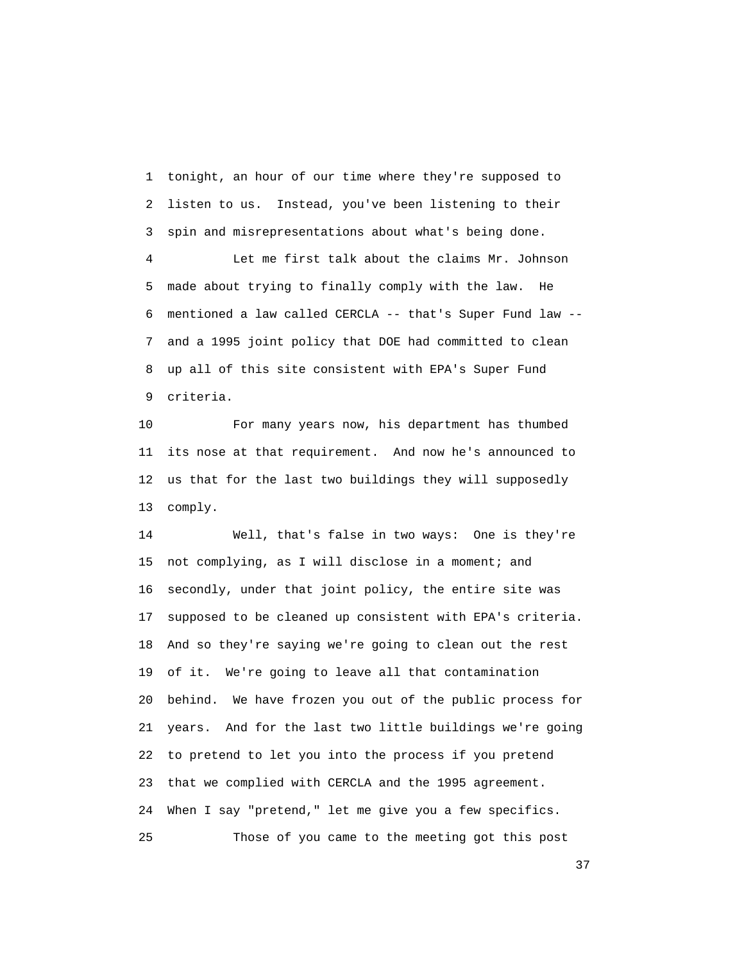1 tonight, an hour of our time where they're supposed to 2 listen to us. Instead, you've been listening to their 3 spin and misrepresentations about what's being done.

 4 Let me first talk about the claims Mr. Johnson 5 made about trying to finally comply with the law. He 6 mentioned a law called CERCLA -- that's Super Fund law -- 7 and a 1995 joint policy that DOE had committed to clean 8 up all of this site consistent with EPA's Super Fund 9 criteria.

 10 For many years now, his department has thumbed 11 its nose at that requirement. And now he's announced to 12 us that for the last two buildings they will supposedly 13 comply.

 14 Well, that's false in two ways: One is they're 15 not complying, as I will disclose in a moment; and 16 secondly, under that joint policy, the entire site was 17 supposed to be cleaned up consistent with EPA's criteria. 18 And so they're saying we're going to clean out the rest 19 of it. We're going to leave all that contamination 20 behind. We have frozen you out of the public process for 21 years. And for the last two little buildings we're going 22 to pretend to let you into the process if you pretend 23 that we complied with CERCLA and the 1995 agreement. 24 When I say "pretend," let me give you a few specifics. 25 Those of you came to the meeting got this post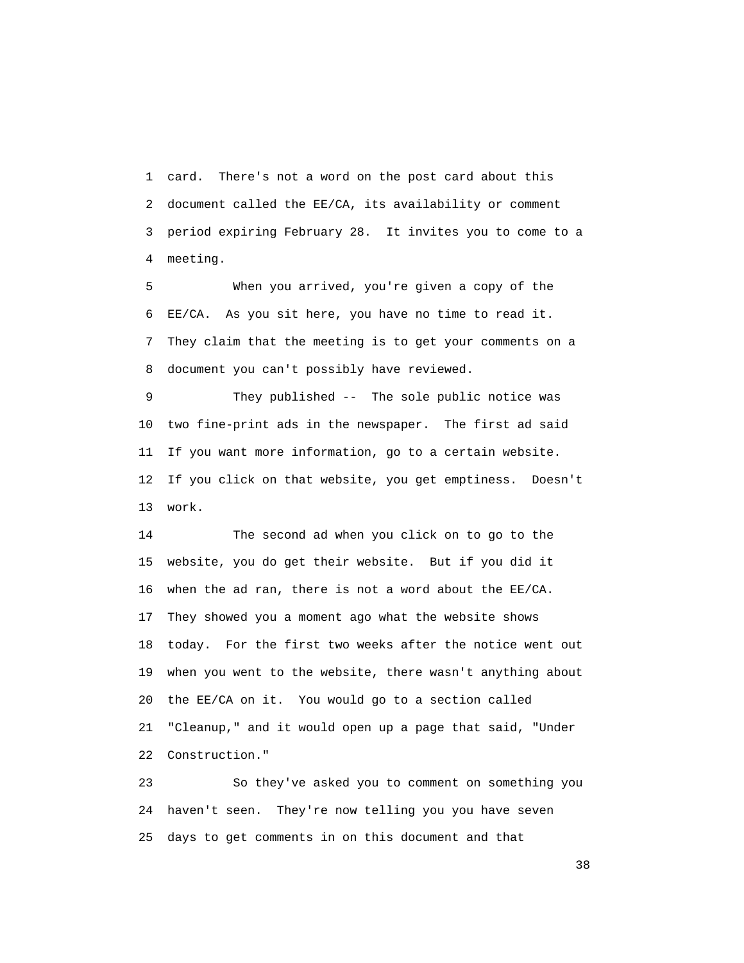1 card. There's not a word on the post card about this 2 document called the EE/CA, its availability or comment 3 period expiring February 28. It invites you to come to a 4 meeting.

 5 When you arrived, you're given a copy of the 6 EE/CA. As you sit here, you have no time to read it. 7 They claim that the meeting is to get your comments on a 8 document you can't possibly have reviewed.

 9 They published -- The sole public notice was 10 two fine-print ads in the newspaper. The first ad said 11 If you want more information, go to a certain website. 12 If you click on that website, you get emptiness. Doesn't 13 work.

 14 The second ad when you click on to go to the 15 website, you do get their website. But if you did it 16 when the ad ran, there is not a word about the EE/CA. 17 They showed you a moment ago what the website shows 18 today. For the first two weeks after the notice went out 19 when you went to the website, there wasn't anything about 20 the EE/CA on it. You would go to a section called 21 "Cleanup," and it would open up a page that said, "Under 22 Construction."

 23 So they've asked you to comment on something you 24 haven't seen. They're now telling you you have seven 25 days to get comments in on this document and that

<u>38</u> and the state of the state of the state of the state of the state of the state of the state of the state of the state of the state of the state of the state of the state of the state of the state of the state of the s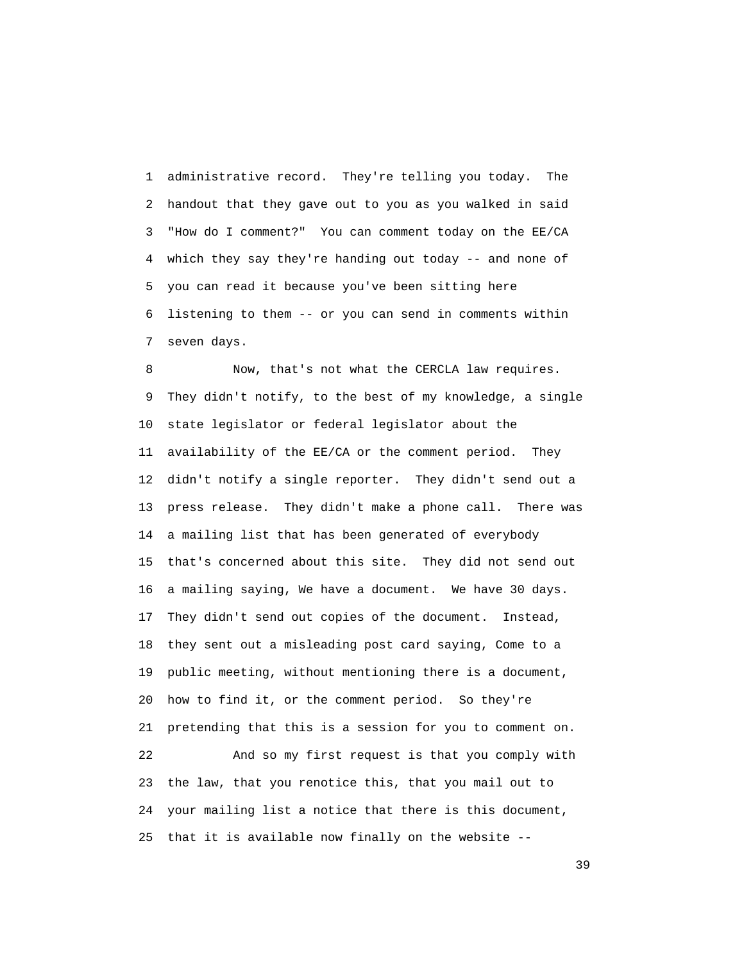1 administrative record. They're telling you today. The 2 handout that they gave out to you as you walked in said 3 "How do I comment?" You can comment today on the EE/CA 4 which they say they're handing out today -- and none of 5 you can read it because you've been sitting here 6 listening to them -- or you can send in comments within 7 seven days.

 8 Now, that's not what the CERCLA law requires. 9 They didn't notify, to the best of my knowledge, a single 10 state legislator or federal legislator about the 11 availability of the EE/CA or the comment period. They 12 didn't notify a single reporter. They didn't send out a 13 press release. They didn't make a phone call. There was 14 a mailing list that has been generated of everybody 15 that's concerned about this site. They did not send out 16 a mailing saying, We have a document. We have 30 days. 17 They didn't send out copies of the document. Instead, 18 they sent out a misleading post card saying, Come to a 19 public meeting, without mentioning there is a document, 20 how to find it, or the comment period. So they're 21 pretending that this is a session for you to comment on. 22 And so my first request is that you comply with 23 the law, that you renotice this, that you mail out to 24 your mailing list a notice that there is this document, 25 that it is available now finally on the website --

 $39<sup>2</sup>$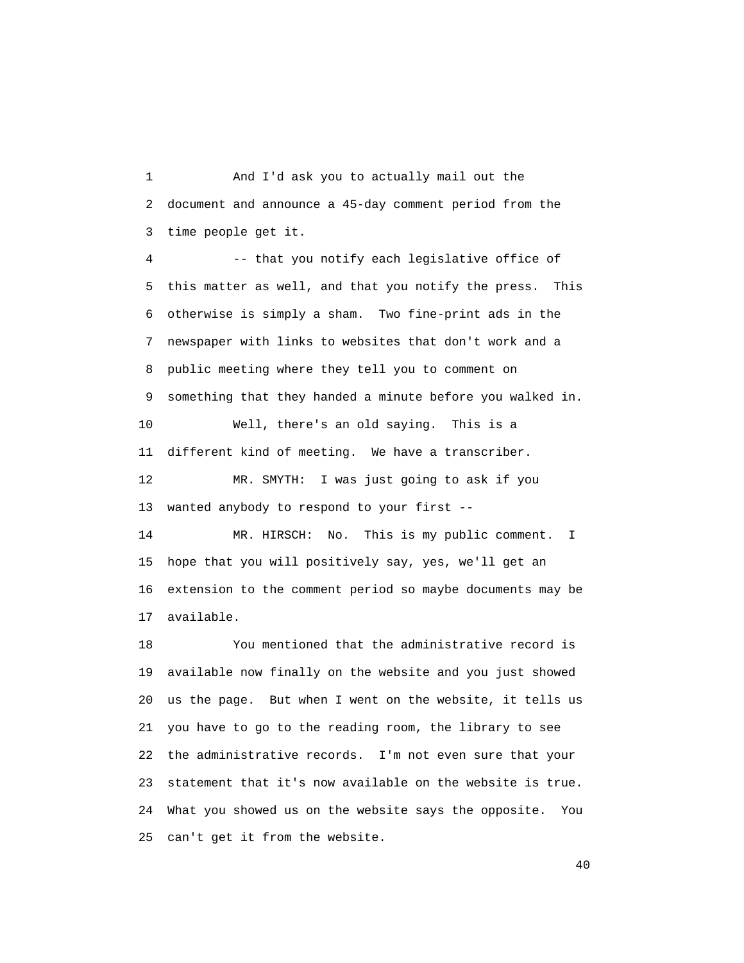1 And I'd ask you to actually mail out the 2 document and announce a 45-day comment period from the 3 time people get it.

 4 -- that you notify each legislative office of 5 this matter as well, and that you notify the press. This 6 otherwise is simply a sham. Two fine-print ads in the 7 newspaper with links to websites that don't work and a 8 public meeting where they tell you to comment on 9 something that they handed a minute before you walked in. 10 Well, there's an old saying. This is a 11 different kind of meeting. We have a transcriber. 12 MR. SMYTH: I was just going to ask if you 13 wanted anybody to respond to your first --

 14 MR. HIRSCH: No. This is my public comment. I 15 hope that you will positively say, yes, we'll get an 16 extension to the comment period so maybe documents may be 17 available.

 18 You mentioned that the administrative record is 19 available now finally on the website and you just showed 20 us the page. But when I went on the website, it tells us 21 you have to go to the reading room, the library to see 22 the administrative records. I'm not even sure that your 23 statement that it's now available on the website is true. 24 What you showed us on the website says the opposite. You 25 can't get it from the website.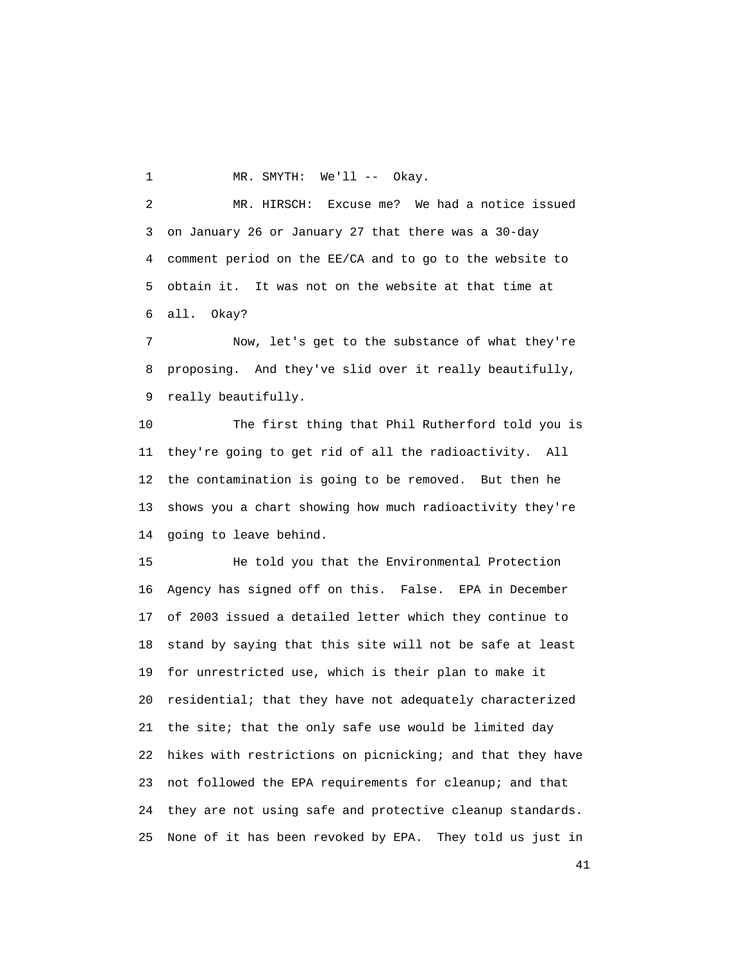1 MR. SMYTH: We'll -- Okay.

 2 MR. HIRSCH: Excuse me? We had a notice issued 3 on January 26 or January 27 that there was a 30-day 4 comment period on the EE/CA and to go to the website to 5 obtain it. It was not on the website at that time at 6 all. Okay?

 7 Now, let's get to the substance of what they're 8 proposing. And they've slid over it really beautifully, 9 really beautifully.

 10 The first thing that Phil Rutherford told you is 11 they're going to get rid of all the radioactivity. All 12 the contamination is going to be removed. But then he 13 shows you a chart showing how much radioactivity they're 14 going to leave behind.

 15 He told you that the Environmental Protection 16 Agency has signed off on this. False. EPA in December 17 of 2003 issued a detailed letter which they continue to 18 stand by saying that this site will not be safe at least 19 for unrestricted use, which is their plan to make it 20 residential; that they have not adequately characterized 21 the site; that the only safe use would be limited day 22 hikes with restrictions on picnicking; and that they have 23 not followed the EPA requirements for cleanup; and that 24 they are not using safe and protective cleanup standards. 25 None of it has been revoked by EPA. They told us just in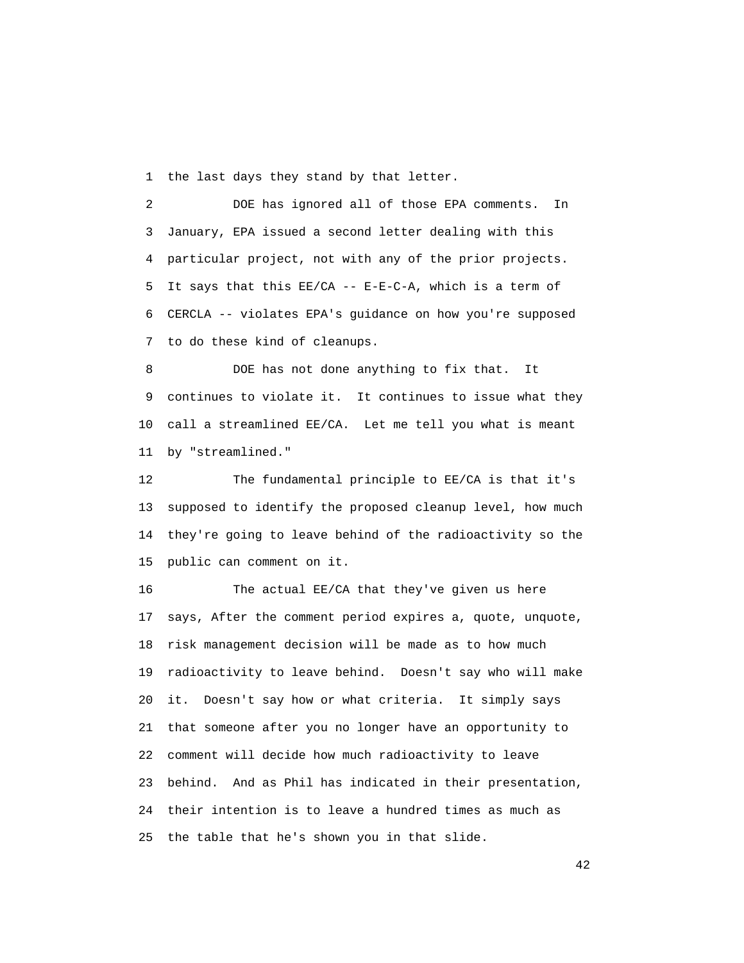1 the last days they stand by that letter.

 2 DOE has ignored all of those EPA comments. In 3 January, EPA issued a second letter dealing with this 4 particular project, not with any of the prior projects. 5 It says that this EE/CA -- E-E-C-A, which is a term of 6 CERCLA -- violates EPA's guidance on how you're supposed 7 to do these kind of cleanups.

 8 DOE has not done anything to fix that. It 9 continues to violate it. It continues to issue what they 10 call a streamlined EE/CA. Let me tell you what is meant 11 by "streamlined."

 12 The fundamental principle to EE/CA is that it's 13 supposed to identify the proposed cleanup level, how much 14 they're going to leave behind of the radioactivity so the 15 public can comment on it.

 16 The actual EE/CA that they've given us here 17 says, After the comment period expires a, quote, unquote, 18 risk management decision will be made as to how much 19 radioactivity to leave behind. Doesn't say who will make 20 it. Doesn't say how or what criteria. It simply says 21 that someone after you no longer have an opportunity to 22 comment will decide how much radioactivity to leave 23 behind. And as Phil has indicated in their presentation, 24 their intention is to leave a hundred times as much as 25 the table that he's shown you in that slide.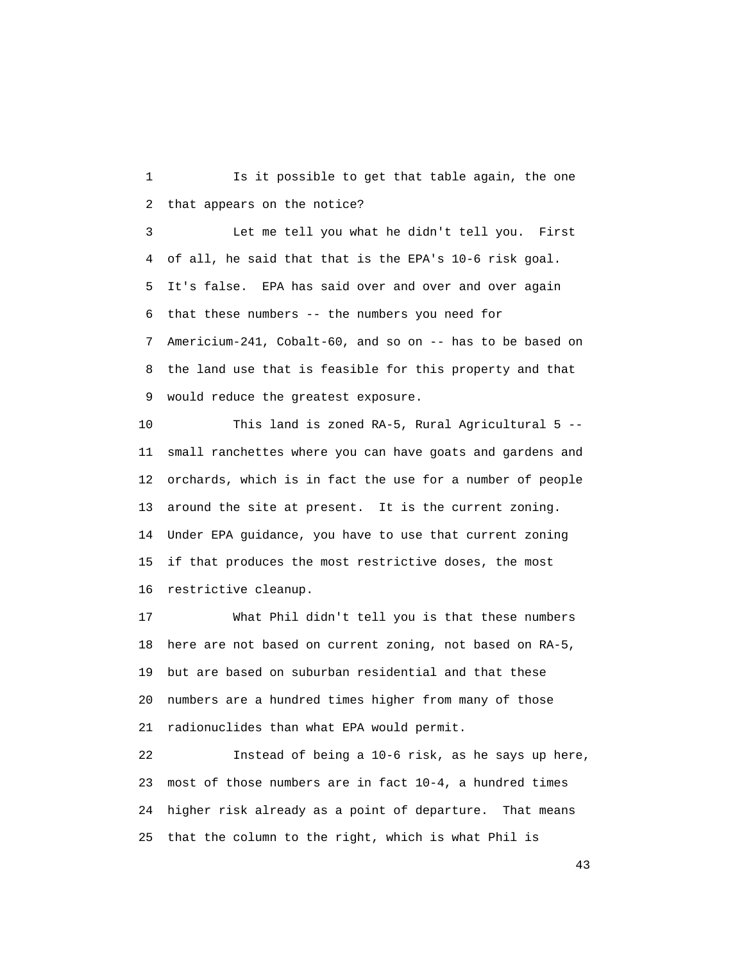1 Is it possible to get that table again, the one 2 that appears on the notice?

 3 Let me tell you what he didn't tell you. First 4 of all, he said that that is the EPA's 10-6 risk goal. 5 It's false. EPA has said over and over and over again 6 that these numbers -- the numbers you need for 7 Americium-241, Cobalt-60, and so on -- has to be based on 8 the land use that is feasible for this property and that 9 would reduce the greatest exposure.

 10 This land is zoned RA-5, Rural Agricultural 5 -- 11 small ranchettes where you can have goats and gardens and 12 orchards, which is in fact the use for a number of people 13 around the site at present. It is the current zoning. 14 Under EPA guidance, you have to use that current zoning 15 if that produces the most restrictive doses, the most 16 restrictive cleanup.

 17 What Phil didn't tell you is that these numbers 18 here are not based on current zoning, not based on RA-5, 19 but are based on suburban residential and that these 20 numbers are a hundred times higher from many of those 21 radionuclides than what EPA would permit.

 22 Instead of being a 10-6 risk, as he says up here, 23 most of those numbers are in fact 10-4, a hundred times 24 higher risk already as a point of departure. That means 25 that the column to the right, which is what Phil is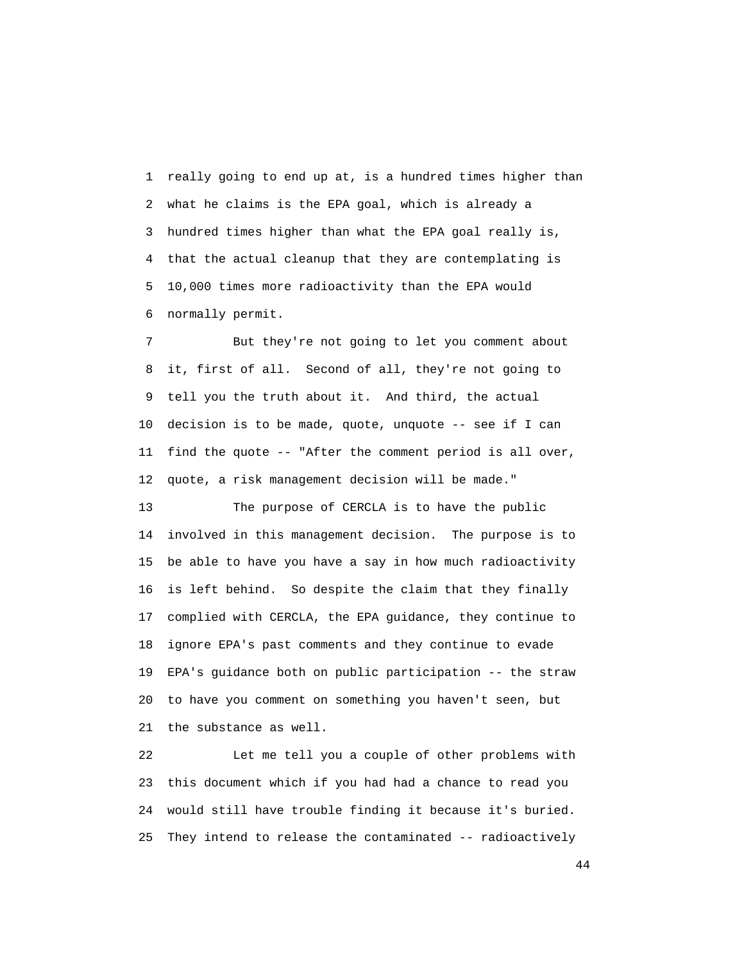1 really going to end up at, is a hundred times higher than 2 what he claims is the EPA goal, which is already a 3 hundred times higher than what the EPA goal really is, 4 that the actual cleanup that they are contemplating is 5 10,000 times more radioactivity than the EPA would 6 normally permit.

 7 But they're not going to let you comment about 8 it, first of all. Second of all, they're not going to 9 tell you the truth about it. And third, the actual 10 decision is to be made, quote, unquote -- see if I can 11 find the quote -- "After the comment period is all over, 12 quote, a risk management decision will be made."

 13 The purpose of CERCLA is to have the public 14 involved in this management decision. The purpose is to 15 be able to have you have a say in how much radioactivity 16 is left behind. So despite the claim that they finally 17 complied with CERCLA, the EPA guidance, they continue to 18 ignore EPA's past comments and they continue to evade 19 EPA's guidance both on public participation -- the straw 20 to have you comment on something you haven't seen, but 21 the substance as well.

 22 Let me tell you a couple of other problems with 23 this document which if you had had a chance to read you 24 would still have trouble finding it because it's buried. 25 They intend to release the contaminated -- radioactively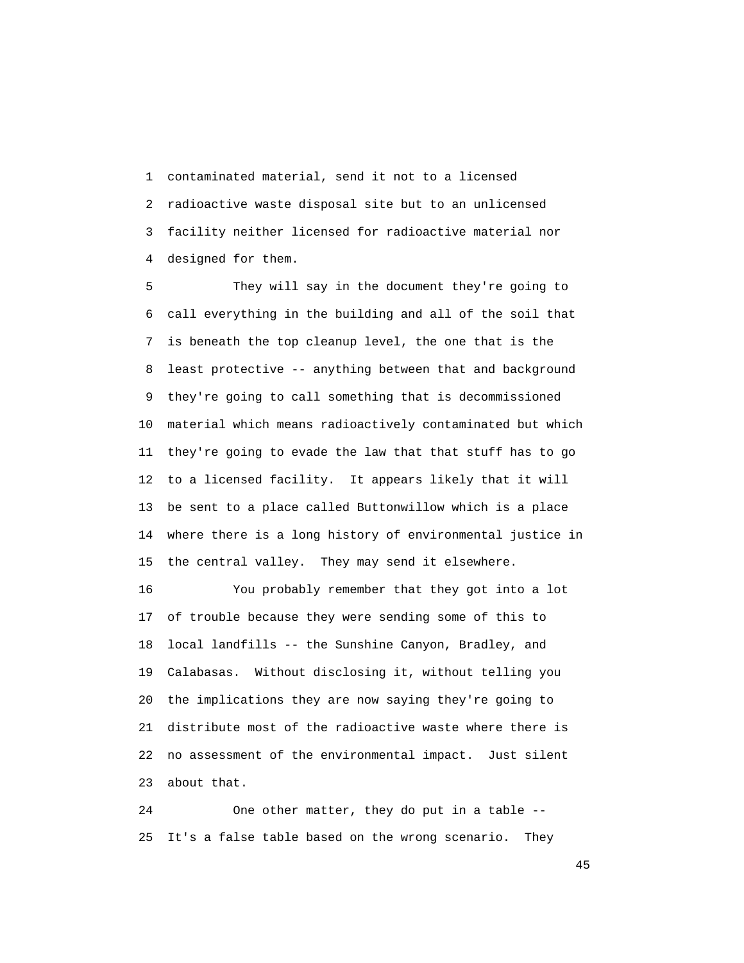1 contaminated material, send it not to a licensed 2 radioactive waste disposal site but to an unlicensed 3 facility neither licensed for radioactive material nor 4 designed for them.

 5 They will say in the document they're going to 6 call everything in the building and all of the soil that 7 is beneath the top cleanup level, the one that is the 8 least protective -- anything between that and background 9 they're going to call something that is decommissioned 10 material which means radioactively contaminated but which 11 they're going to evade the law that that stuff has to go 12 to a licensed facility. It appears likely that it will 13 be sent to a place called Buttonwillow which is a place 14 where there is a long history of environmental justice in 15 the central valley. They may send it elsewhere.

 16 You probably remember that they got into a lot 17 of trouble because they were sending some of this to 18 local landfills -- the Sunshine Canyon, Bradley, and 19 Calabasas. Without disclosing it, without telling you 20 the implications they are now saying they're going to 21 distribute most of the radioactive waste where there is 22 no assessment of the environmental impact. Just silent 23 about that.

 24 One other matter, they do put in a table -- 25 It's a false table based on the wrong scenario. They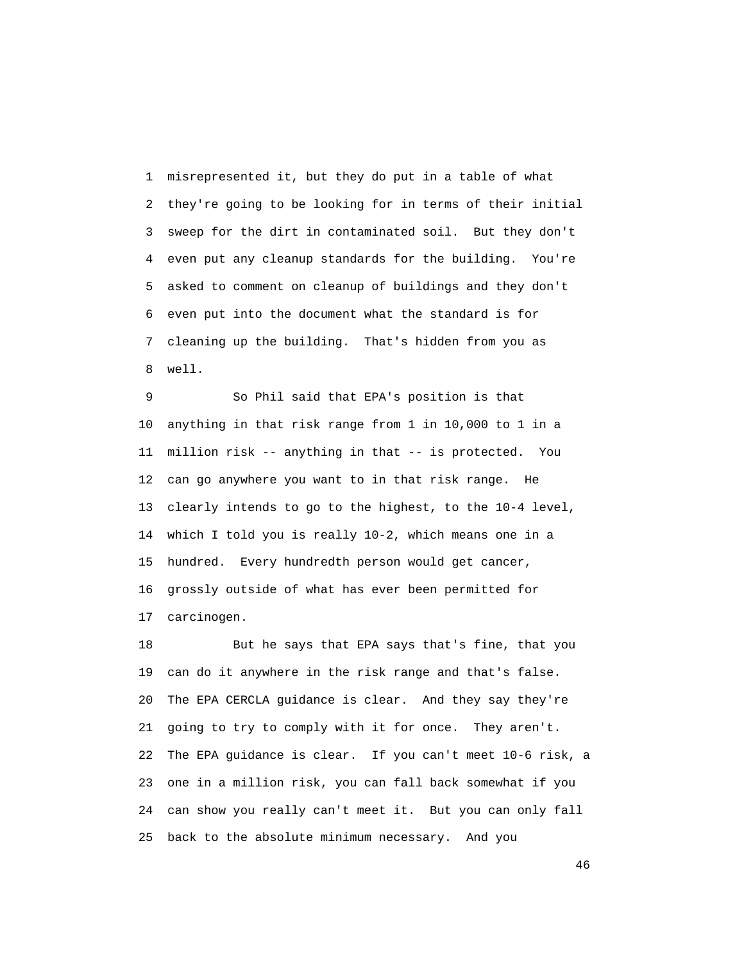1 misrepresented it, but they do put in a table of what 2 they're going to be looking for in terms of their initial 3 sweep for the dirt in contaminated soil. But they don't 4 even put any cleanup standards for the building. You're 5 asked to comment on cleanup of buildings and they don't 6 even put into the document what the standard is for 7 cleaning up the building. That's hidden from you as 8 well.

 9 So Phil said that EPA's position is that 10 anything in that risk range from 1 in 10,000 to 1 in a 11 million risk -- anything in that -- is protected. You 12 can go anywhere you want to in that risk range. He 13 clearly intends to go to the highest, to the 10-4 level, 14 which I told you is really 10-2, which means one in a 15 hundred. Every hundredth person would get cancer, 16 grossly outside of what has ever been permitted for 17 carcinogen.

 18 But he says that EPA says that's fine, that you 19 can do it anywhere in the risk range and that's false. 20 The EPA CERCLA guidance is clear. And they say they're 21 going to try to comply with it for once. They aren't. 22 The EPA guidance is clear. If you can't meet 10-6 risk, a 23 one in a million risk, you can fall back somewhat if you 24 can show you really can't meet it. But you can only fall 25 back to the absolute minimum necessary. And you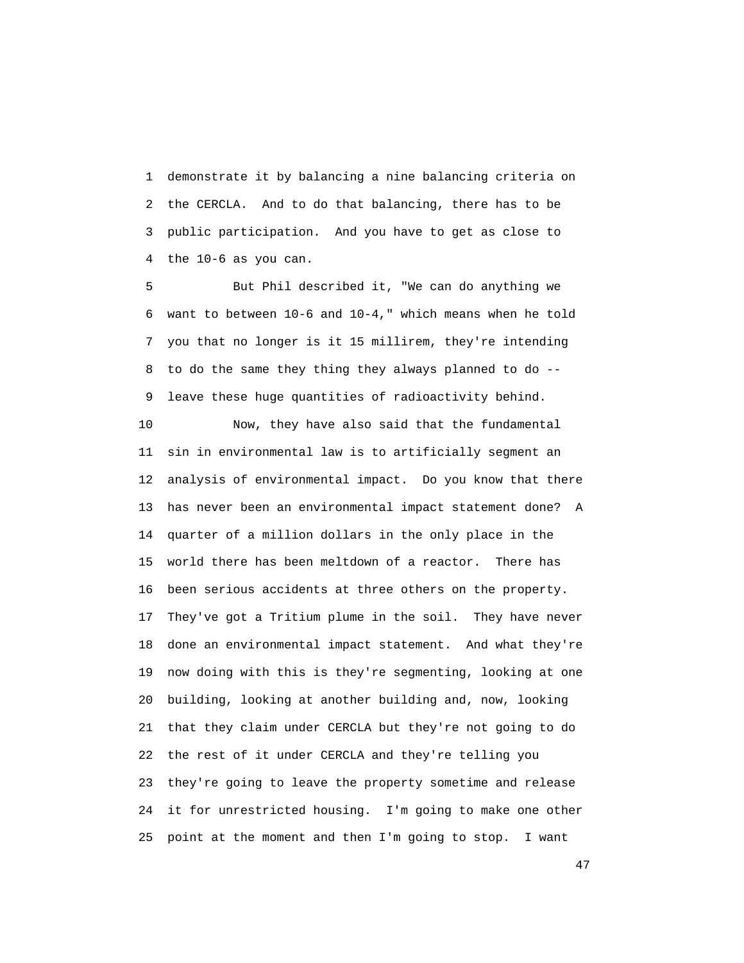1 demonstrate it by balancing a nine balancing criteria on 2 the CERCLA. And to do that balancing, there has to be 3 public participation. And you have to get as close to 4 the 10-6 as you can.

 5 But Phil described it, "We can do anything we 6 want to between 10-6 and 10-4," which means when he told 7 you that no longer is it 15 millirem, they're intending 8 to do the same they thing they always planned to do -- 9 leave these huge quantities of radioactivity behind.

 10 Now, they have also said that the fundamental 11 sin in environmental law is to artificially segment an 12 analysis of environmental impact. Do you know that there 13 has never been an environmental impact statement done? A 14 quarter of a million dollars in the only place in the 15 world there has been meltdown of a reactor. There has 16 been serious accidents at three others on the property. 17 They've got a Tritium plume in the soil. They have never 18 done an environmental impact statement. And what they're 19 now doing with this is they're segmenting, looking at one 20 building, looking at another building and, now, looking 21 that they claim under CERCLA but they're not going to do 22 the rest of it under CERCLA and they're telling you 23 they're going to leave the property sometime and release 24 it for unrestricted housing. I'm going to make one other 25 point at the moment and then I'm going to stop. I want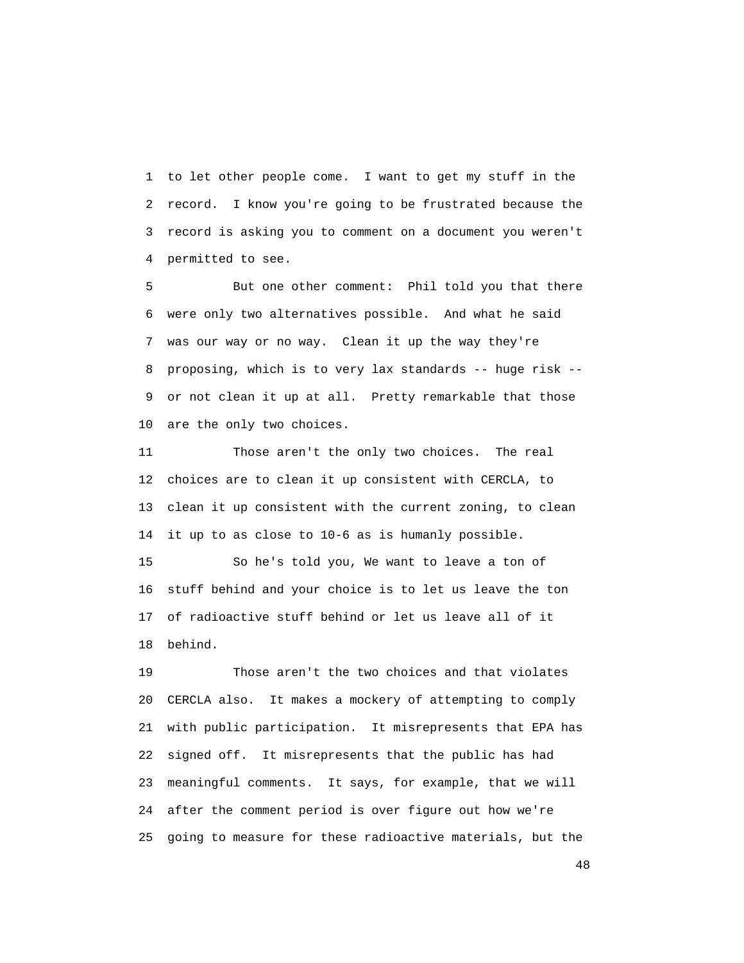1 to let other people come. I want to get my stuff in the 2 record. I know you're going to be frustrated because the 3 record is asking you to comment on a document you weren't 4 permitted to see.

 5 But one other comment: Phil told you that there 6 were only two alternatives possible. And what he said 7 was our way or no way. Clean it up the way they're 8 proposing, which is to very lax standards -- huge risk -- 9 or not clean it up at all. Pretty remarkable that those 10 are the only two choices.

 11 Those aren't the only two choices. The real 12 choices are to clean it up consistent with CERCLA, to 13 clean it up consistent with the current zoning, to clean 14 it up to as close to 10-6 as is humanly possible.

 15 So he's told you, We want to leave a ton of 16 stuff behind and your choice is to let us leave the ton 17 of radioactive stuff behind or let us leave all of it 18 behind.

 19 Those aren't the two choices and that violates 20 CERCLA also. It makes a mockery of attempting to comply 21 with public participation. It misrepresents that EPA has 22 signed off. It misrepresents that the public has had 23 meaningful comments. It says, for example, that we will 24 after the comment period is over figure out how we're 25 going to measure for these radioactive materials, but the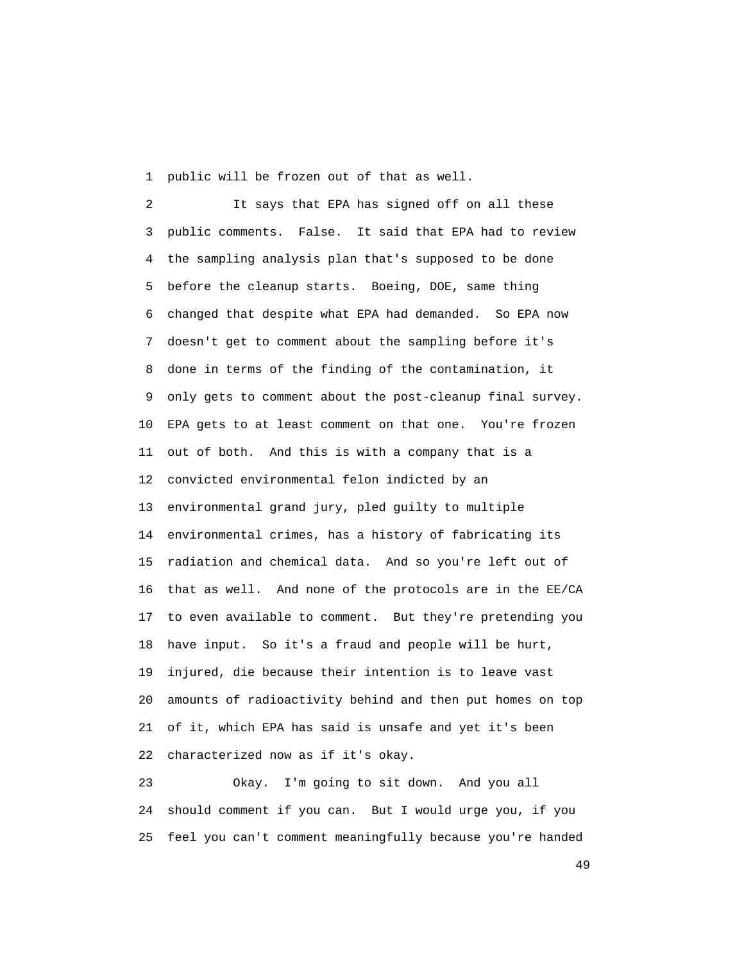1 public will be frozen out of that as well.

 2 It says that EPA has signed off on all these 3 public comments. False. It said that EPA had to review 4 the sampling analysis plan that's supposed to be done 5 before the cleanup starts. Boeing, DOE, same thing 6 changed that despite what EPA had demanded. So EPA now 7 doesn't get to comment about the sampling before it's 8 done in terms of the finding of the contamination, it 9 only gets to comment about the post-cleanup final survey. 10 EPA gets to at least comment on that one. You're frozen 11 out of both. And this is with a company that is a 12 convicted environmental felon indicted by an 13 environmental grand jury, pled guilty to multiple 14 environmental crimes, has a history of fabricating its 15 radiation and chemical data. And so you're left out of 16 that as well. And none of the protocols are in the EE/CA 17 to even available to comment. But they're pretending you 18 have input. So it's a fraud and people will be hurt, 19 injured, die because their intention is to leave vast 20 amounts of radioactivity behind and then put homes on top 21 of it, which EPA has said is unsafe and yet it's been 22 characterized now as if it's okay.

 23 Okay. I'm going to sit down. And you all 24 should comment if you can. But I would urge you, if you 25 feel you can't comment meaningfully because you're handed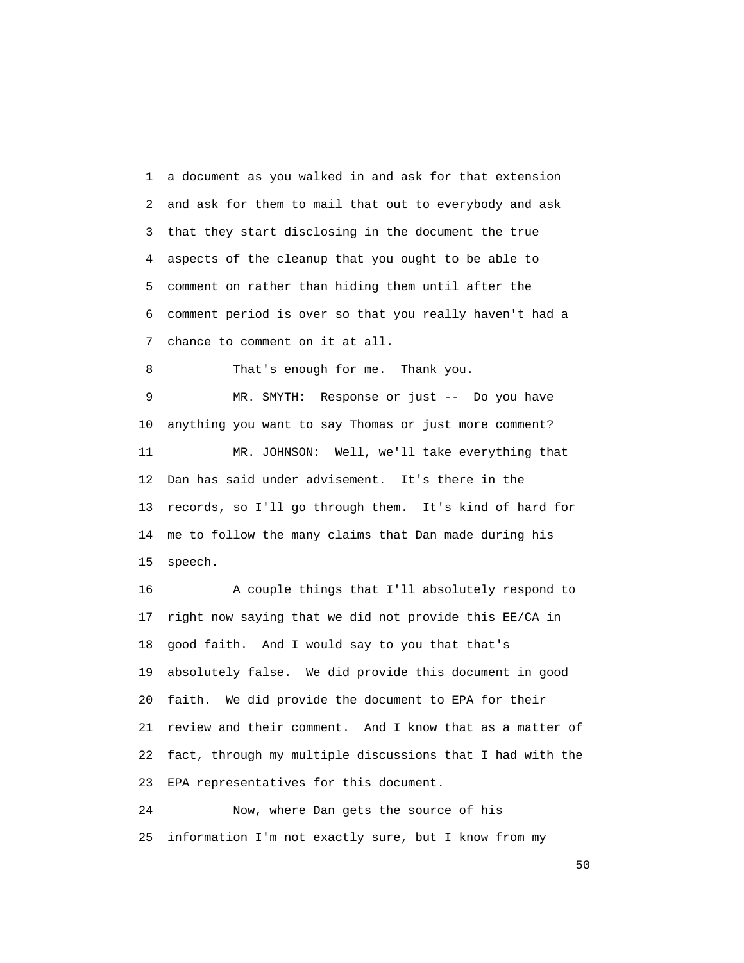1 a document as you walked in and ask for that extension 2 and ask for them to mail that out to everybody and ask 3 that they start disclosing in the document the true 4 aspects of the cleanup that you ought to be able to 5 comment on rather than hiding them until after the 6 comment period is over so that you really haven't had a 7 chance to comment on it at all.

8 That's enough for me. Thank you.

 9 MR. SMYTH: Response or just -- Do you have 10 anything you want to say Thomas or just more comment? 11 MR. JOHNSON: Well, we'll take everything that 12 Dan has said under advisement. It's there in the 13 records, so I'll go through them. It's kind of hard for 14 me to follow the many claims that Dan made during his 15 speech.

 16 A couple things that I'll absolutely respond to 17 right now saying that we did not provide this EE/CA in 18 good faith. And I would say to you that that's 19 absolutely false. We did provide this document in good 20 faith. We did provide the document to EPA for their 21 review and their comment. And I know that as a matter of 22 fact, through my multiple discussions that I had with the 23 EPA representatives for this document.

 24 Now, where Dan gets the source of his 25 information I'm not exactly sure, but I know from my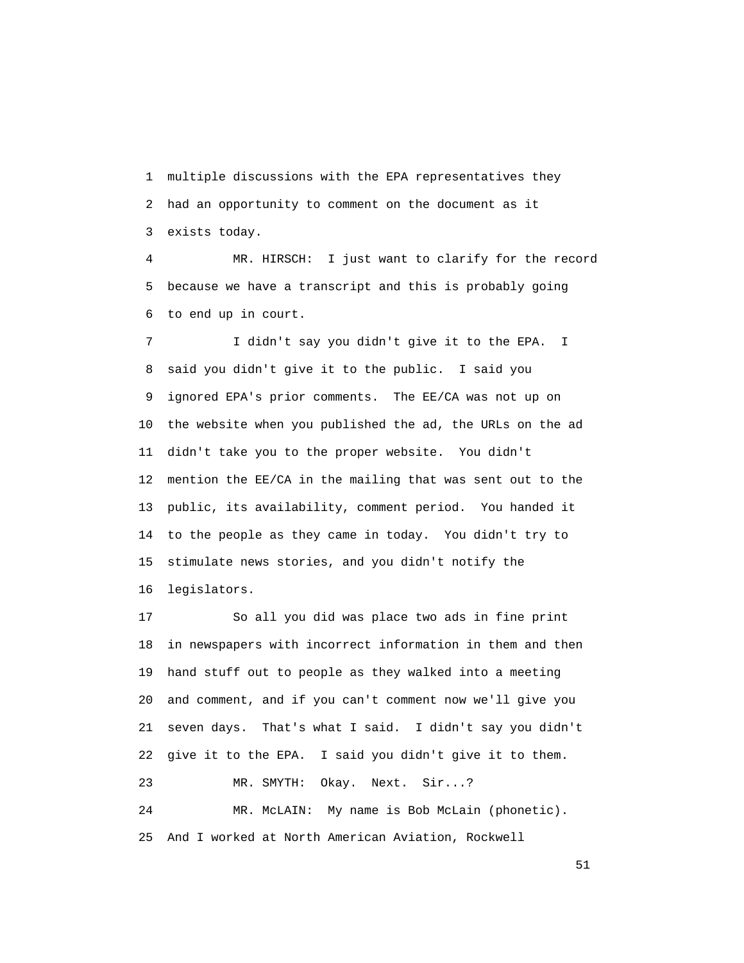1 multiple discussions with the EPA representatives they 2 had an opportunity to comment on the document as it 3 exists today.

 4 MR. HIRSCH: I just want to clarify for the record 5 because we have a transcript and this is probably going 6 to end up in court.

 7 I didn't say you didn't give it to the EPA. I 8 said you didn't give it to the public. I said you 9 ignored EPA's prior comments. The EE/CA was not up on 10 the website when you published the ad, the URLs on the ad 11 didn't take you to the proper website. You didn't 12 mention the EE/CA in the mailing that was sent out to the 13 public, its availability, comment period. You handed it 14 to the people as they came in today. You didn't try to 15 stimulate news stories, and you didn't notify the 16 legislators.

 17 So all you did was place two ads in fine print 18 in newspapers with incorrect information in them and then 19 hand stuff out to people as they walked into a meeting 20 and comment, and if you can't comment now we'll give you 21 seven days. That's what I said. I didn't say you didn't 22 give it to the EPA. I said you didn't give it to them. 23 MR. SMYTH: Okay. Next. Sir...? 24 MR. McLAIN: My name is Bob McLain (phonetic). 25 And I worked at North American Aviation, Rockwell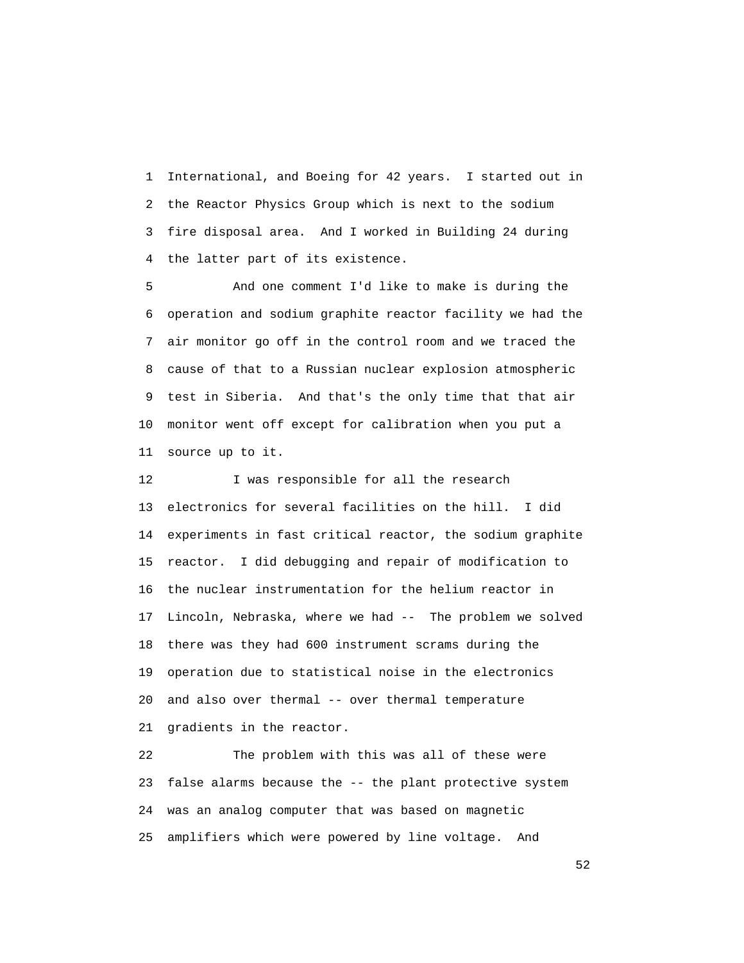1 International, and Boeing for 42 years. I started out in 2 the Reactor Physics Group which is next to the sodium 3 fire disposal area. And I worked in Building 24 during 4 the latter part of its existence.

 5 And one comment I'd like to make is during the 6 operation and sodium graphite reactor facility we had the 7 air monitor go off in the control room and we traced the 8 cause of that to a Russian nuclear explosion atmospheric 9 test in Siberia. And that's the only time that that air 10 monitor went off except for calibration when you put a 11 source up to it.

12 I was responsible for all the research 13 electronics for several facilities on the hill. I did 14 experiments in fast critical reactor, the sodium graphite 15 reactor. I did debugging and repair of modification to 16 the nuclear instrumentation for the helium reactor in 17 Lincoln, Nebraska, where we had -- The problem we solved 18 there was they had 600 instrument scrams during the 19 operation due to statistical noise in the electronics 20 and also over thermal -- over thermal temperature 21 gradients in the reactor.

 22 The problem with this was all of these were 23 false alarms because the -- the plant protective system 24 was an analog computer that was based on magnetic 25 amplifiers which were powered by line voltage. And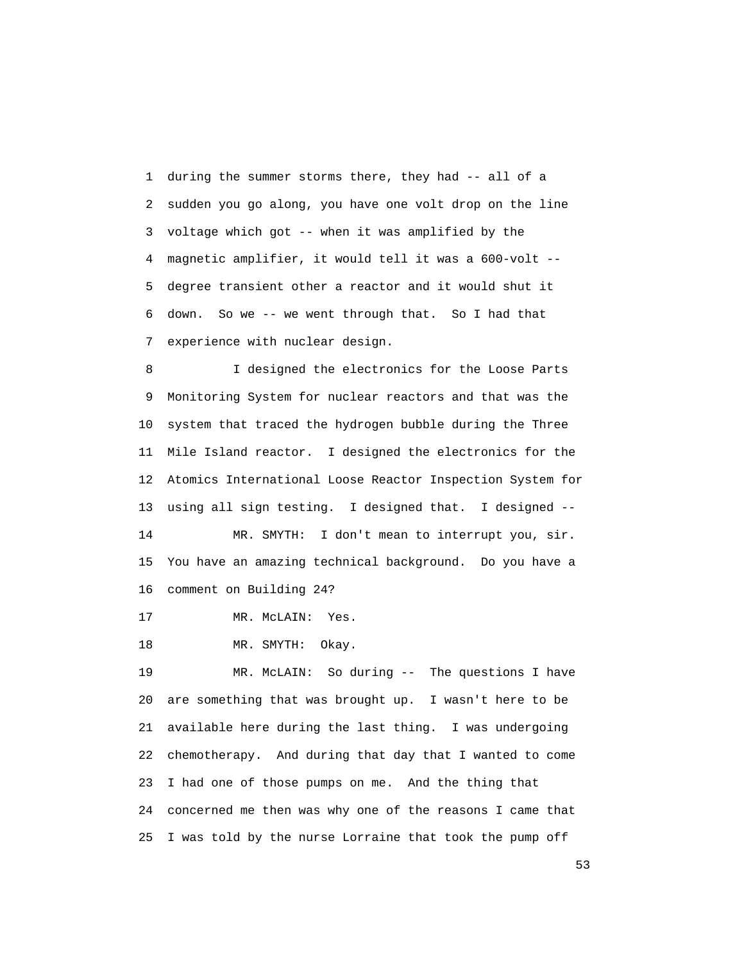1 during the summer storms there, they had -- all of a 2 sudden you go along, you have one volt drop on the line 3 voltage which got -- when it was amplified by the 4 magnetic amplifier, it would tell it was a 600-volt -- 5 degree transient other a reactor and it would shut it 6 down. So we -- we went through that. So I had that 7 experience with nuclear design.

 8 I designed the electronics for the Loose Parts 9 Monitoring System for nuclear reactors and that was the 10 system that traced the hydrogen bubble during the Three 11 Mile Island reactor. I designed the electronics for the 12 Atomics International Loose Reactor Inspection System for 13 using all sign testing. I designed that. I designed --

 14 MR. SMYTH: I don't mean to interrupt you, sir. 15 You have an amazing technical background. Do you have a 16 comment on Building 24?

17 MR. McLAIN: Yes.

18 MR. SMYTH: Okay.

 19 MR. McLAIN: So during -- The questions I have 20 are something that was brought up. I wasn't here to be 21 available here during the last thing. I was undergoing 22 chemotherapy. And during that day that I wanted to come 23 I had one of those pumps on me. And the thing that 24 concerned me then was why one of the reasons I came that 25 I was told by the nurse Lorraine that took the pump off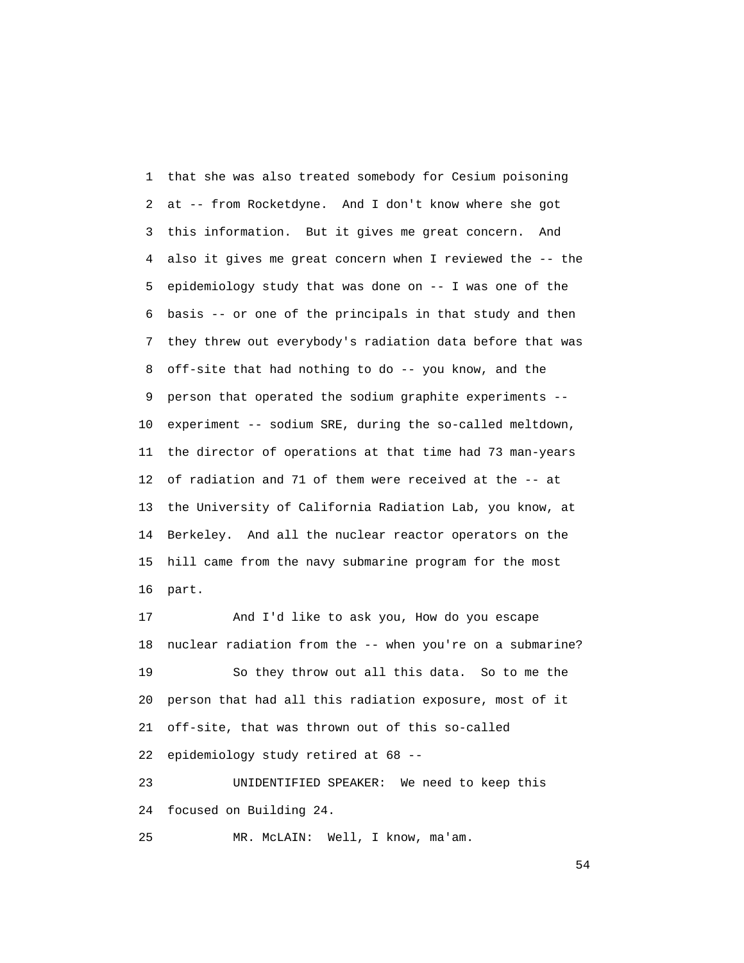1 that she was also treated somebody for Cesium poisoning 2 at -- from Rocketdyne. And I don't know where she got 3 this information. But it gives me great concern. And 4 also it gives me great concern when I reviewed the -- the 5 epidemiology study that was done on -- I was one of the 6 basis -- or one of the principals in that study and then 7 they threw out everybody's radiation data before that was 8 off-site that had nothing to do -- you know, and the 9 person that operated the sodium graphite experiments -- 10 experiment -- sodium SRE, during the so-called meltdown, 11 the director of operations at that time had 73 man-years 12 of radiation and 71 of them were received at the -- at 13 the University of California Radiation Lab, you know, at 14 Berkeley. And all the nuclear reactor operators on the 15 hill came from the navy submarine program for the most 16 part.

 17 And I'd like to ask you, How do you escape 18 nuclear radiation from the -- when you're on a submarine? 19 So they throw out all this data. So to me the 20 person that had all this radiation exposure, most of it 21 off-site, that was thrown out of this so-called 22 epidemiology study retired at 68 --

 23 UNIDENTIFIED SPEAKER: We need to keep this 24 focused on Building 24.

25 MR. McLAIN: Well, I know, ma'am.

 $54<sup>th</sup>$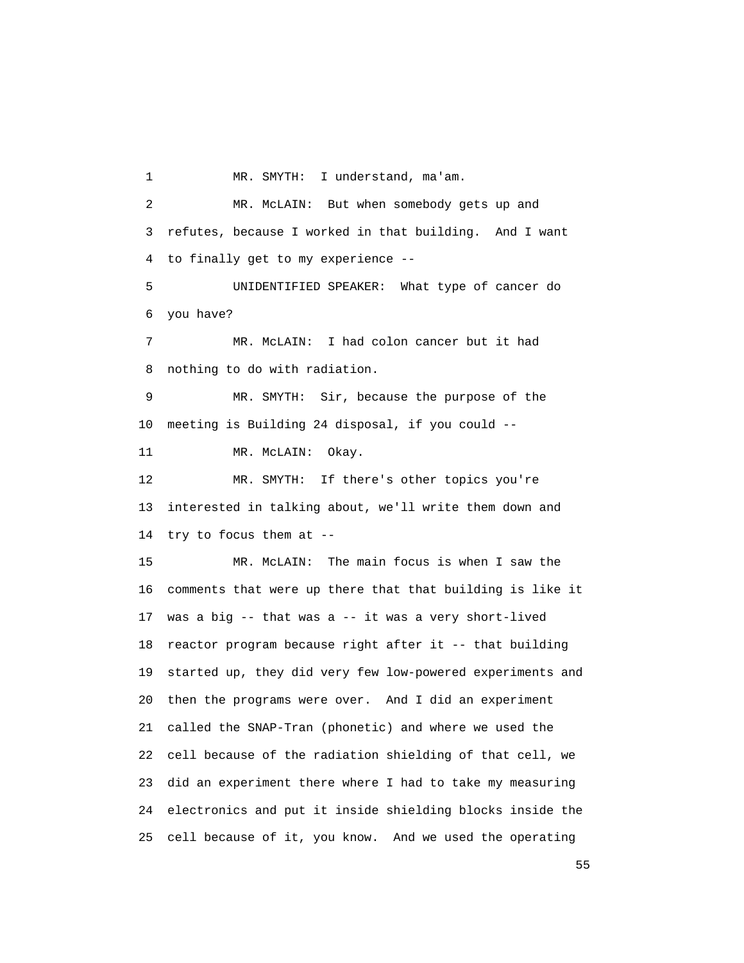1 MR. SMYTH: I understand, ma'am. 2 MR. McLAIN: But when somebody gets up and 3 refutes, because I worked in that building. And I want 4 to finally get to my experience -- 5 UNIDENTIFIED SPEAKER: What type of cancer do 6 you have? 7 MR. McLAIN: I had colon cancer but it had 8 nothing to do with radiation. 9 MR. SMYTH: Sir, because the purpose of the 10 meeting is Building 24 disposal, if you could -- 11 MR. McLAIN: Okay. 12 MR. SMYTH: If there's other topics you're 13 interested in talking about, we'll write them down and 14 try to focus them at -- 15 MR. McLAIN: The main focus is when I saw the 16 comments that were up there that that building is like it 17 was a big -- that was a -- it was a very short-lived 18 reactor program because right after it -- that building 19 started up, they did very few low-powered experiments and 20 then the programs were over. And I did an experiment 21 called the SNAP-Tran (phonetic) and where we used the 22 cell because of the radiation shielding of that cell, we 23 did an experiment there where I had to take my measuring 24 electronics and put it inside shielding blocks inside the 25 cell because of it, you know. And we used the operating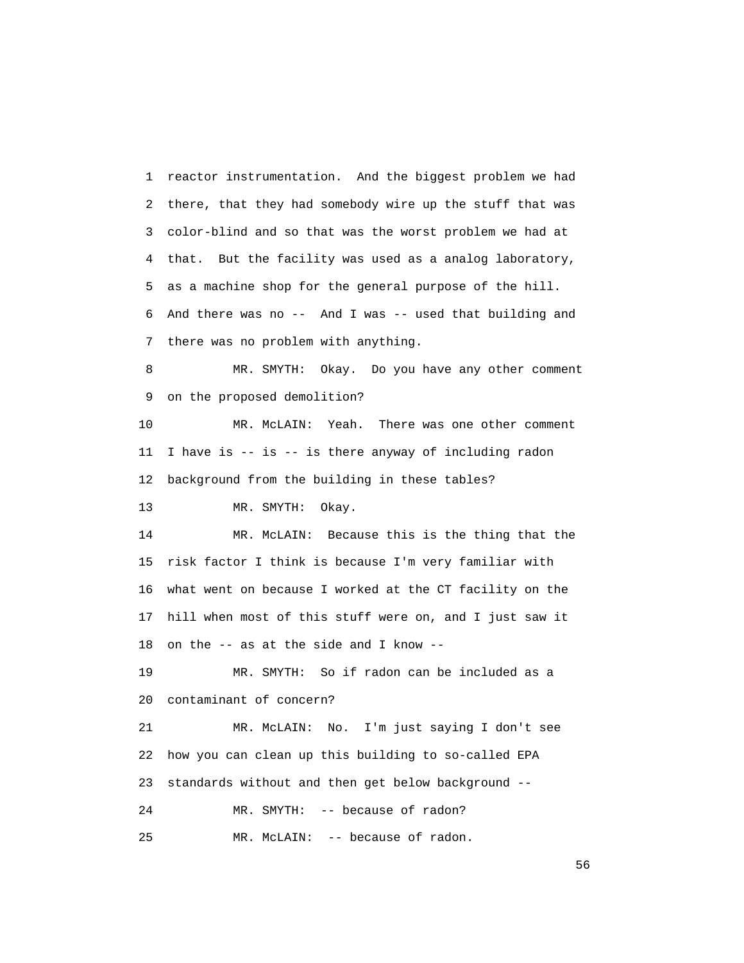1 reactor instrumentation. And the biggest problem we had 2 there, that they had somebody wire up the stuff that was 3 color-blind and so that was the worst problem we had at 4 that. But the facility was used as a analog laboratory, 5 as a machine shop for the general purpose of the hill. 6 And there was no -- And I was -- used that building and 7 there was no problem with anything.

 8 MR. SMYTH: Okay. Do you have any other comment 9 on the proposed demolition?

 10 MR. McLAIN: Yeah. There was one other comment 11 I have is -- is -- is there anyway of including radon 12 background from the building in these tables?

13 MR. SMYTH: Okay.

 14 MR. McLAIN: Because this is the thing that the 15 risk factor I think is because I'm very familiar with 16 what went on because I worked at the CT facility on the 17 hill when most of this stuff were on, and I just saw it 18 on the -- as at the side and I know --

 19 MR. SMYTH: So if radon can be included as a 20 contaminant of concern?

 21 MR. McLAIN: No. I'm just saying I don't see 22 how you can clean up this building to so-called EPA 23 standards without and then get below background -- 24 MR. SMYTH: -- because of radon?

25 MR. McLAIN: -- because of radon.

 $56<sup>th</sup>$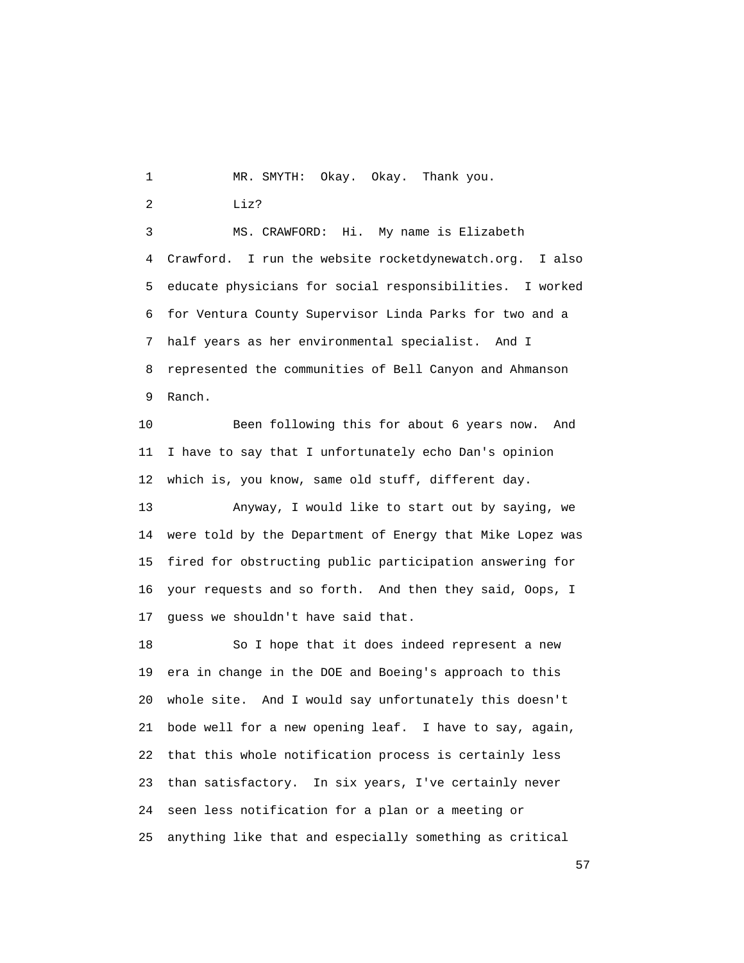1 MR. SMYTH: Okay. Okay. Thank you.

2 Liz?

 3 MS. CRAWFORD: Hi. My name is Elizabeth 4 Crawford. I run the website rocketdynewatch.org. I also 5 educate physicians for social responsibilities. I worked 6 for Ventura County Supervisor Linda Parks for two and a 7 half years as her environmental specialist. And I 8 represented the communities of Bell Canyon and Ahmanson 9 Ranch.

 10 Been following this for about 6 years now. And 11 I have to say that I unfortunately echo Dan's opinion 12 which is, you know, same old stuff, different day.

 13 Anyway, I would like to start out by saying, we 14 were told by the Department of Energy that Mike Lopez was 15 fired for obstructing public participation answering for 16 your requests and so forth. And then they said, Oops, I 17 guess we shouldn't have said that.

 18 So I hope that it does indeed represent a new 19 era in change in the DOE and Boeing's approach to this 20 whole site. And I would say unfortunately this doesn't 21 bode well for a new opening leaf. I have to say, again, 22 that this whole notification process is certainly less 23 than satisfactory. In six years, I've certainly never 24 seen less notification for a plan or a meeting or 25 anything like that and especially something as critical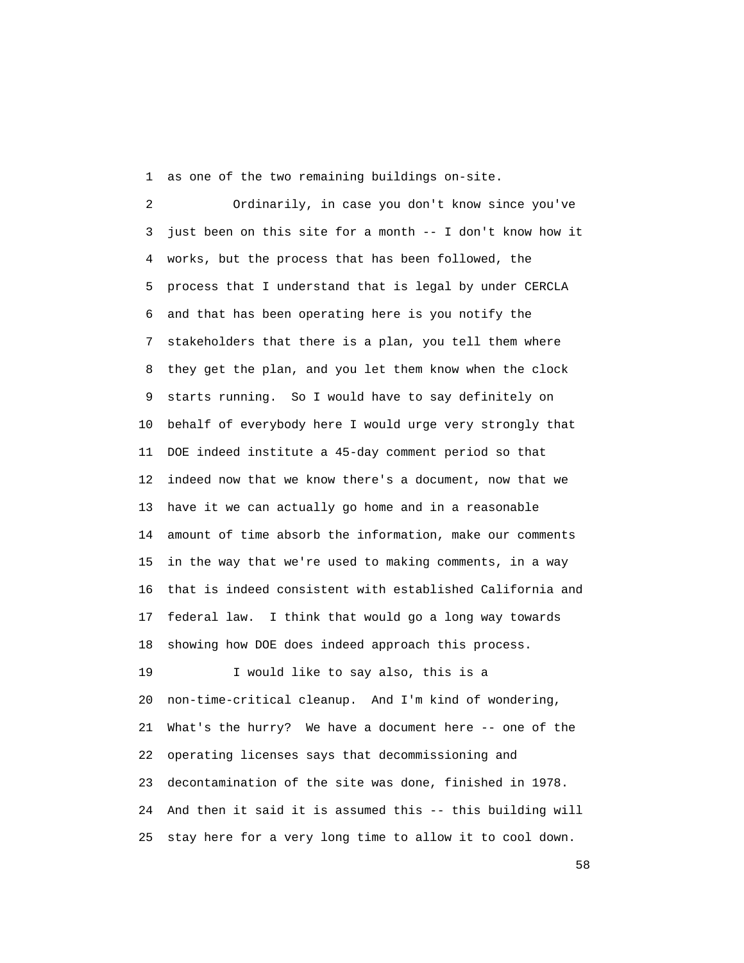1 as one of the two remaining buildings on-site.

 2 Ordinarily, in case you don't know since you've 3 just been on this site for a month -- I don't know how it 4 works, but the process that has been followed, the 5 process that I understand that is legal by under CERCLA 6 and that has been operating here is you notify the 7 stakeholders that there is a plan, you tell them where 8 they get the plan, and you let them know when the clock 9 starts running. So I would have to say definitely on 10 behalf of everybody here I would urge very strongly that 11 DOE indeed institute a 45-day comment period so that 12 indeed now that we know there's a document, now that we 13 have it we can actually go home and in a reasonable 14 amount of time absorb the information, make our comments 15 in the way that we're used to making comments, in a way 16 that is indeed consistent with established California and 17 federal law. I think that would go a long way towards 18 showing how DOE does indeed approach this process. 19 I would like to say also, this is a 20 non-time-critical cleanup. And I'm kind of wondering, 21 What's the hurry? We have a document here -- one of the 22 operating licenses says that decommissioning and 23 decontamination of the site was done, finished in 1978.

 24 And then it said it is assumed this -- this building will 25 stay here for a very long time to allow it to cool down.

the state of the state of the state of the state of the state of the state of the state of the state of the state of the state of the state of the state of the state of the state of the state of the state of the state of t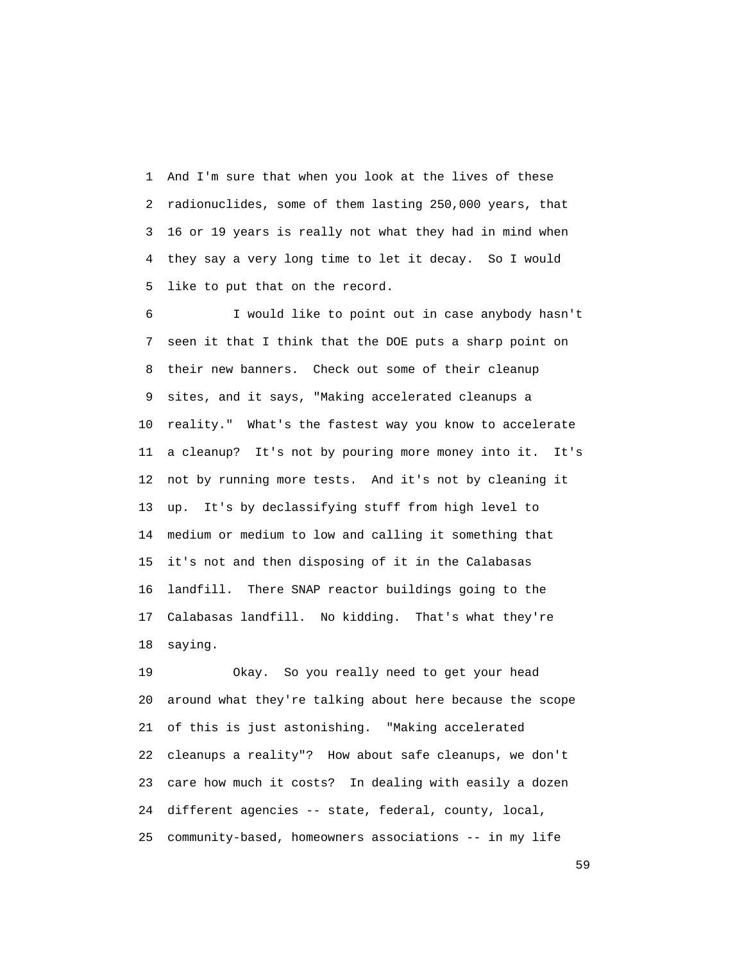1 And I'm sure that when you look at the lives of these 2 radionuclides, some of them lasting 250,000 years, that 3 16 or 19 years is really not what they had in mind when 4 they say a very long time to let it decay. So I would 5 like to put that on the record.

 6 I would like to point out in case anybody hasn't 7 seen it that I think that the DOE puts a sharp point on 8 their new banners. Check out some of their cleanup 9 sites, and it says, "Making accelerated cleanups a 10 reality." What's the fastest way you know to accelerate 11 a cleanup? It's not by pouring more money into it. It's 12 not by running more tests. And it's not by cleaning it 13 up. It's by declassifying stuff from high level to 14 medium or medium to low and calling it something that 15 it's not and then disposing of it in the Calabasas 16 landfill. There SNAP reactor buildings going to the 17 Calabasas landfill. No kidding. That's what they're 18 saying.

 19 Okay. So you really need to get your head 20 around what they're talking about here because the scope 21 of this is just astonishing. "Making accelerated 22 cleanups a reality"? How about safe cleanups, we don't 23 care how much it costs? In dealing with easily a dozen 24 different agencies -- state, federal, county, local, 25 community-based, homeowners associations -- in my life

 $59<sub>59</sub>$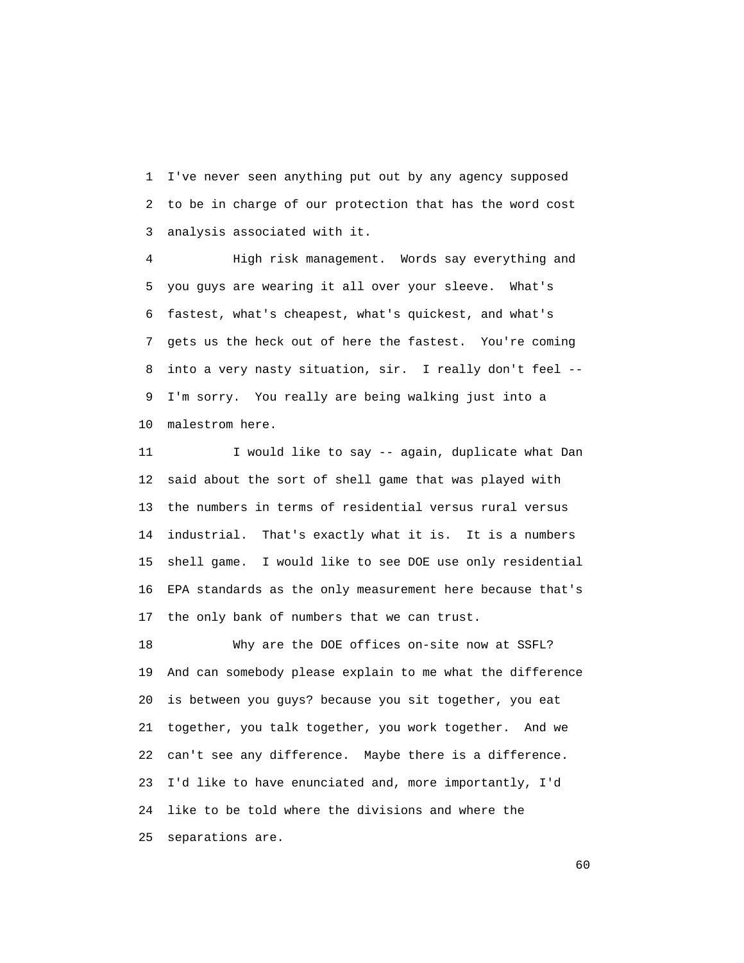1 I've never seen anything put out by any agency supposed 2 to be in charge of our protection that has the word cost 3 analysis associated with it.

 4 High risk management. Words say everything and 5 you guys are wearing it all over your sleeve. What's 6 fastest, what's cheapest, what's quickest, and what's 7 gets us the heck out of here the fastest. You're coming 8 into a very nasty situation, sir. I really don't feel -- 9 I'm sorry. You really are being walking just into a 10 malestrom here.

11 I would like to say -- again, duplicate what Dan 12 said about the sort of shell game that was played with 13 the numbers in terms of residential versus rural versus 14 industrial. That's exactly what it is. It is a numbers 15 shell game. I would like to see DOE use only residential 16 EPA standards as the only measurement here because that's 17 the only bank of numbers that we can trust.

 18 Why are the DOE offices on-site now at SSFL? 19 And can somebody please explain to me what the difference 20 is between you guys? because you sit together, you eat 21 together, you talk together, you work together. And we 22 can't see any difference. Maybe there is a difference. 23 I'd like to have enunciated and, more importantly, I'd 24 like to be told where the divisions and where the 25 separations are.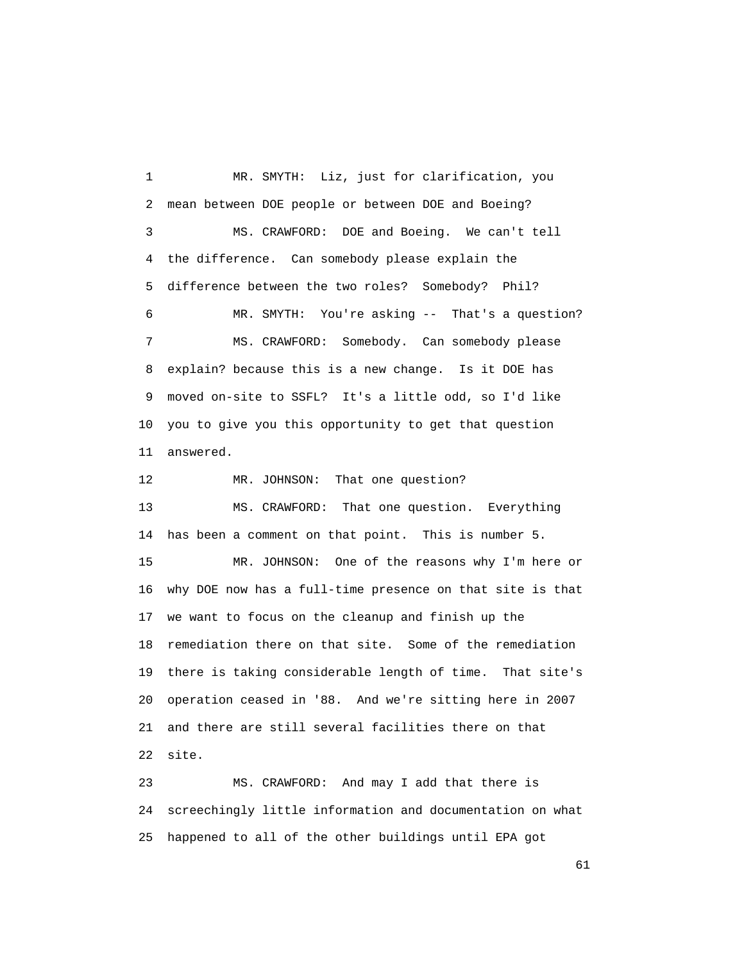1 MR. SMYTH: Liz, just for clarification, you 2 mean between DOE people or between DOE and Boeing? 3 MS. CRAWFORD: DOE and Boeing. We can't tell 4 the difference. Can somebody please explain the 5 difference between the two roles? Somebody? Phil? 6 MR. SMYTH: You're asking -- That's a question? 7 MS. CRAWFORD: Somebody. Can somebody please 8 explain? because this is a new change. Is it DOE has 9 moved on-site to SSFL? It's a little odd, so I'd like 10 you to give you this opportunity to get that question 11 answered. 12 MR. JOHNSON: That one question? 13 MS. CRAWFORD: That one question. Everything

 14 has been a comment on that point. This is number 5. 15 MR. JOHNSON: One of the reasons why I'm here or 16 why DOE now has a full-time presence on that site is that 17 we want to focus on the cleanup and finish up the 18 remediation there on that site. Some of the remediation 19 there is taking considerable length of time. That site's 20 operation ceased in '88. And we're sitting here in 2007 21 and there are still several facilities there on that 22 site.

 23 MS. CRAWFORD: And may I add that there is 24 screechingly little information and documentation on what 25 happened to all of the other buildings until EPA got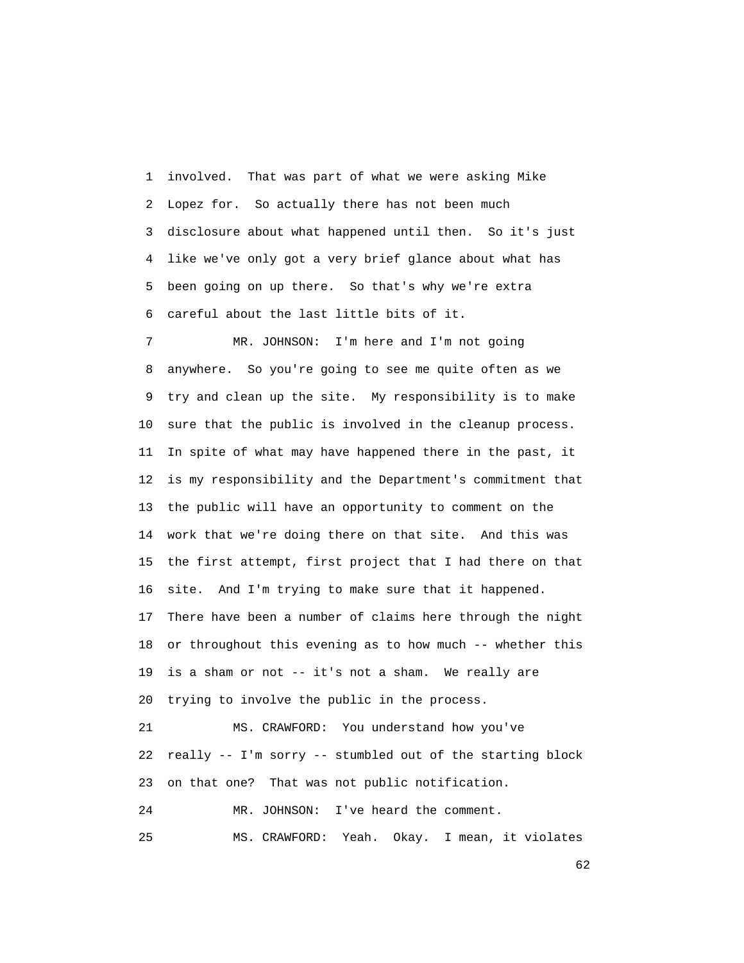1 involved. That was part of what we were asking Mike 2 Lopez for. So actually there has not been much 3 disclosure about what happened until then. So it's just 4 like we've only got a very brief glance about what has 5 been going on up there. So that's why we're extra 6 careful about the last little bits of it.

 7 MR. JOHNSON: I'm here and I'm not going 8 anywhere. So you're going to see me quite often as we 9 try and clean up the site. My responsibility is to make 10 sure that the public is involved in the cleanup process. 11 In spite of what may have happened there in the past, it 12 is my responsibility and the Department's commitment that 13 the public will have an opportunity to comment on the 14 work that we're doing there on that site. And this was 15 the first attempt, first project that I had there on that 16 site. And I'm trying to make sure that it happened. 17 There have been a number of claims here through the night 18 or throughout this evening as to how much -- whether this 19 is a sham or not -- it's not a sham. We really are 20 trying to involve the public in the process. 21 MS. CRAWFORD: You understand how you've 22 really -- I'm sorry -- stumbled out of the starting block 23 on that one? That was not public notification.

24 MR. JOHNSON: I've heard the comment.

25 MS. CRAWFORD: Yeah. Okay. I mean, it violates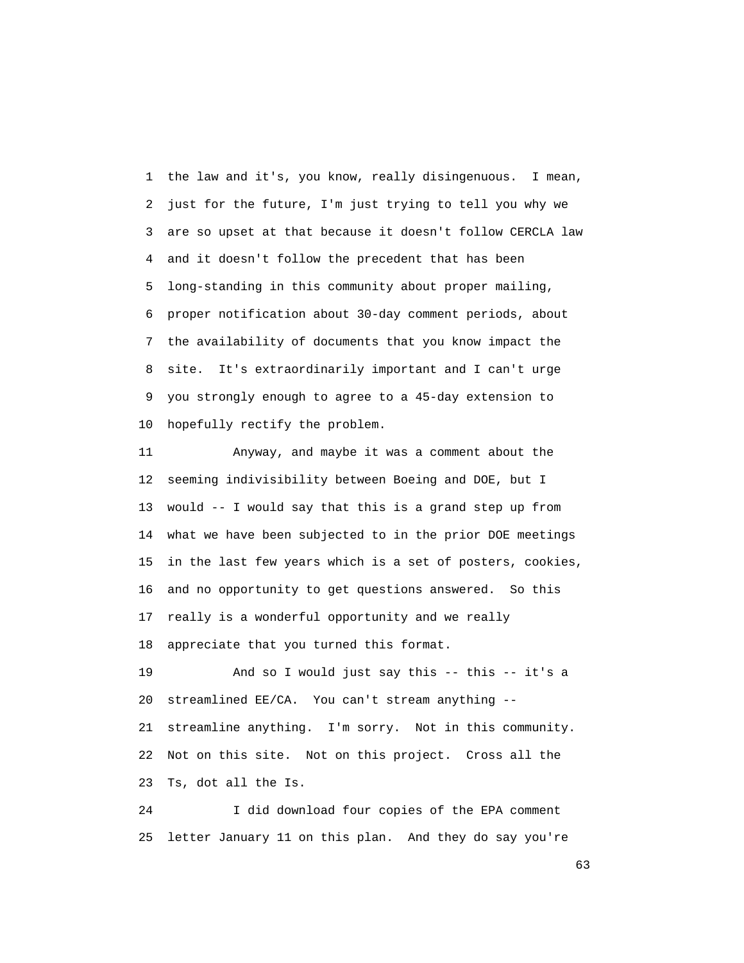1 the law and it's, you know, really disingenuous. I mean, 2 just for the future, I'm just trying to tell you why we 3 are so upset at that because it doesn't follow CERCLA law 4 and it doesn't follow the precedent that has been 5 long-standing in this community about proper mailing, 6 proper notification about 30-day comment periods, about 7 the availability of documents that you know impact the 8 site. It's extraordinarily important and I can't urge 9 you strongly enough to agree to a 45-day extension to 10 hopefully rectify the problem.

 11 Anyway, and maybe it was a comment about the 12 seeming indivisibility between Boeing and DOE, but I 13 would -- I would say that this is a grand step up from 14 what we have been subjected to in the prior DOE meetings 15 in the last few years which is a set of posters, cookies, 16 and no opportunity to get questions answered. So this 17 really is a wonderful opportunity and we really 18 appreciate that you turned this format.

 19 And so I would just say this -- this -- it's a 20 streamlined EE/CA. You can't stream anything -- 21 streamline anything. I'm sorry. Not in this community. 22 Not on this site. Not on this project. Cross all the 23 Ts, dot all the Is.

 24 I did download four copies of the EPA comment 25 letter January 11 on this plan. And they do say you're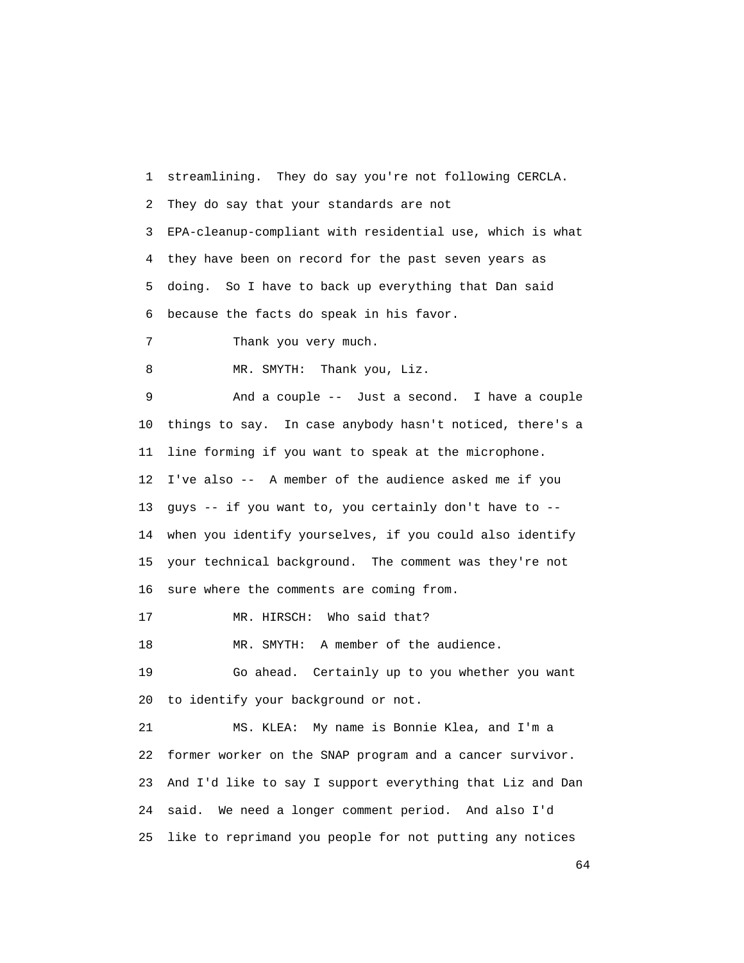1 streamlining. They do say you're not following CERCLA. 2 They do say that your standards are not 3 EPA-cleanup-compliant with residential use, which is what 4 they have been on record for the past seven years as 5 doing. So I have to back up everything that Dan said 6 because the facts do speak in his favor. 7 Thank you very much. 8 MR. SMYTH: Thank you, Liz. 9 And a couple -- Just a second. I have a couple 10 things to say. In case anybody hasn't noticed, there's a 11 line forming if you want to speak at the microphone. 12 I've also -- A member of the audience asked me if you 13 guys -- if you want to, you certainly don't have to -- 14 when you identify yourselves, if you could also identify 15 your technical background. The comment was they're not 16 sure where the comments are coming from. 17 MR. HIRSCH: Who said that? 18 MR. SMYTH: A member of the audience. 19 Go ahead. Certainly up to you whether you want 20 to identify your background or not. 21 MS. KLEA: My name is Bonnie Klea, and I'm a 22 former worker on the SNAP program and a cancer survivor. 23 And I'd like to say I support everything that Liz and Dan 24 said. We need a longer comment period. And also I'd 25 like to reprimand you people for not putting any notices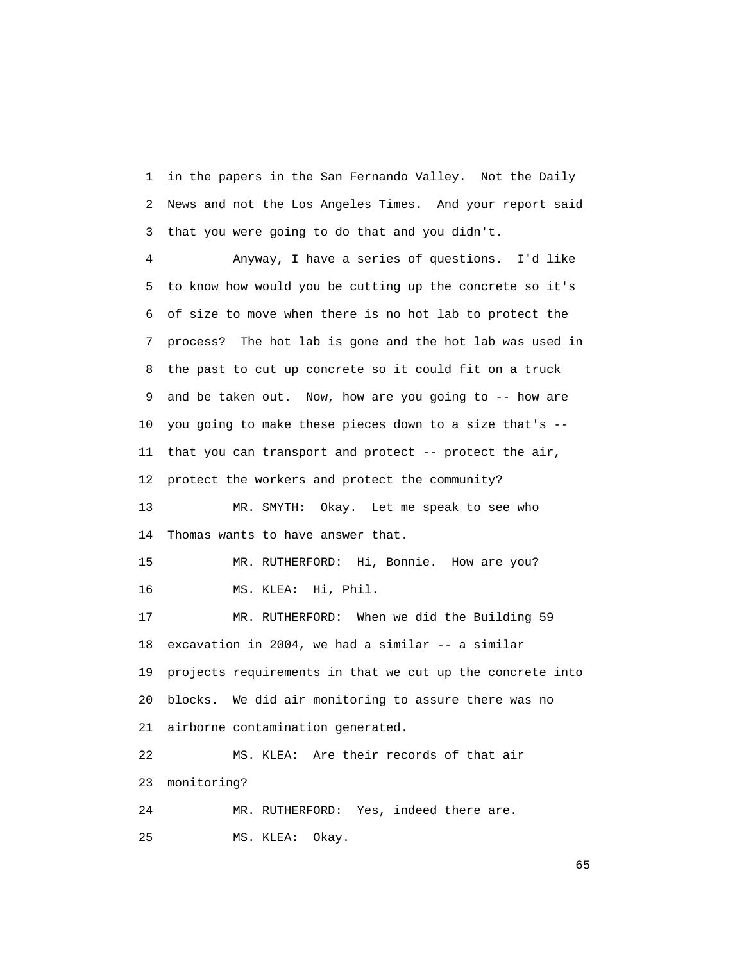1 in the papers in the San Fernando Valley. Not the Daily 2 News and not the Los Angeles Times. And your report said 3 that you were going to do that and you didn't.

 4 Anyway, I have a series of questions. I'd like 5 to know how would you be cutting up the concrete so it's 6 of size to move when there is no hot lab to protect the 7 process? The hot lab is gone and the hot lab was used in 8 the past to cut up concrete so it could fit on a truck 9 and be taken out. Now, how are you going to -- how are 10 you going to make these pieces down to a size that's -- 11 that you can transport and protect -- protect the air, 12 protect the workers and protect the community? 13 MR. SMYTH: Okay. Let me speak to see who 14 Thomas wants to have answer that. 15 MR. RUTHERFORD: Hi, Bonnie. How are you? 16 MS. KLEA: Hi, Phil. 17 MR. RUTHERFORD: When we did the Building 59 18 excavation in 2004, we had a similar -- a similar 19 projects requirements in that we cut up the concrete into 20 blocks. We did air monitoring to assure there was no 21 airborne contamination generated. 22 MS. KLEA: Are their records of that air 23 monitoring? 24 MR. RUTHERFORD: Yes, indeed there are.

25 MS. KLEA: Okay.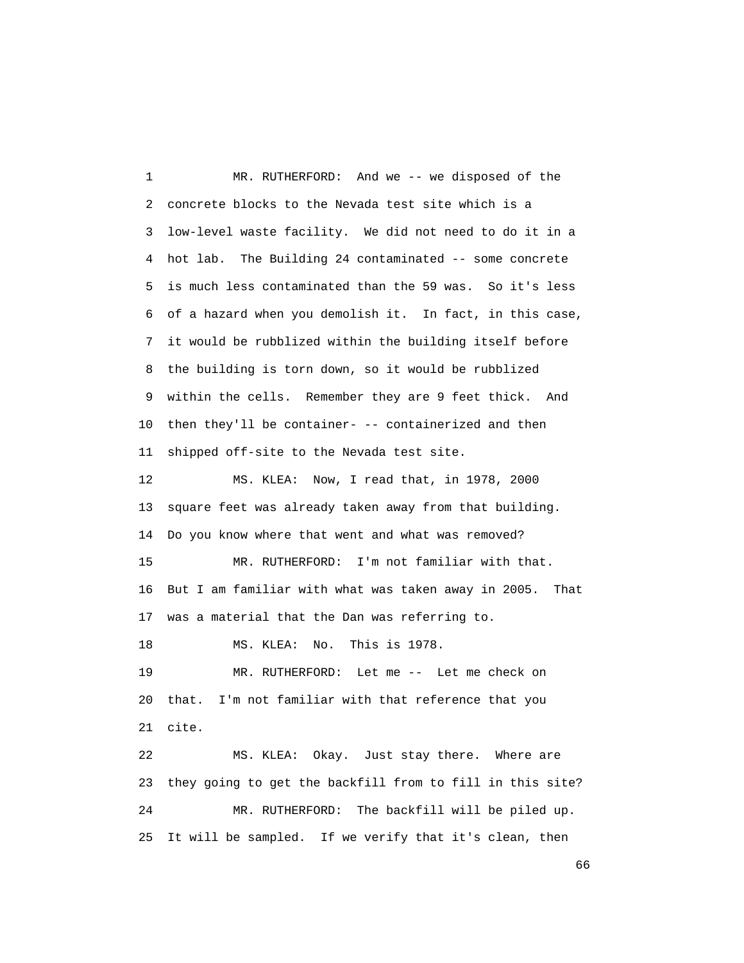1 MR. RUTHERFORD: And we -- we disposed of the 2 concrete blocks to the Nevada test site which is a 3 low-level waste facility. We did not need to do it in a 4 hot lab. The Building 24 contaminated -- some concrete 5 is much less contaminated than the 59 was. So it's less 6 of a hazard when you demolish it. In fact, in this case, 7 it would be rubblized within the building itself before 8 the building is torn down, so it would be rubblized 9 within the cells. Remember they are 9 feet thick. And 10 then they'll be container- -- containerized and then 11 shipped off-site to the Nevada test site. 12 MS. KLEA: Now, I read that, in 1978, 2000 13 square feet was already taken away from that building. 14 Do you know where that went and what was removed? 15 MR. RUTHERFORD: I'm not familiar with that. 16 But I am familiar with what was taken away in 2005. That 17 was a material that the Dan was referring to. 18 MS. KLEA: No. This is 1978. 19 MR. RUTHERFORD: Let me -- Let me check on 20 that. I'm not familiar with that reference that you 21 cite. 22 MS. KLEA: Okay. Just stay there. Where are 23 they going to get the backfill from to fill in this site? 24 MR. RUTHERFORD: The backfill will be piled up. 25 It will be sampled. If we verify that it's clean, then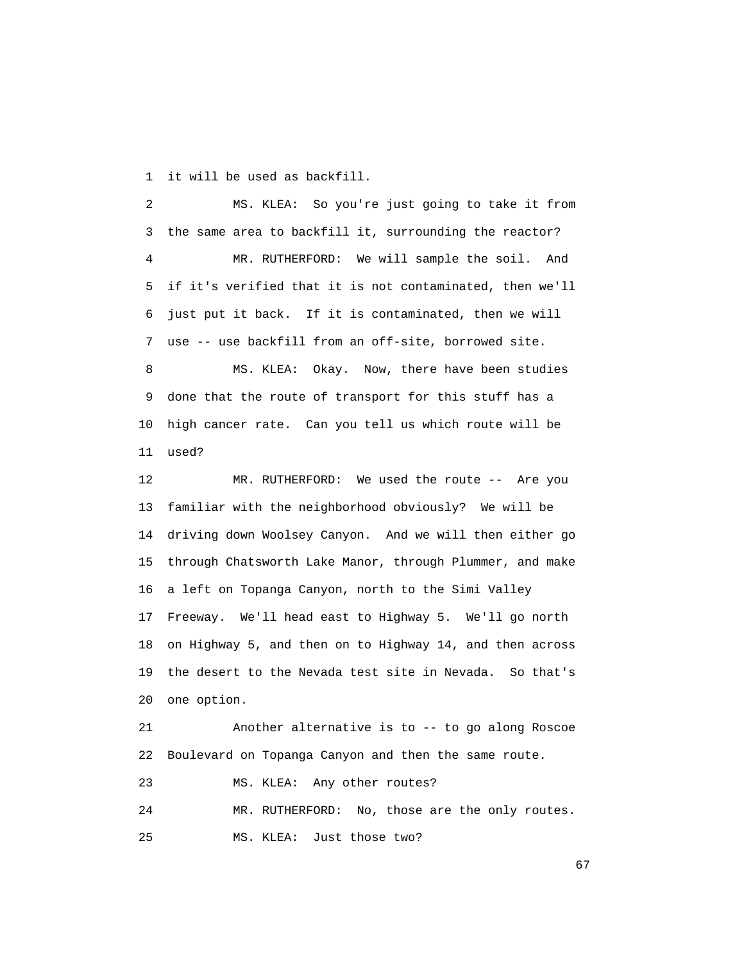1 it will be used as backfill.

 2 MS. KLEA: So you're just going to take it from 3 the same area to backfill it, surrounding the reactor? 4 MR. RUTHERFORD: We will sample the soil. And 5 if it's verified that it is not contaminated, then we'll 6 just put it back. If it is contaminated, then we will 7 use -- use backfill from an off-site, borrowed site. 8 MS. KLEA: Okay. Now, there have been studies 9 done that the route of transport for this stuff has a 10 high cancer rate. Can you tell us which route will be 11 used? 12 MR. RUTHERFORD: We used the route -- Are you 13 familiar with the neighborhood obviously? We will be 14 driving down Woolsey Canyon. And we will then either go 15 through Chatsworth Lake Manor, through Plummer, and make 16 a left on Topanga Canyon, north to the Simi Valley 17 Freeway. We'll head east to Highway 5. We'll go north 18 on Highway 5, and then on to Highway 14, and then across 19 the desert to the Nevada test site in Nevada. So that's 20 one option.

 21 Another alternative is to -- to go along Roscoe 22 Boulevard on Topanga Canyon and then the same route.

23 MS. KLEA: Any other routes?

24 MR. RUTHERFORD: No, those are the only routes.

25 MS. KLEA: Just those two?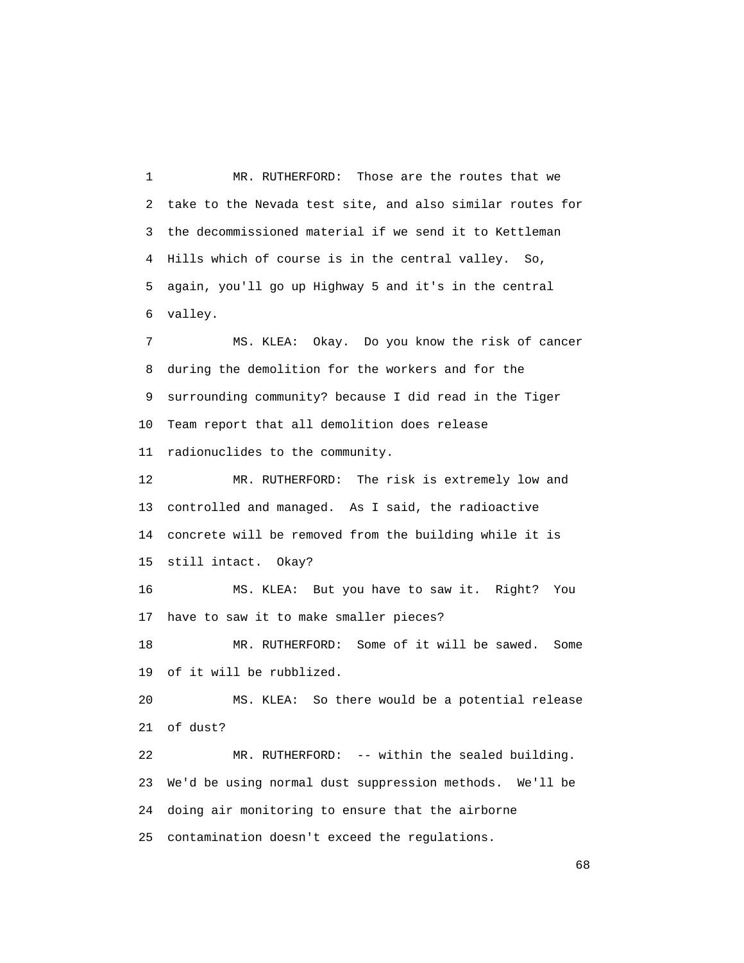1 MR. RUTHERFORD: Those are the routes that we 2 take to the Nevada test site, and also similar routes for 3 the decommissioned material if we send it to Kettleman 4 Hills which of course is in the central valley. So, 5 again, you'll go up Highway 5 and it's in the central 6 valley.

 7 MS. KLEA: Okay. Do you know the risk of cancer 8 during the demolition for the workers and for the 9 surrounding community? because I did read in the Tiger 10 Team report that all demolition does release 11 radionuclides to the community.

 12 MR. RUTHERFORD: The risk is extremely low and 13 controlled and managed. As I said, the radioactive 14 concrete will be removed from the building while it is 15 still intact. Okay?

 16 MS. KLEA: But you have to saw it. Right? You 17 have to saw it to make smaller pieces?

 18 MR. RUTHERFORD: Some of it will be sawed. Some 19 of it will be rubblized.

 20 MS. KLEA: So there would be a potential release 21 of dust?

 22 MR. RUTHERFORD: -- within the sealed building. 23 We'd be using normal dust suppression methods. We'll be 24 doing air monitoring to ensure that the airborne 25 contamination doesn't exceed the regulations.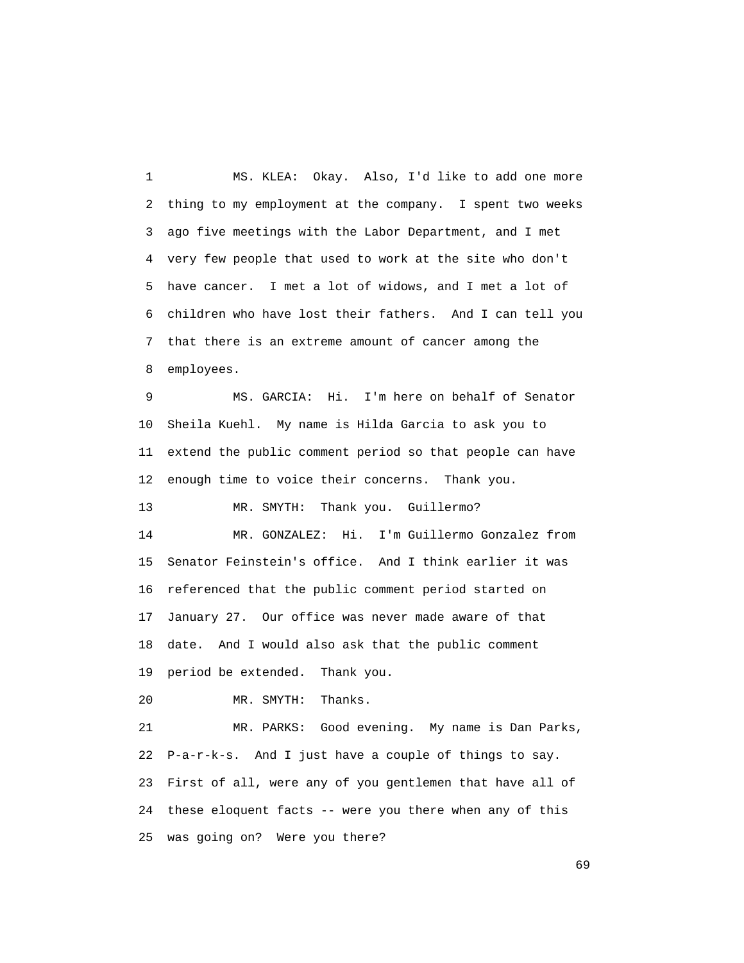1 MS. KLEA: Okay. Also, I'd like to add one more 2 thing to my employment at the company. I spent two weeks 3 ago five meetings with the Labor Department, and I met 4 very few people that used to work at the site who don't 5 have cancer. I met a lot of widows, and I met a lot of 6 children who have lost their fathers. And I can tell you 7 that there is an extreme amount of cancer among the 8 employees.

 9 MS. GARCIA: Hi. I'm here on behalf of Senator 10 Sheila Kuehl. My name is Hilda Garcia to ask you to 11 extend the public comment period so that people can have 12 enough time to voice their concerns. Thank you.

13 MR. SMYTH: Thank you. Guillermo?

 14 MR. GONZALEZ: Hi. I'm Guillermo Gonzalez from 15 Senator Feinstein's office. And I think earlier it was 16 referenced that the public comment period started on 17 January 27. Our office was never made aware of that 18 date. And I would also ask that the public comment 19 period be extended. Thank you.

20 MR. SMYTH: Thanks.

 21 MR. PARKS: Good evening. My name is Dan Parks, 22 P-a-r-k-s. And I just have a couple of things to say. 23 First of all, were any of you gentlemen that have all of 24 these eloquent facts -- were you there when any of this 25 was going on? Were you there?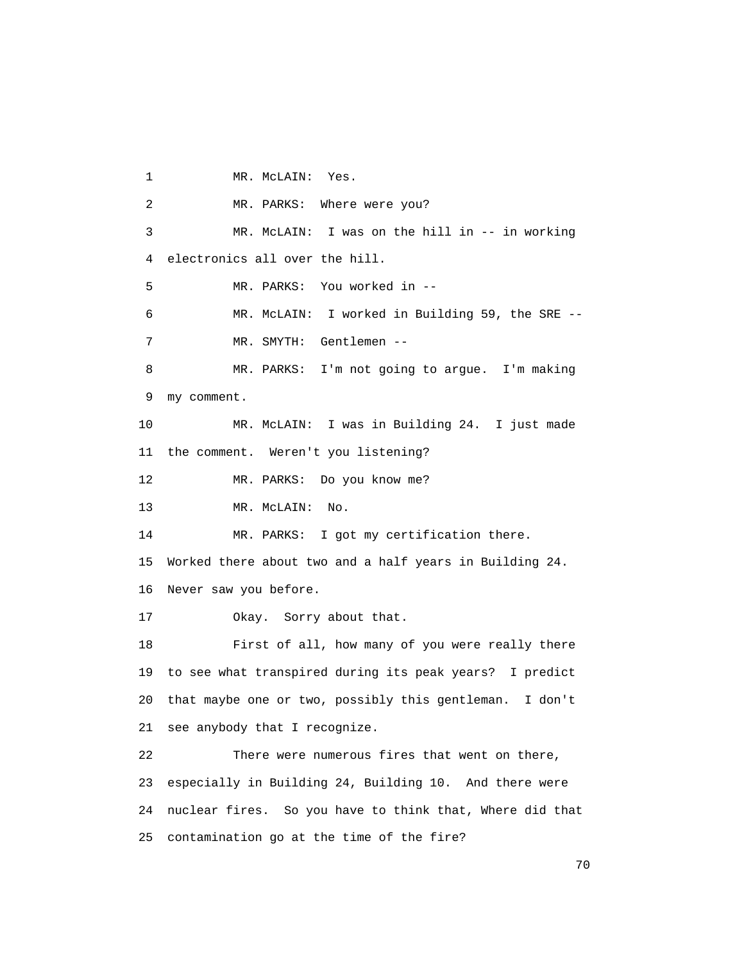1 MR. McLAIN: Yes. 2 MR. PARKS: Where were you? 3 MR. McLAIN: I was on the hill in -- in working 4 electronics all over the hill. 5 MR. PARKS: You worked in -- 6 MR. McLAIN: I worked in Building 59, the SRE -- 7 MR. SMYTH: Gentlemen -- 8 MR. PARKS: I'm not going to argue. I'm making 9 my comment. 10 MR. McLAIN: I was in Building 24. I just made 11 the comment. Weren't you listening? 12 MR. PARKS: Do you know me? 13 MR. McLAIN: No. 14 MR. PARKS: I got my certification there. 15 Worked there about two and a half years in Building 24. 16 Never saw you before. 17 Okay. Sorry about that. 18 First of all, how many of you were really there 19 to see what transpired during its peak years? I predict 20 that maybe one or two, possibly this gentleman. I don't 21 see anybody that I recognize. 22 There were numerous fires that went on there, 23 especially in Building 24, Building 10. And there were 24 nuclear fires. So you have to think that, Where did that 25 contamination go at the time of the fire?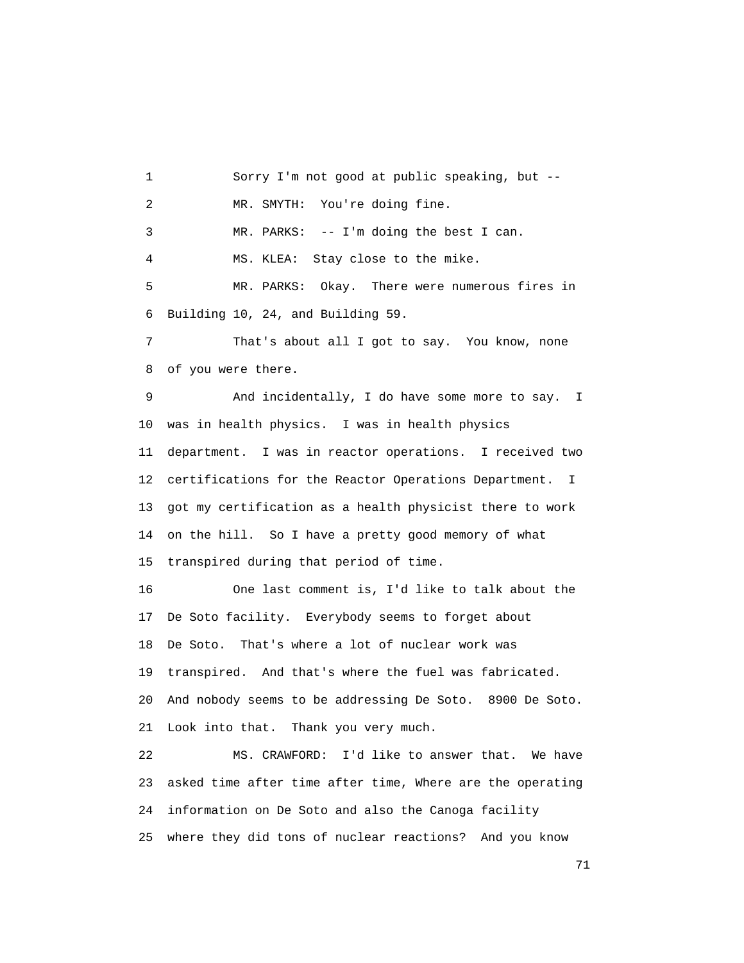1 Sorry I'm not good at public speaking, but -- 2 MR. SMYTH: You're doing fine. 3 MR. PARKS: -- I'm doing the best I can. 4 MS. KLEA: Stay close to the mike. 5 MR. PARKS: Okay. There were numerous fires in 6 Building 10, 24, and Building 59. 7 That's about all I got to say. You know, none 8 of you were there. 9 And incidentally, I do have some more to say. I 10 was in health physics. I was in health physics 11 department. I was in reactor operations. I received two 12 certifications for the Reactor Operations Department. I 13 got my certification as a health physicist there to work 14 on the hill. So I have a pretty good memory of what 15 transpired during that period of time. 16 One last comment is, I'd like to talk about the 17 De Soto facility. Everybody seems to forget about 18 De Soto. That's where a lot of nuclear work was 19 transpired. And that's where the fuel was fabricated. 20 And nobody seems to be addressing De Soto. 8900 De Soto. 21 Look into that. Thank you very much. 22 MS. CRAWFORD: I'd like to answer that. We have

 23 asked time after time after time, Where are the operating 24 information on De Soto and also the Canoga facility 25 where they did tons of nuclear reactions? And you know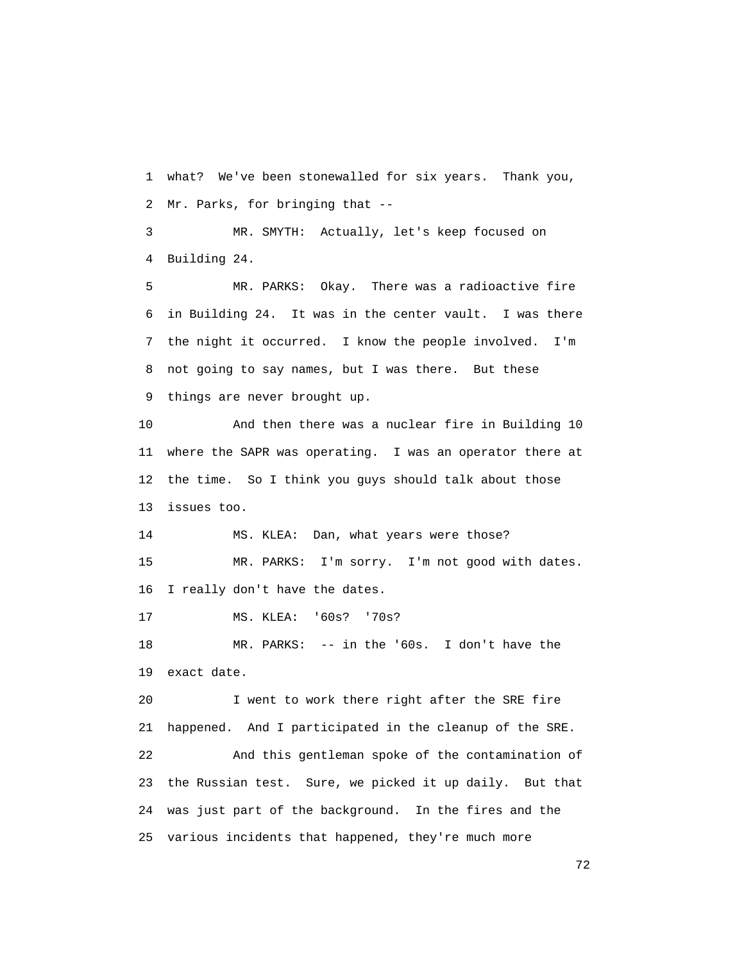1 what? We've been stonewalled for six years. Thank you, 2 Mr. Parks, for bringing that --

 3 MR. SMYTH: Actually, let's keep focused on 4 Building 24.

 5 MR. PARKS: Okay. There was a radioactive fire 6 in Building 24. It was in the center vault. I was there 7 the night it occurred. I know the people involved. I'm 8 not going to say names, but I was there. But these 9 things are never brought up.

 10 And then there was a nuclear fire in Building 10 11 where the SAPR was operating. I was an operator there at 12 the time. So I think you guys should talk about those 13 issues too.

 14 MS. KLEA: Dan, what years were those? 15 MR. PARKS: I'm sorry. I'm not good with dates. 16 I really don't have the dates.

17 MS. KLEA: '60s? '70s?

 18 MR. PARKS: -- in the '60s. I don't have the 19 exact date.

 20 I went to work there right after the SRE fire 21 happened. And I participated in the cleanup of the SRE. 22 And this gentleman spoke of the contamination of 23 the Russian test. Sure, we picked it up daily. But that 24 was just part of the background. In the fires and the 25 various incidents that happened, they're much more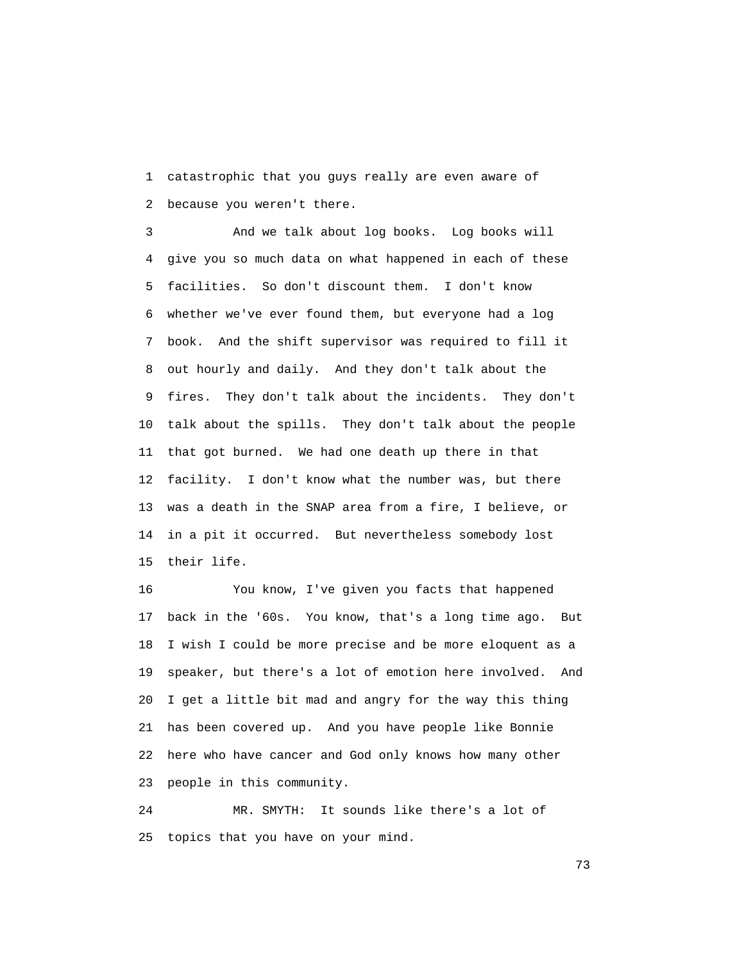1 catastrophic that you guys really are even aware of 2 because you weren't there.

 3 And we talk about log books. Log books will 4 give you so much data on what happened in each of these 5 facilities. So don't discount them. I don't know 6 whether we've ever found them, but everyone had a log 7 book. And the shift supervisor was required to fill it 8 out hourly and daily. And they don't talk about the 9 fires. They don't talk about the incidents. They don't 10 talk about the spills. They don't talk about the people 11 that got burned. We had one death up there in that 12 facility. I don't know what the number was, but there 13 was a death in the SNAP area from a fire, I believe, or 14 in a pit it occurred. But nevertheless somebody lost 15 their life.

 16 You know, I've given you facts that happened 17 back in the '60s. You know, that's a long time ago. But 18 I wish I could be more precise and be more eloquent as a 19 speaker, but there's a lot of emotion here involved. And 20 I get a little bit mad and angry for the way this thing 21 has been covered up. And you have people like Bonnie 22 here who have cancer and God only knows how many other 23 people in this community.

 24 MR. SMYTH: It sounds like there's a lot of 25 topics that you have on your mind.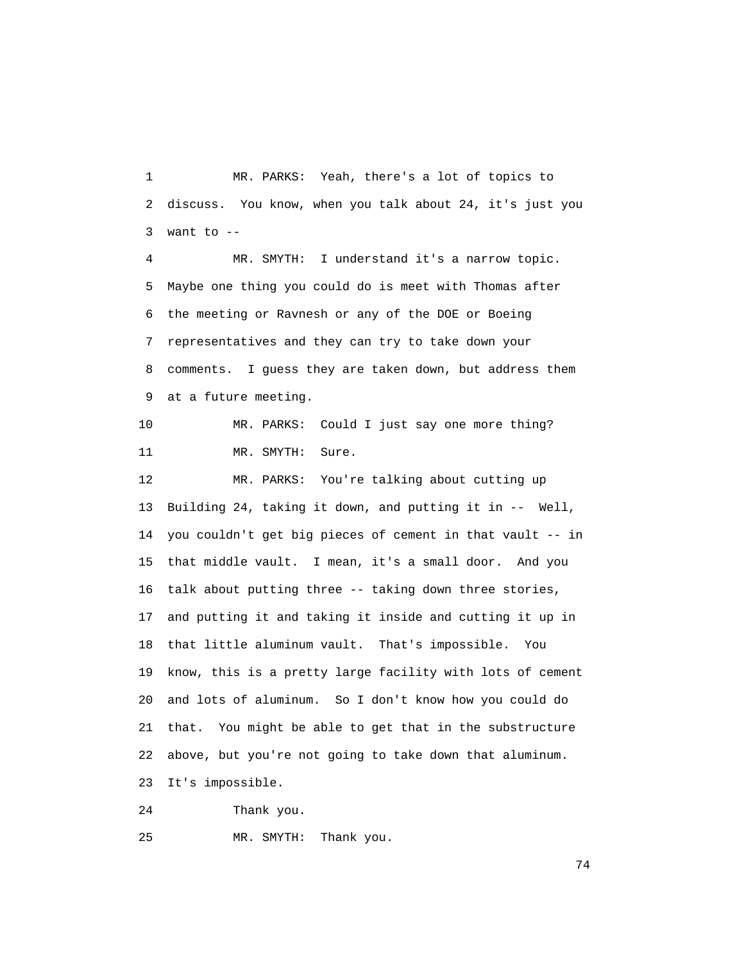1 MR. PARKS: Yeah, there's a lot of topics to 2 discuss. You know, when you talk about 24, it's just you 3 want to  $-$ 

 4 MR. SMYTH: I understand it's a narrow topic. 5 Maybe one thing you could do is meet with Thomas after 6 the meeting or Ravnesh or any of the DOE or Boeing 7 representatives and they can try to take down your 8 comments. I guess they are taken down, but address them 9 at a future meeting.

 10 MR. PARKS: Could I just say one more thing? 11 MR. SMYTH: Sure.

 12 MR. PARKS: You're talking about cutting up 13 Building 24, taking it down, and putting it in -- Well, 14 you couldn't get big pieces of cement in that vault -- in 15 that middle vault. I mean, it's a small door. And you 16 talk about putting three -- taking down three stories, 17 and putting it and taking it inside and cutting it up in 18 that little aluminum vault. That's impossible. You 19 know, this is a pretty large facility with lots of cement 20 and lots of aluminum. So I don't know how you could do 21 that. You might be able to get that in the substructure 22 above, but you're not going to take down that aluminum. 23 It's impossible.

24 Thank you.

25 MR. SMYTH: Thank you.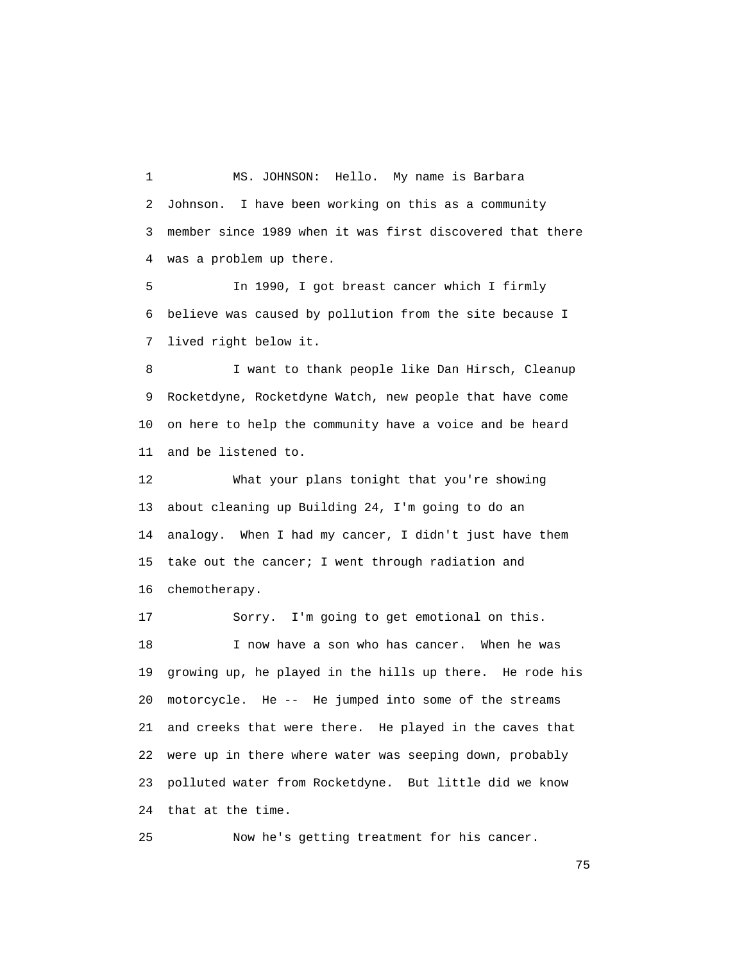1 MS. JOHNSON: Hello. My name is Barbara 2 Johnson. I have been working on this as a community 3 member since 1989 when it was first discovered that there 4 was a problem up there.

 5 In 1990, I got breast cancer which I firmly 6 believe was caused by pollution from the site because I 7 lived right below it.

 8 I want to thank people like Dan Hirsch, Cleanup 9 Rocketdyne, Rocketdyne Watch, new people that have come 10 on here to help the community have a voice and be heard 11 and be listened to.

 12 What your plans tonight that you're showing 13 about cleaning up Building 24, I'm going to do an 14 analogy. When I had my cancer, I didn't just have them 15 take out the cancer; I went through radiation and 16 chemotherapy.

 17 Sorry. I'm going to get emotional on this. 18 I now have a son who has cancer. When he was 19 growing up, he played in the hills up there. He rode his 20 motorcycle. He -- He jumped into some of the streams 21 and creeks that were there. He played in the caves that 22 were up in there where water was seeping down, probably 23 polluted water from Rocketdyne. But little did we know 24 that at the time.

25 Now he's getting treatment for his cancer.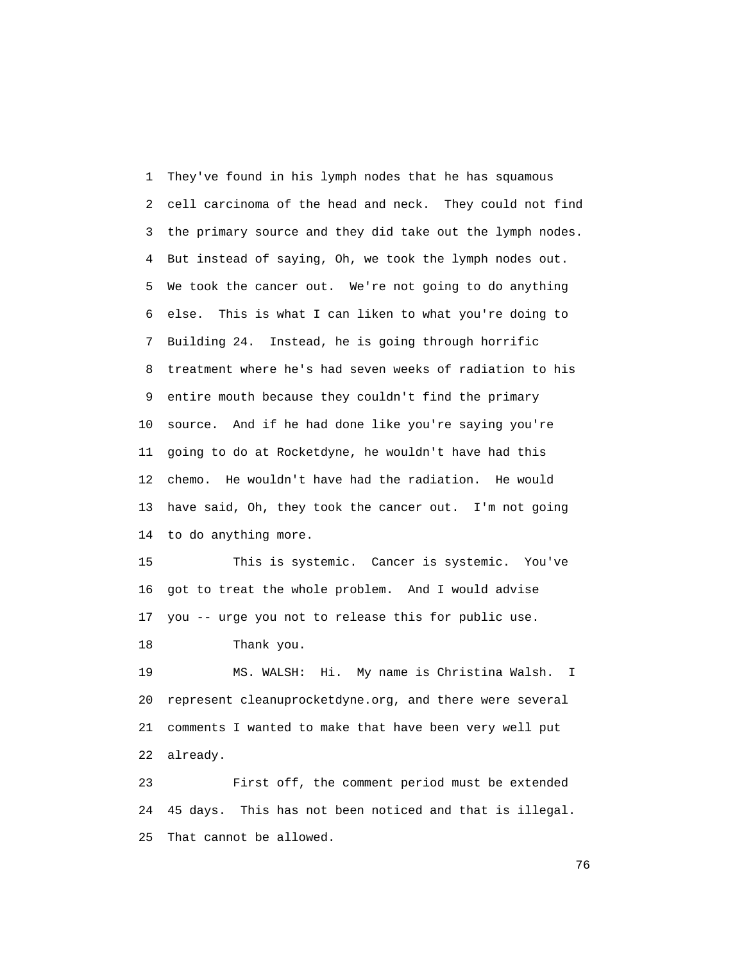1 They've found in his lymph nodes that he has squamous 2 cell carcinoma of the head and neck. They could not find 3 the primary source and they did take out the lymph nodes. 4 But instead of saying, Oh, we took the lymph nodes out. 5 We took the cancer out. We're not going to do anything 6 else. This is what I can liken to what you're doing to 7 Building 24. Instead, he is going through horrific 8 treatment where he's had seven weeks of radiation to his 9 entire mouth because they couldn't find the primary 10 source. And if he had done like you're saying you're 11 going to do at Rocketdyne, he wouldn't have had this 12 chemo. He wouldn't have had the radiation. He would 13 have said, Oh, they took the cancer out. I'm not going 14 to do anything more.

 15 This is systemic. Cancer is systemic. You've 16 got to treat the whole problem. And I would advise 17 you -- urge you not to release this for public use.

18 Thank you.

 19 MS. WALSH: Hi. My name is Christina Walsh. I 20 represent cleanuprocketdyne.org, and there were several 21 comments I wanted to make that have been very well put 22 already.

 23 First off, the comment period must be extended 24 45 days. This has not been noticed and that is illegal. 25 That cannot be allowed.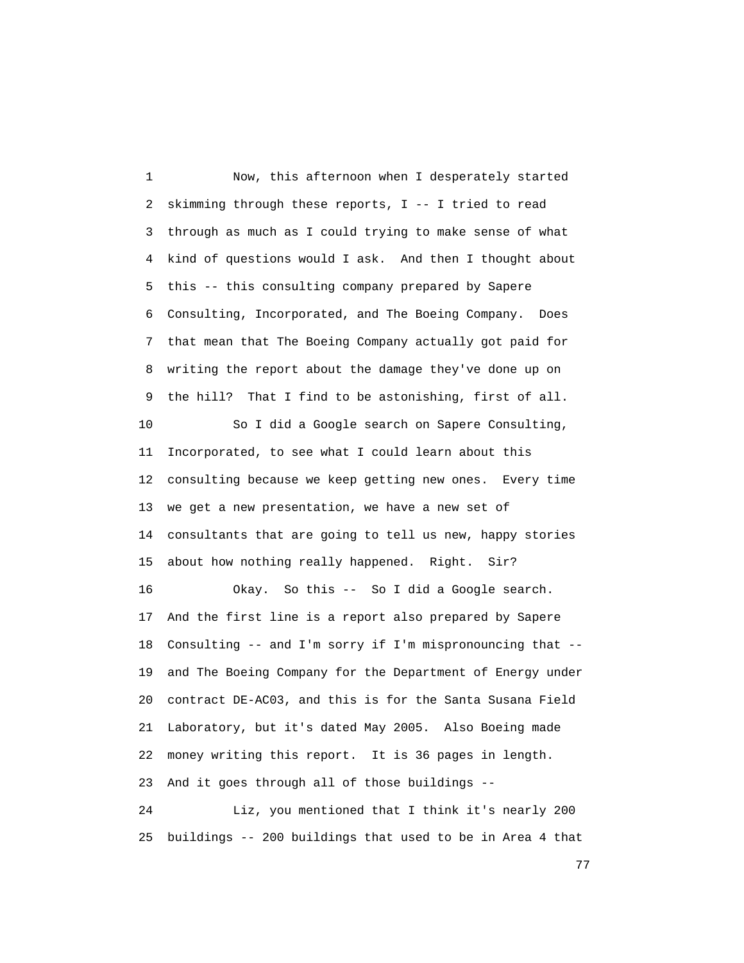1 Now, this afternoon when I desperately started 2 skimming through these reports, I -- I tried to read 3 through as much as I could trying to make sense of what 4 kind of questions would I ask. And then I thought about 5 this -- this consulting company prepared by Sapere 6 Consulting, Incorporated, and The Boeing Company. Does 7 that mean that The Boeing Company actually got paid for 8 writing the report about the damage they've done up on 9 the hill? That I find to be astonishing, first of all. 10 So I did a Google search on Sapere Consulting, 11 Incorporated, to see what I could learn about this 12 consulting because we keep getting new ones. Every time 13 we get a new presentation, we have a new set of 14 consultants that are going to tell us new, happy stories 15 about how nothing really happened. Right. Sir? 16 Okay. So this -- So I did a Google search. 17 And the first line is a report also prepared by Sapere 18 Consulting -- and I'm sorry if I'm mispronouncing that -- 19 and The Boeing Company for the Department of Energy under 20 contract DE-AC03, and this is for the Santa Susana Field 21 Laboratory, but it's dated May 2005. Also Boeing made 22 money writing this report. It is 36 pages in length. 23 And it goes through all of those buildings -- 24 Liz, you mentioned that I think it's nearly 200 25 buildings -- 200 buildings that used to be in Area 4 that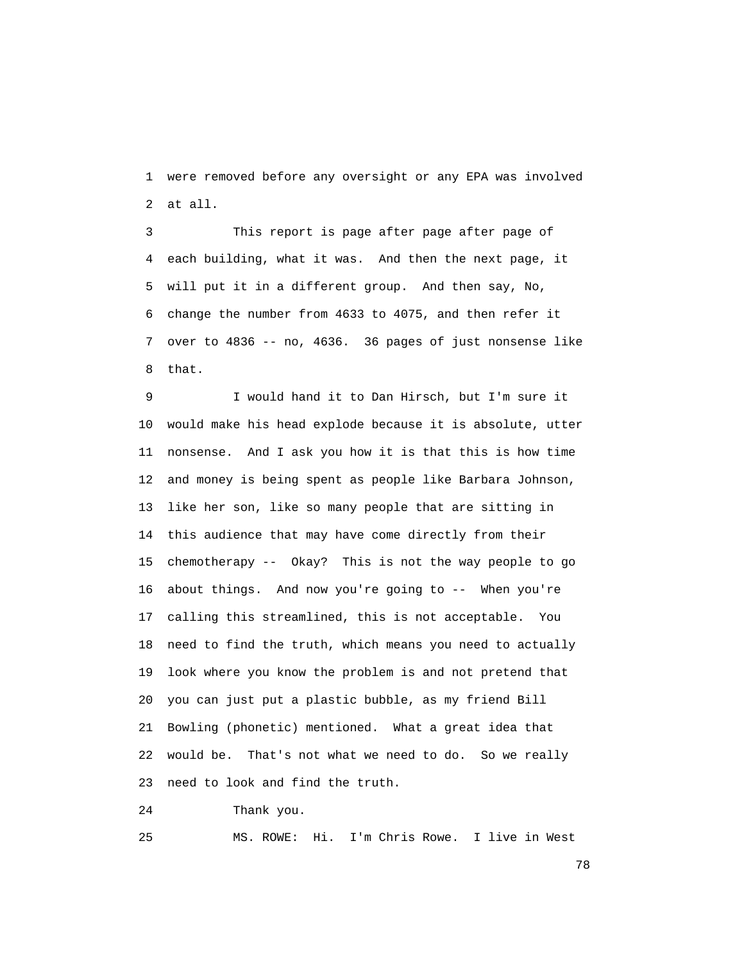1 were removed before any oversight or any EPA was involved 2 at all.

 3 This report is page after page after page of 4 each building, what it was. And then the next page, it 5 will put it in a different group. And then say, No, 6 change the number from 4633 to 4075, and then refer it 7 over to 4836 -- no, 4636. 36 pages of just nonsense like 8 that.

 9 I would hand it to Dan Hirsch, but I'm sure it 10 would make his head explode because it is absolute, utter 11 nonsense. And I ask you how it is that this is how time 12 and money is being spent as people like Barbara Johnson, 13 like her son, like so many people that are sitting in 14 this audience that may have come directly from their 15 chemotherapy -- Okay? This is not the way people to go 16 about things. And now you're going to -- When you're 17 calling this streamlined, this is not acceptable. You 18 need to find the truth, which means you need to actually 19 look where you know the problem is and not pretend that 20 you can just put a plastic bubble, as my friend Bill 21 Bowling (phonetic) mentioned. What a great idea that 22 would be. That's not what we need to do. So we really 23 need to look and find the truth.

24 Thank you.

25 MS. ROWE: Hi. I'm Chris Rowe. I live in West

n and the state of the state of the state of the state of the state of the state of the state of the state of the state of the state of the state of the state of the state of the state of the state of the state of the stat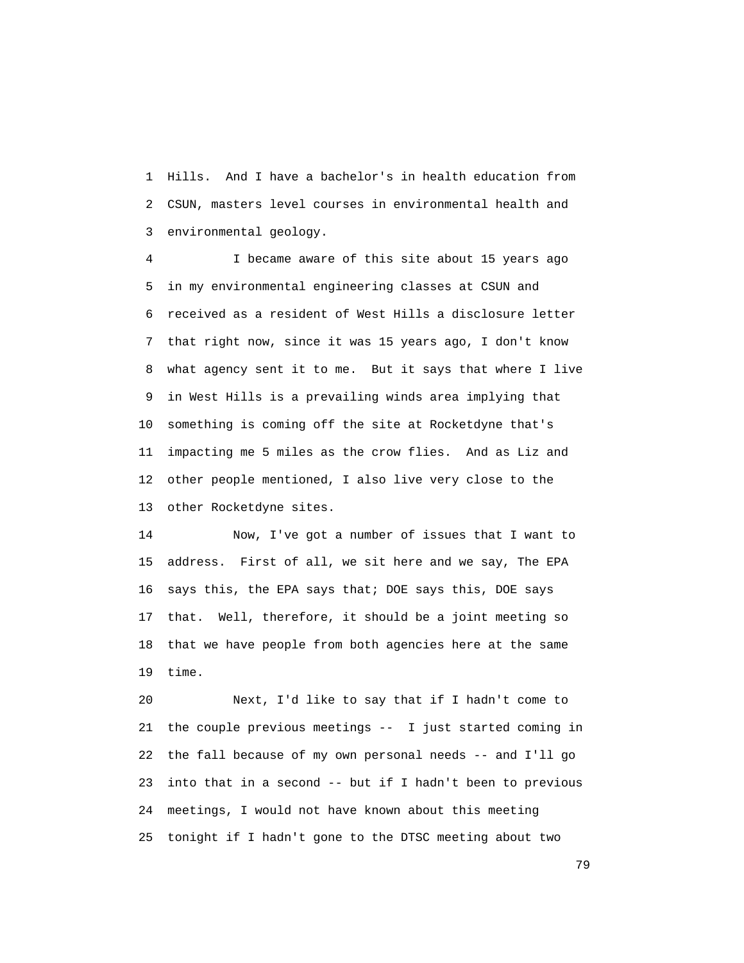1 Hills. And I have a bachelor's in health education from 2 CSUN, masters level courses in environmental health and 3 environmental geology.

 4 I became aware of this site about 15 years ago 5 in my environmental engineering classes at CSUN and 6 received as a resident of West Hills a disclosure letter 7 that right now, since it was 15 years ago, I don't know 8 what agency sent it to me. But it says that where I live 9 in West Hills is a prevailing winds area implying that 10 something is coming off the site at Rocketdyne that's 11 impacting me 5 miles as the crow flies. And as Liz and 12 other people mentioned, I also live very close to the 13 other Rocketdyne sites.

 14 Now, I've got a number of issues that I want to 15 address. First of all, we sit here and we say, The EPA 16 says this, the EPA says that; DOE says this, DOE says 17 that. Well, therefore, it should be a joint meeting so 18 that we have people from both agencies here at the same 19 time.

 20 Next, I'd like to say that if I hadn't come to 21 the couple previous meetings -- I just started coming in 22 the fall because of my own personal needs -- and I'll go 23 into that in a second -- but if I hadn't been to previous 24 meetings, I would not have known about this meeting 25 tonight if I hadn't gone to the DTSC meeting about two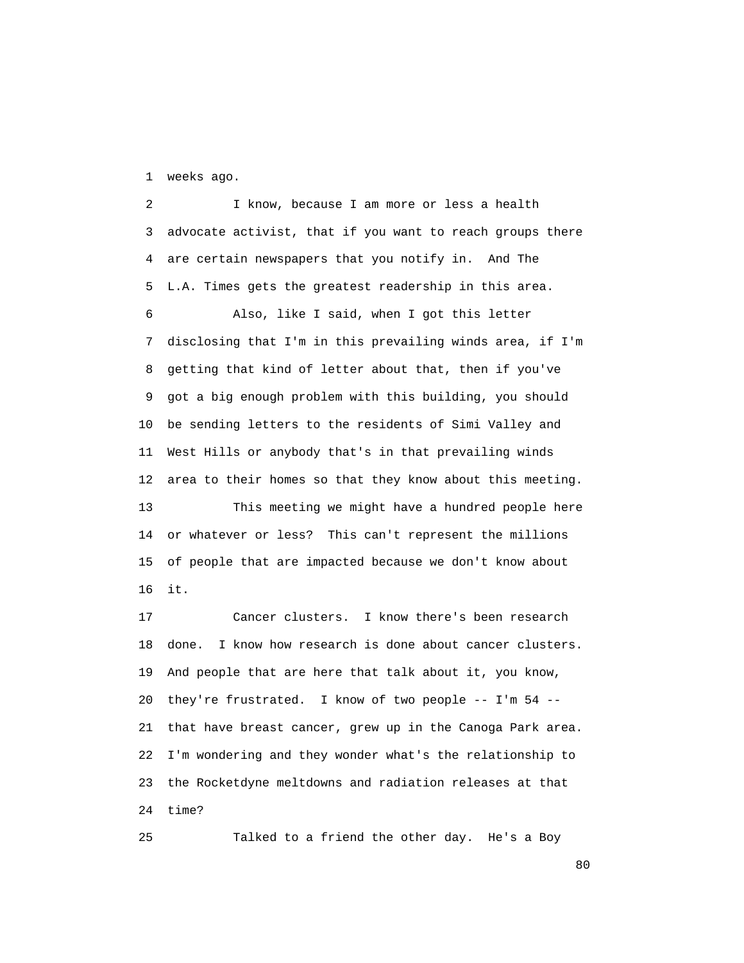1 weeks ago.

 2 I know, because I am more or less a health 3 advocate activist, that if you want to reach groups there 4 are certain newspapers that you notify in. And The 5 L.A. Times gets the greatest readership in this area. 6 Also, like I said, when I got this letter 7 disclosing that I'm in this prevailing winds area, if I'm 8 getting that kind of letter about that, then if you've 9 got a big enough problem with this building, you should 10 be sending letters to the residents of Simi Valley and 11 West Hills or anybody that's in that prevailing winds 12 area to their homes so that they know about this meeting. 13 This meeting we might have a hundred people here 14 or whatever or less? This can't represent the millions 15 of people that are impacted because we don't know about 16 it.

 17 Cancer clusters. I know there's been research 18 done. I know how research is done about cancer clusters. 19 And people that are here that talk about it, you know, 20 they're frustrated. I know of two people -- I'm 54 -- 21 that have breast cancer, grew up in the Canoga Park area. 22 I'm wondering and they wonder what's the relationship to 23 the Rocketdyne meltdowns and radiation releases at that 24 time?

25 Talked to a friend the other day. He's a Boy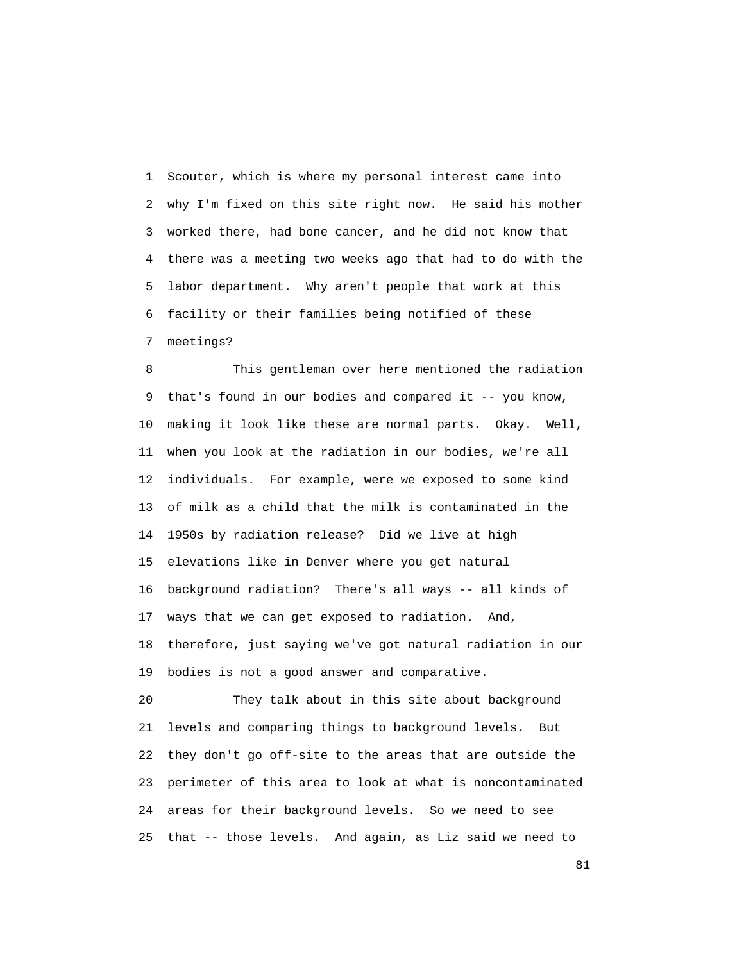1 Scouter, which is where my personal interest came into 2 why I'm fixed on this site right now. He said his mother 3 worked there, had bone cancer, and he did not know that 4 there was a meeting two weeks ago that had to do with the 5 labor department. Why aren't people that work at this 6 facility or their families being notified of these 7 meetings?

 8 This gentleman over here mentioned the radiation 9 that's found in our bodies and compared it -- you know, 10 making it look like these are normal parts. Okay. Well, 11 when you look at the radiation in our bodies, we're all 12 individuals. For example, were we exposed to some kind 13 of milk as a child that the milk is contaminated in the 14 1950s by radiation release? Did we live at high 15 elevations like in Denver where you get natural 16 background radiation? There's all ways -- all kinds of 17 ways that we can get exposed to radiation. And, 18 therefore, just saying we've got natural radiation in our 19 bodies is not a good answer and comparative. 20 They talk about in this site about background

 21 levels and comparing things to background levels. But 22 they don't go off-site to the areas that are outside the 23 perimeter of this area to look at what is noncontaminated 24 areas for their background levels. So we need to see 25 that -- those levels. And again, as Liz said we need to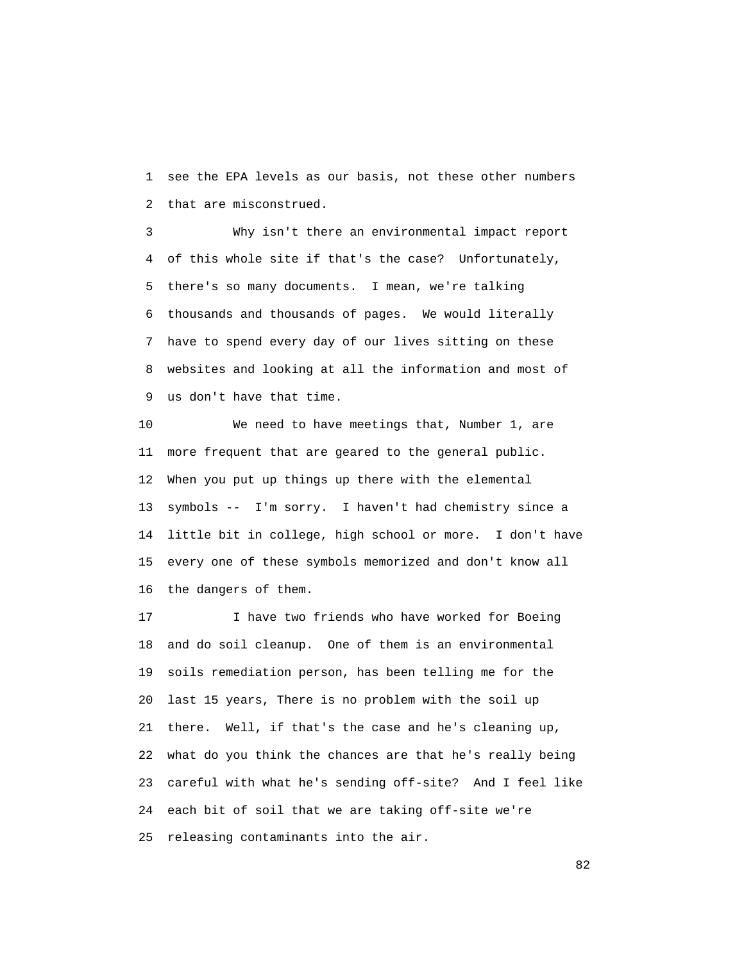1 see the EPA levels as our basis, not these other numbers 2 that are misconstrued.

 3 Why isn't there an environmental impact report 4 of this whole site if that's the case? Unfortunately, 5 there's so many documents. I mean, we're talking 6 thousands and thousands of pages. We would literally 7 have to spend every day of our lives sitting on these 8 websites and looking at all the information and most of 9 us don't have that time.

 10 We need to have meetings that, Number 1, are 11 more frequent that are geared to the general public. 12 When you put up things up there with the elemental 13 symbols -- I'm sorry. I haven't had chemistry since a 14 little bit in college, high school or more. I don't have 15 every one of these symbols memorized and don't know all 16 the dangers of them.

 17 I have two friends who have worked for Boeing 18 and do soil cleanup. One of them is an environmental 19 soils remediation person, has been telling me for the 20 last 15 years, There is no problem with the soil up 21 there. Well, if that's the case and he's cleaning up, 22 what do you think the chances are that he's really being 23 careful with what he's sending off-site? And I feel like 24 each bit of soil that we are taking off-site we're 25 releasing contaminants into the air.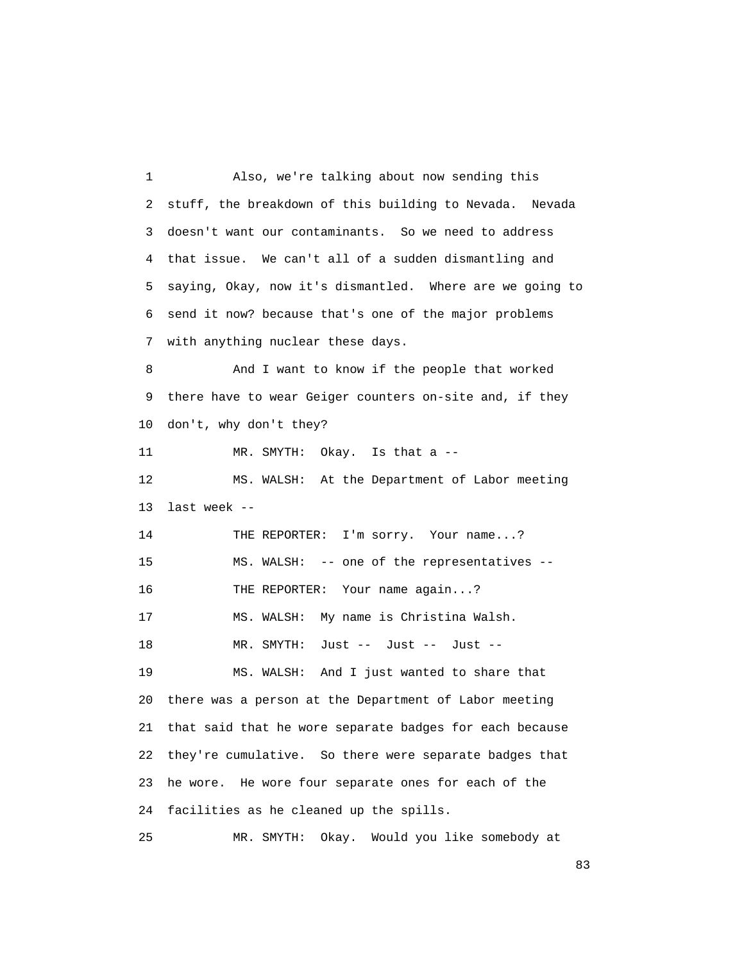1 Also, we're talking about now sending this 2 stuff, the breakdown of this building to Nevada. Nevada 3 doesn't want our contaminants. So we need to address 4 that issue. We can't all of a sudden dismantling and 5 saying, Okay, now it's dismantled. Where are we going to 6 send it now? because that's one of the major problems 7 with anything nuclear these days. 8 And I want to know if the people that worked 9 there have to wear Geiger counters on-site and, if they 10 don't, why don't they? 11 MR. SMYTH: Okay. Is that a -- 12 MS. WALSH: At the Department of Labor meeting 13 last week -- 14 THE REPORTER: I'm sorry. Your name...? 15 MS. WALSH: -- one of the representatives -- 16 THE REPORTER: Your name again...? 17 MS. WALSH: My name is Christina Walsh. 18 MR. SMYTH: Just -- Just -- Just -- 19 MS. WALSH: And I just wanted to share that 20 there was a person at the Department of Labor meeting 21 that said that he wore separate badges for each because 22 they're cumulative. So there were separate badges that 23 he wore. He wore four separate ones for each of the 24 facilities as he cleaned up the spills. 25 MR. SMYTH: Okay. Would you like somebody at

experience of the state of the state of the state of the state of the state of the state of the state of the s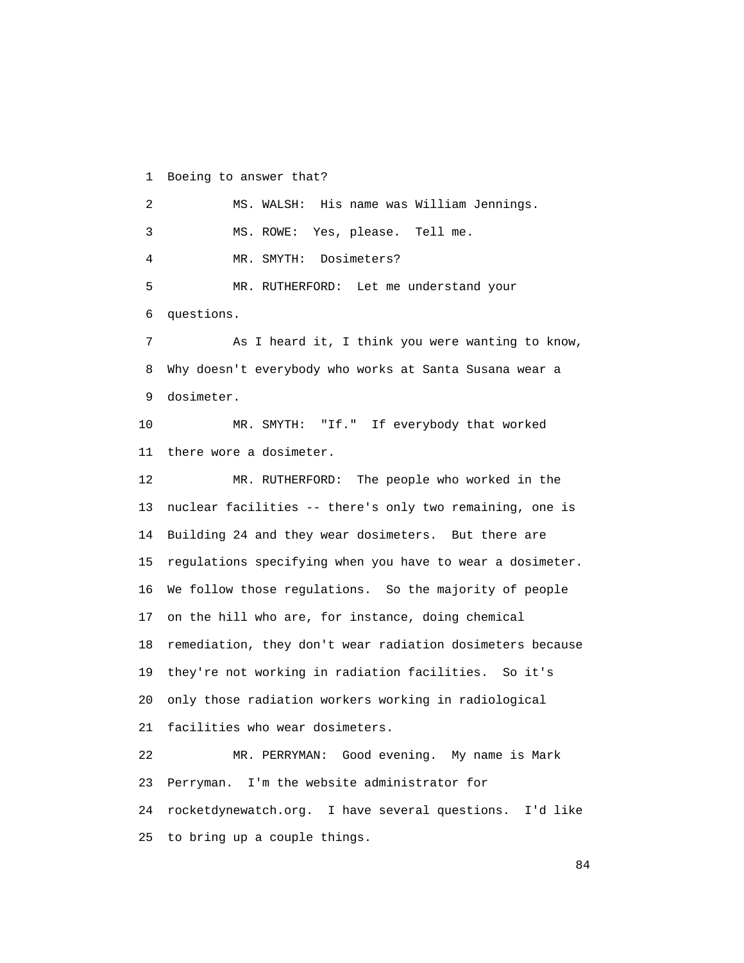1 Boeing to answer that?

 2 MS. WALSH: His name was William Jennings. 3 MS. ROWE: Yes, please. Tell me. 4 MR. SMYTH: Dosimeters? 5 MR. RUTHERFORD: Let me understand your 6 questions. 7 As I heard it, I think you were wanting to know, 8 Why doesn't everybody who works at Santa Susana wear a 9 dosimeter. 10 MR. SMYTH: "If." If everybody that worked 11 there wore a dosimeter. 12 MR. RUTHERFORD: The people who worked in the 13 nuclear facilities -- there's only two remaining, one is 14 Building 24 and they wear dosimeters. But there are 15 regulations specifying when you have to wear a dosimeter. 16 We follow those regulations. So the majority of people 17 on the hill who are, for instance, doing chemical 18 remediation, they don't wear radiation dosimeters because 19 they're not working in radiation facilities. So it's 20 only those radiation workers working in radiological 21 facilities who wear dosimeters. 22 MR. PERRYMAN: Good evening. My name is Mark 23 Perryman. I'm the website administrator for 24 rocketdynewatch.org. I have several questions. I'd like 25 to bring up a couple things.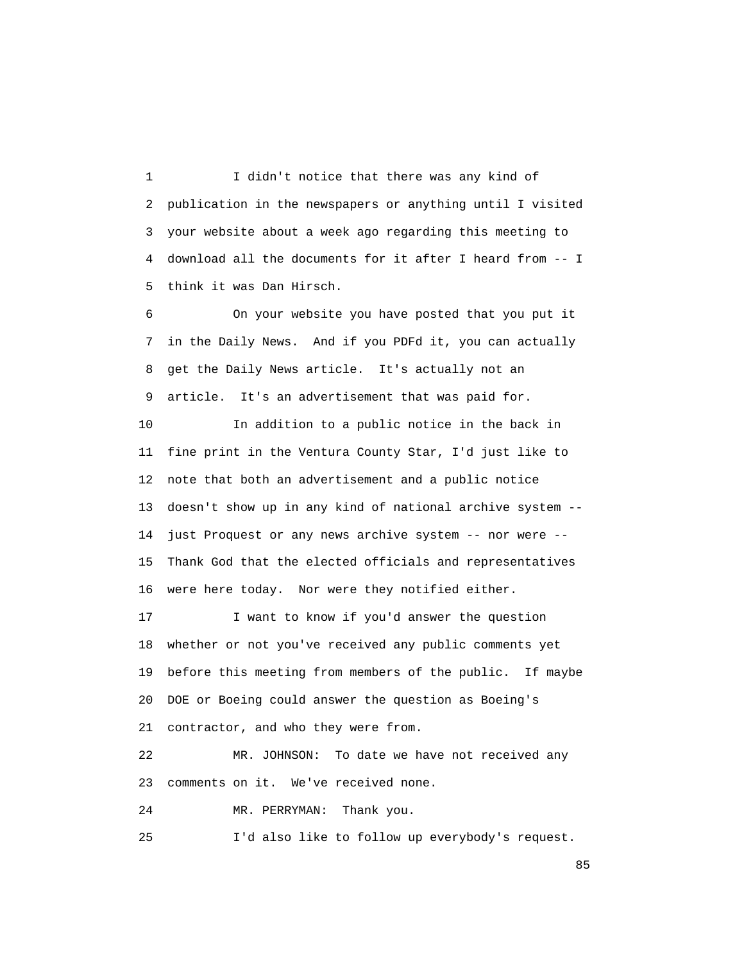1 I didn't notice that there was any kind of 2 publication in the newspapers or anything until I visited 3 your website about a week ago regarding this meeting to 4 download all the documents for it after I heard from -- I 5 think it was Dan Hirsch.

 6 On your website you have posted that you put it 7 in the Daily News. And if you PDFd it, you can actually 8 get the Daily News article. It's actually not an 9 article. It's an advertisement that was paid for.

 10 In addition to a public notice in the back in 11 fine print in the Ventura County Star, I'd just like to 12 note that both an advertisement and a public notice 13 doesn't show up in any kind of national archive system -- 14 just Proquest or any news archive system -- nor were -- 15 Thank God that the elected officials and representatives 16 were here today. Nor were they notified either.

17 I want to know if you'd answer the question 18 whether or not you've received any public comments yet 19 before this meeting from members of the public. If maybe 20 DOE or Boeing could answer the question as Boeing's 21 contractor, and who they were from.

 22 MR. JOHNSON: To date we have not received any 23 comments on it. We've received none.

24 MR. PERRYMAN: Thank you.

25 I'd also like to follow up everybody's request.

experience of the state of the state of the state of the state of the state of the state of the state of the s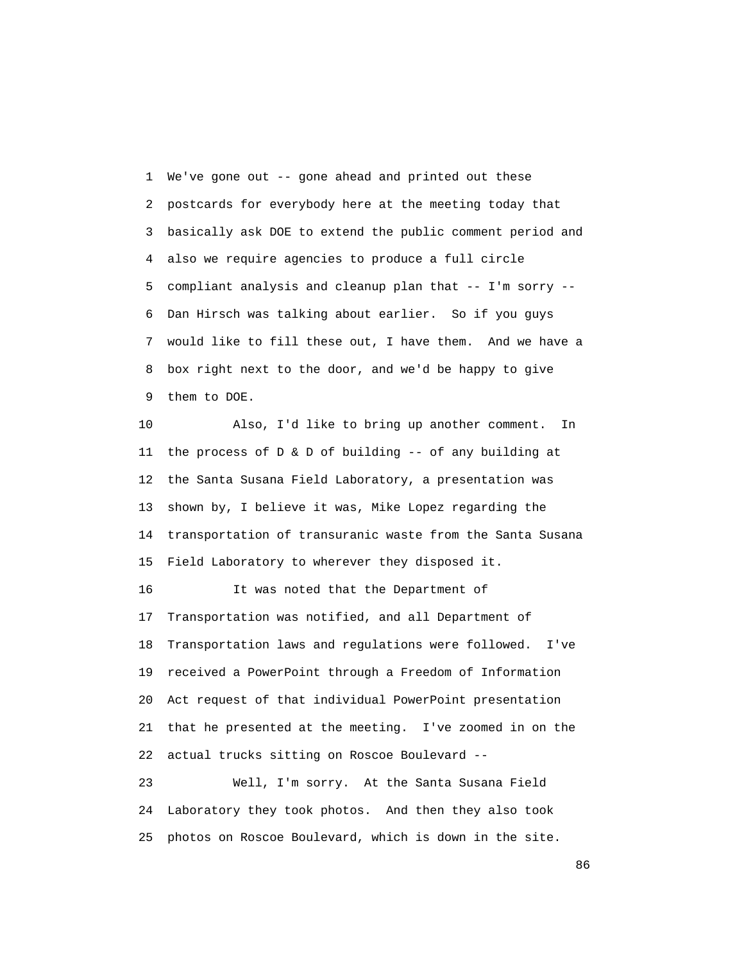1 We've gone out -- gone ahead and printed out these 2 postcards for everybody here at the meeting today that 3 basically ask DOE to extend the public comment period and 4 also we require agencies to produce a full circle 5 compliant analysis and cleanup plan that -- I'm sorry -- 6 Dan Hirsch was talking about earlier. So if you guys 7 would like to fill these out, I have them. And we have a 8 box right next to the door, and we'd be happy to give 9 them to DOE.

 10 Also, I'd like to bring up another comment. In 11 the process of D & D of building -- of any building at 12 the Santa Susana Field Laboratory, a presentation was 13 shown by, I believe it was, Mike Lopez regarding the 14 transportation of transuranic waste from the Santa Susana 15 Field Laboratory to wherever they disposed it.

 16 It was noted that the Department of 17 Transportation was notified, and all Department of 18 Transportation laws and regulations were followed. I've 19 received a PowerPoint through a Freedom of Information 20 Act request of that individual PowerPoint presentation 21 that he presented at the meeting. I've zoomed in on the 22 actual trucks sitting on Roscoe Boulevard --

 23 Well, I'm sorry. At the Santa Susana Field 24 Laboratory they took photos. And then they also took 25 photos on Roscoe Boulevard, which is down in the site.

<u>86 and 2001 and 2002 and 2003 and 2003 and 2003 and 2003 and 2003 and 2003 and 2003 and 2003 and 2003 and 200</u>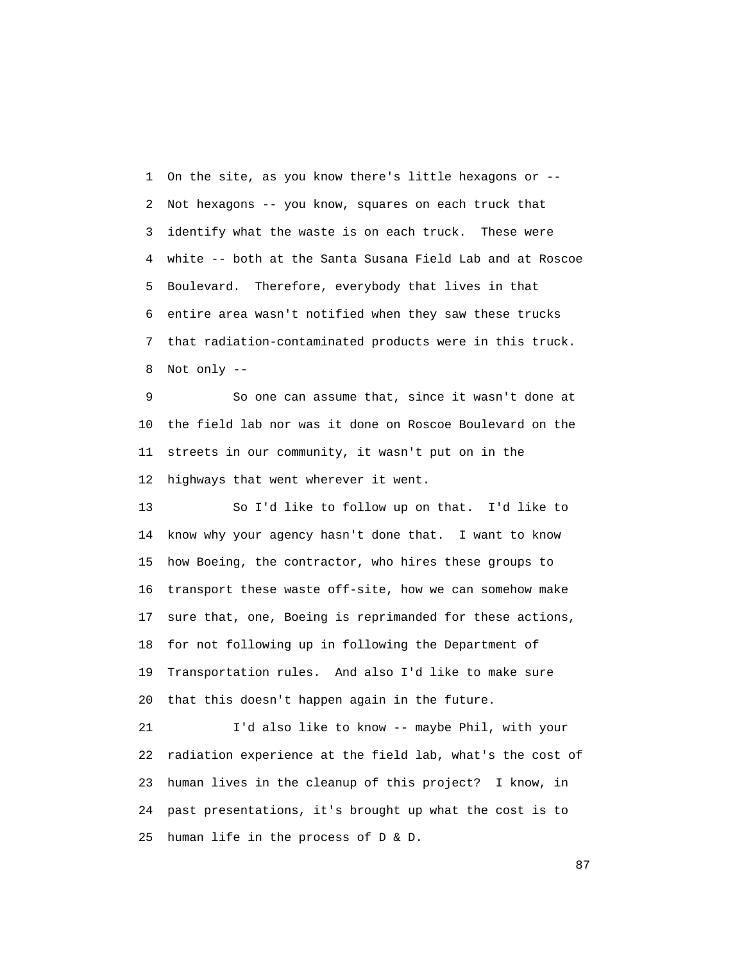1 On the site, as you know there's little hexagons or -- 2 Not hexagons -- you know, squares on each truck that 3 identify what the waste is on each truck. These were 4 white -- both at the Santa Susana Field Lab and at Roscoe 5 Boulevard. Therefore, everybody that lives in that 6 entire area wasn't notified when they saw these trucks 7 that radiation-contaminated products were in this truck. 8 Not only --

 9 So one can assume that, since it wasn't done at 10 the field lab nor was it done on Roscoe Boulevard on the 11 streets in our community, it wasn't put on in the 12 highways that went wherever it went.

 13 So I'd like to follow up on that. I'd like to 14 know why your agency hasn't done that. I want to know 15 how Boeing, the contractor, who hires these groups to 16 transport these waste off-site, how we can somehow make 17 sure that, one, Boeing is reprimanded for these actions, 18 for not following up in following the Department of 19 Transportation rules. And also I'd like to make sure 20 that this doesn't happen again in the future.

 21 I'd also like to know -- maybe Phil, with your 22 radiation experience at the field lab, what's the cost of 23 human lives in the cleanup of this project? I know, in 24 past presentations, it's brought up what the cost is to 25 human life in the process of D & D.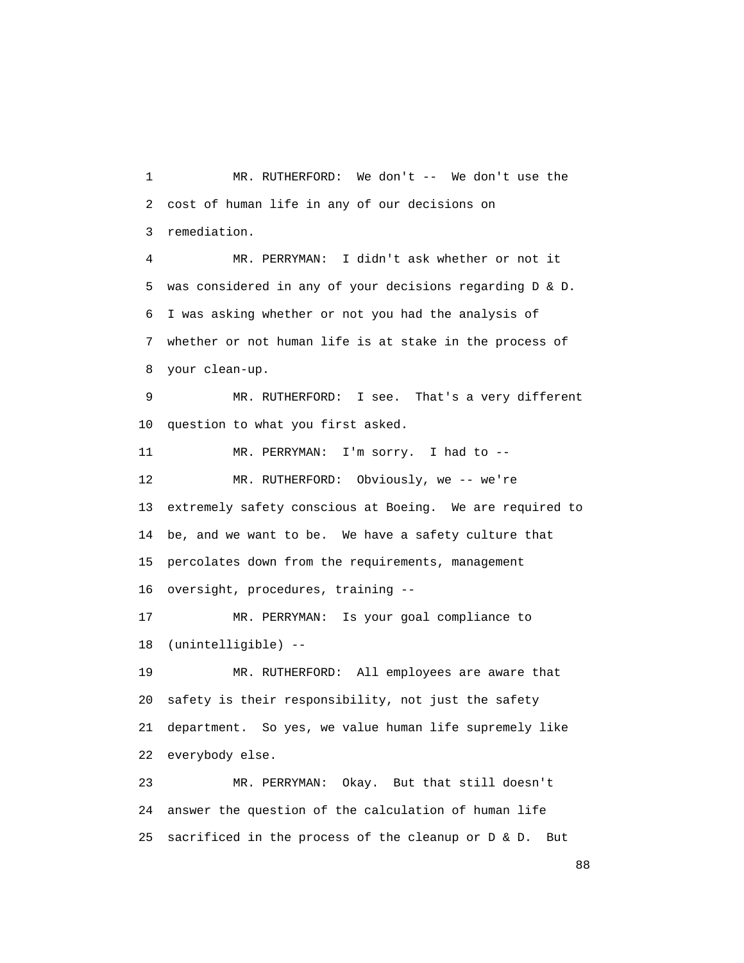1 MR. RUTHERFORD: We don't -- We don't use the 2 cost of human life in any of our decisions on 3 remediation.

 4 MR. PERRYMAN: I didn't ask whether or not it 5 was considered in any of your decisions regarding D & D. 6 I was asking whether or not you had the analysis of 7 whether or not human life is at stake in the process of 8 your clean-up.

 9 MR. RUTHERFORD: I see. That's a very different 10 question to what you first asked.

 11 MR. PERRYMAN: I'm sorry. I had to -- 12 MR. RUTHERFORD: Obviously, we -- we're 13 extremely safety conscious at Boeing. We are required to 14 be, and we want to be. We have a safety culture that 15 percolates down from the requirements, management 16 oversight, procedures, training -- 17 MR. PERRYMAN: Is your goal compliance to 18 (unintelligible) --

 19 MR. RUTHERFORD: All employees are aware that 20 safety is their responsibility, not just the safety 21 department. So yes, we value human life supremely like 22 everybody else.

 23 MR. PERRYMAN: Okay. But that still doesn't 24 answer the question of the calculation of human life 25 sacrificed in the process of the cleanup or D & D. But

en de la construction de la construction de la construction de la construction de la construction de la constr<br>1888 : le construction de la construction de la construction de la construction de la construction de la const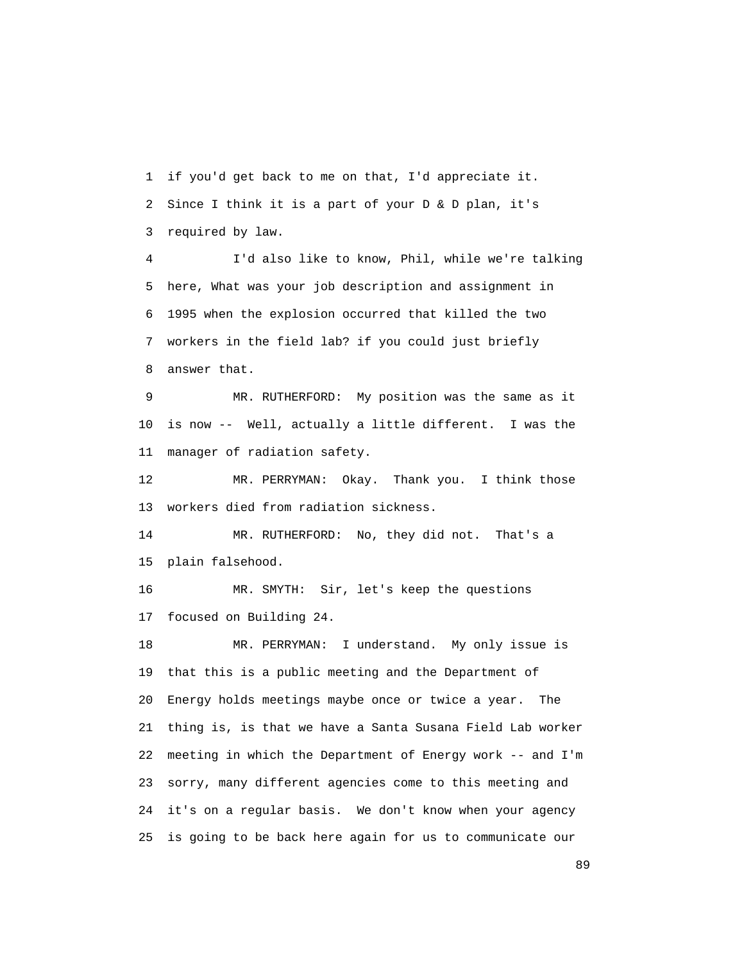1 if you'd get back to me on that, I'd appreciate it. 2 Since I think it is a part of your D & D plan, it's 3 required by law.

 4 I'd also like to know, Phil, while we're talking 5 here, What was your job description and assignment in 6 1995 when the explosion occurred that killed the two 7 workers in the field lab? if you could just briefly 8 answer that.

 9 MR. RUTHERFORD: My position was the same as it 10 is now -- Well, actually a little different. I was the 11 manager of radiation safety.

 12 MR. PERRYMAN: Okay. Thank you. I think those 13 workers died from radiation sickness.

 14 MR. RUTHERFORD: No, they did not. That's a 15 plain falsehood.

 16 MR. SMYTH: Sir, let's keep the questions 17 focused on Building 24.

 18 MR. PERRYMAN: I understand. My only issue is 19 that this is a public meeting and the Department of 20 Energy holds meetings maybe once or twice a year. The 21 thing is, is that we have a Santa Susana Field Lab worker 22 meeting in which the Department of Energy work -- and I'm 23 sorry, many different agencies come to this meeting and 24 it's on a regular basis. We don't know when your agency 25 is going to be back here again for us to communicate our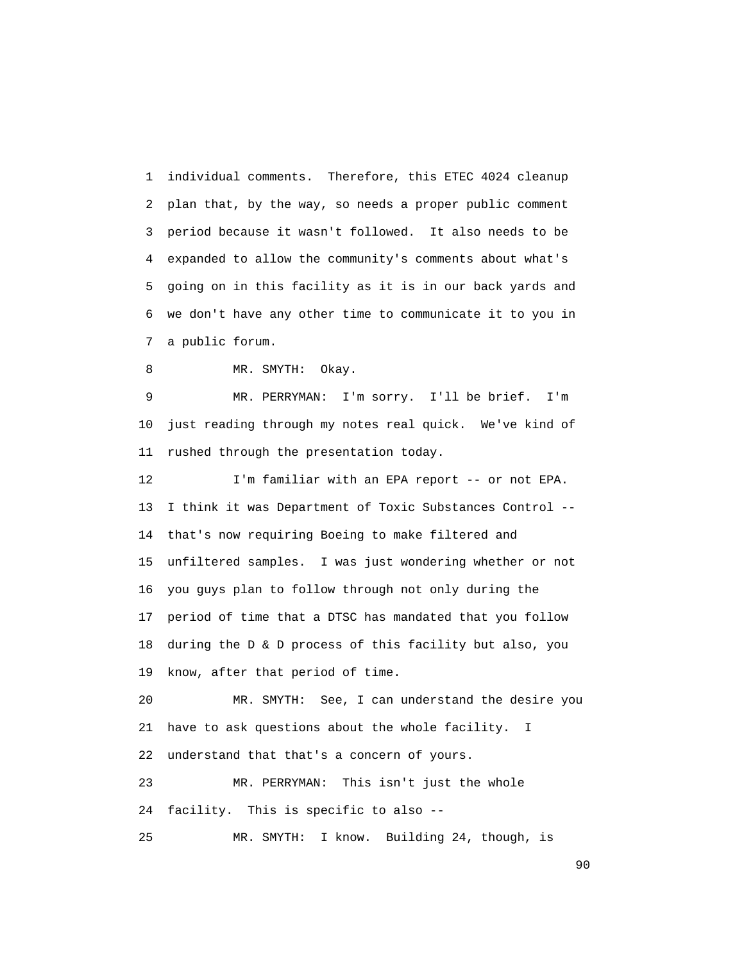1 individual comments. Therefore, this ETEC 4024 cleanup 2 plan that, by the way, so needs a proper public comment 3 period because it wasn't followed. It also needs to be 4 expanded to allow the community's comments about what's 5 going on in this facility as it is in our back yards and 6 we don't have any other time to communicate it to you in 7 a public forum.

8 MR. SMYTH: Okay.

 9 MR. PERRYMAN: I'm sorry. I'll be brief. I'm 10 just reading through my notes real quick. We've kind of 11 rushed through the presentation today.

 12 I'm familiar with an EPA report -- or not EPA. 13 I think it was Department of Toxic Substances Control -- 14 that's now requiring Boeing to make filtered and 15 unfiltered samples. I was just wondering whether or not 16 you guys plan to follow through not only during the 17 period of time that a DTSC has mandated that you follow 18 during the D & D process of this facility but also, you 19 know, after that period of time.

 20 MR. SMYTH: See, I can understand the desire you 21 have to ask questions about the whole facility. I 22 understand that that's a concern of yours.

 23 MR. PERRYMAN: This isn't just the whole 24 facility. This is specific to also --

25 MR. SMYTH: I know. Building 24, though, is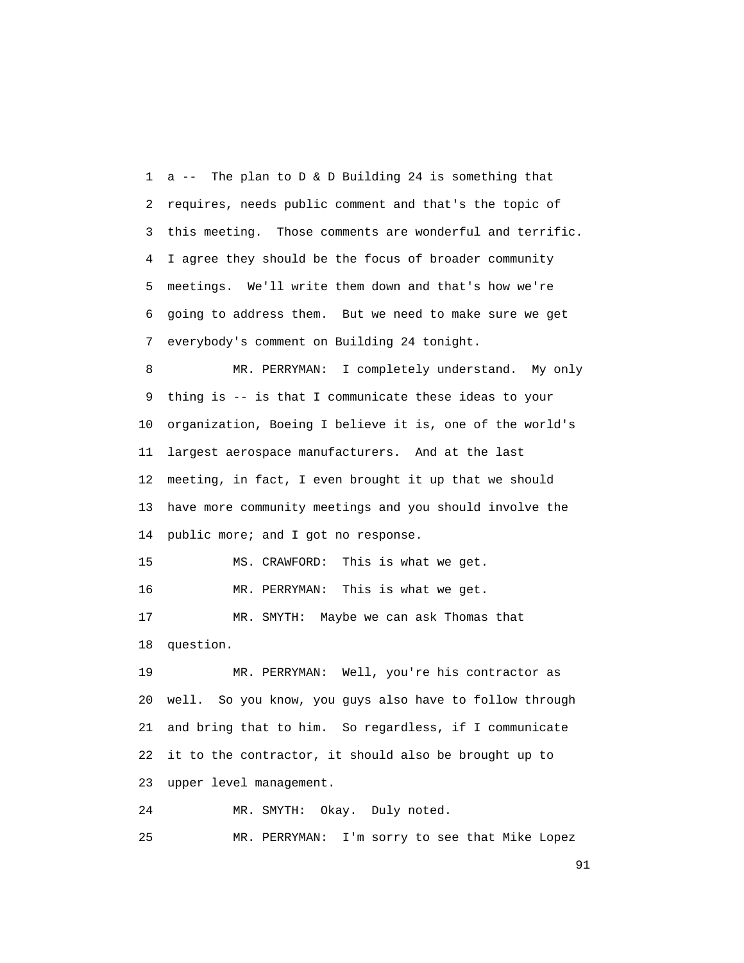1 a -- The plan to D & D Building 24 is something that 2 requires, needs public comment and that's the topic of 3 this meeting. Those comments are wonderful and terrific. 4 I agree they should be the focus of broader community 5 meetings. We'll write them down and that's how we're 6 going to address them. But we need to make sure we get 7 everybody's comment on Building 24 tonight.

 8 MR. PERRYMAN: I completely understand. My only 9 thing is -- is that I communicate these ideas to your 10 organization, Boeing I believe it is, one of the world's 11 largest aerospace manufacturers. And at the last 12 meeting, in fact, I even brought it up that we should 13 have more community meetings and you should involve the 14 public more; and I got no response.

15 MS. CRAWFORD: This is what we get.

16 MR. PERRYMAN: This is what we get.

 17 MR. SMYTH: Maybe we can ask Thomas that 18 question.

 19 MR. PERRYMAN: Well, you're his contractor as 20 well. So you know, you guys also have to follow through 21 and bring that to him. So regardless, if I communicate 22 it to the contractor, it should also be brought up to 23 upper level management.

24 MR. SMYTH: Okay. Duly noted.

25 MR. PERRYMAN: I'm sorry to see that Mike Lopez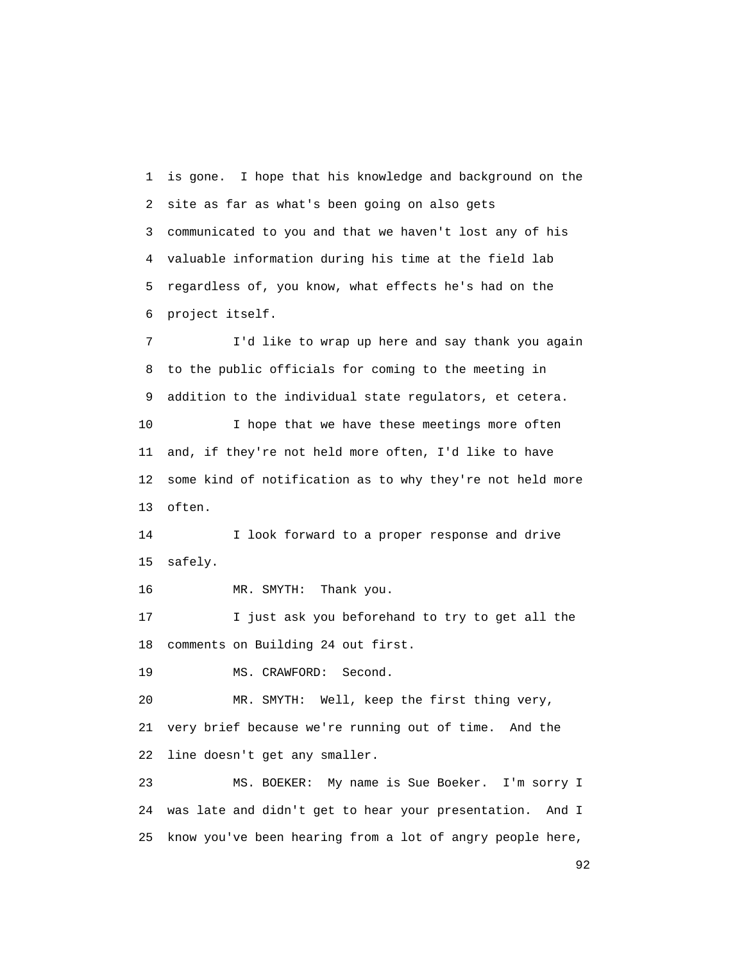1 is gone. I hope that his knowledge and background on the 2 site as far as what's been going on also gets 3 communicated to you and that we haven't lost any of his 4 valuable information during his time at the field lab 5 regardless of, you know, what effects he's had on the 6 project itself.

 7 I'd like to wrap up here and say thank you again 8 to the public officials for coming to the meeting in 9 addition to the individual state regulators, et cetera. 10 I hope that we have these meetings more often 11 and, if they're not held more often, I'd like to have 12 some kind of notification as to why they're not held more 13 often.

 14 I look forward to a proper response and drive 15 safely.

16 MR. SMYTH: Thank you.

 17 I just ask you beforehand to try to get all the 18 comments on Building 24 out first.

19 MS. CRAWFORD: Second.

 20 MR. SMYTH: Well, keep the first thing very, 21 very brief because we're running out of time. And the 22 line doesn't get any smaller.

 23 MS. BOEKER: My name is Sue Boeker. I'm sorry I 24 was late and didn't get to hear your presentation. And I 25 know you've been hearing from a lot of angry people here,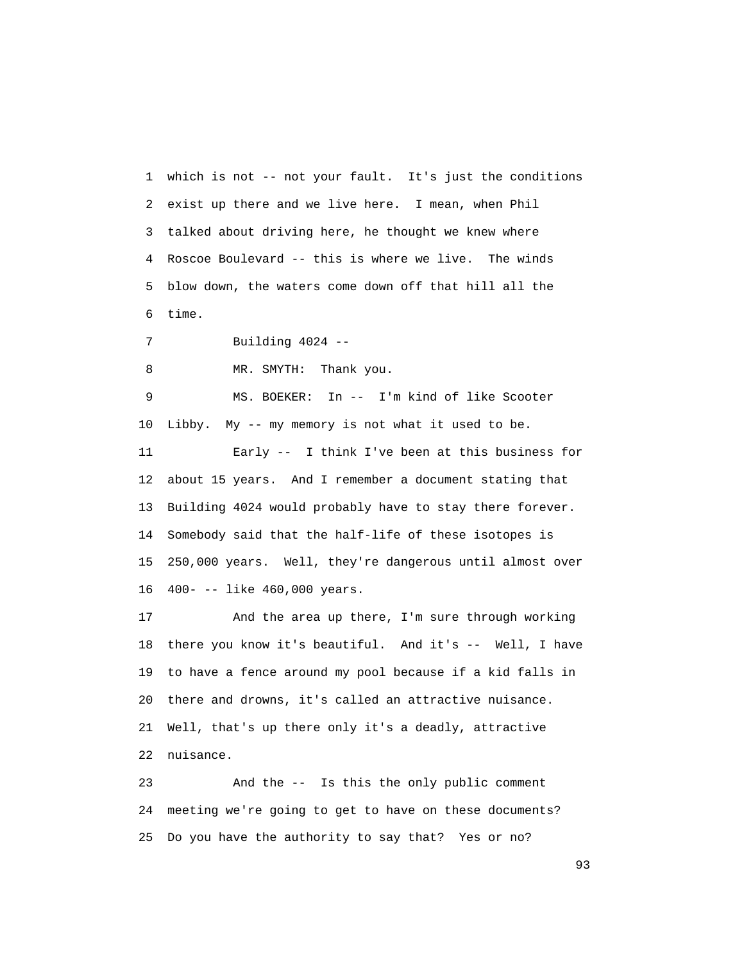1 which is not -- not your fault. It's just the conditions 2 exist up there and we live here. I mean, when Phil 3 talked about driving here, he thought we knew where 4 Roscoe Boulevard -- this is where we live. The winds 5 blow down, the waters come down off that hill all the 6 time.

7 Building 4024 --

8 MR. SMYTH: Thank you.

 9 MS. BOEKER: In -- I'm kind of like Scooter 10 Libby. My -- my memory is not what it used to be. 11 Early -- I think I've been at this business for 12 about 15 years. And I remember a document stating that 13 Building 4024 would probably have to stay there forever. 14 Somebody said that the half-life of these isotopes is 15 250,000 years. Well, they're dangerous until almost over 16 400- -- like 460,000 years.

 17 And the area up there, I'm sure through working 18 there you know it's beautiful. And it's -- Well, I have 19 to have a fence around my pool because if a kid falls in 20 there and drowns, it's called an attractive nuisance. 21 Well, that's up there only it's a deadly, attractive 22 nuisance.

 23 And the -- Is this the only public comment 24 meeting we're going to get to have on these documents? 25 Do you have the authority to say that? Yes or no?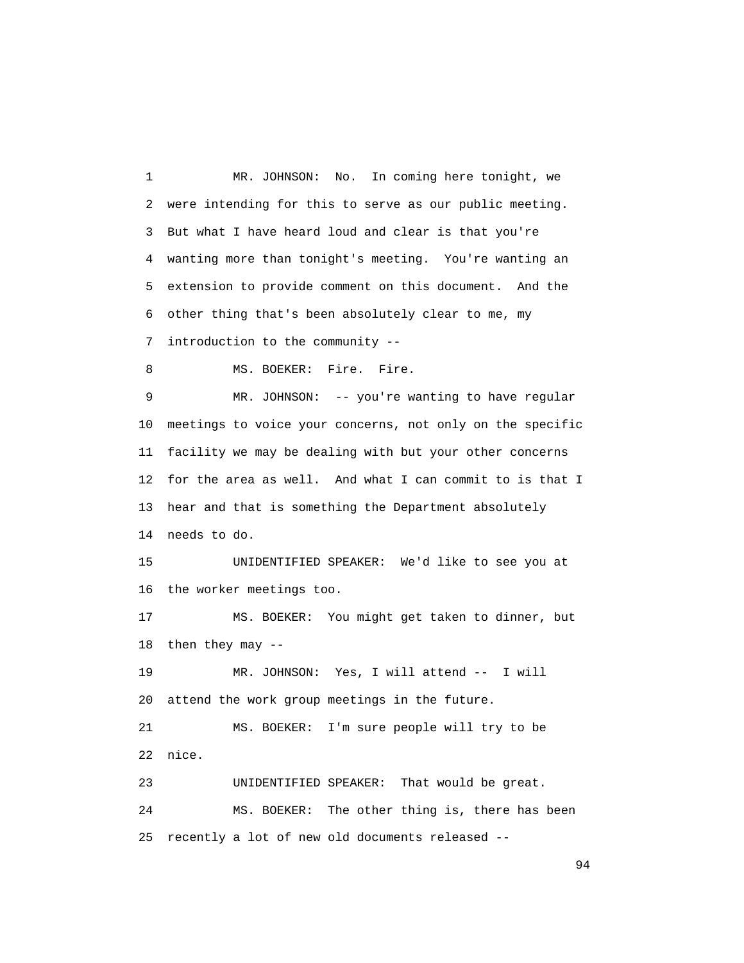1 MR. JOHNSON: No. In coming here tonight, we 2 were intending for this to serve as our public meeting. 3 But what I have heard loud and clear is that you're 4 wanting more than tonight's meeting. You're wanting an 5 extension to provide comment on this document. And the 6 other thing that's been absolutely clear to me, my 7 introduction to the community -- 8 MS. BOEKER: Fire. Fire. 9 MR. JOHNSON: -- you're wanting to have regular 10 meetings to voice your concerns, not only on the specific 11 facility we may be dealing with but your other concerns 12 for the area as well. And what I can commit to is that I 13 hear and that is something the Department absolutely 14 needs to do. 15 UNIDENTIFIED SPEAKER: We'd like to see you at 16 the worker meetings too. 17 MS. BOEKER: You might get taken to dinner, but 18 then they may -- 19 MR. JOHNSON: Yes, I will attend -- I will 20 attend the work group meetings in the future. 21 MS. BOEKER: I'm sure people will try to be 22 nice. 23 UNIDENTIFIED SPEAKER: That would be great. 24 MS. BOEKER: The other thing is, there has been 25 recently a lot of new old documents released --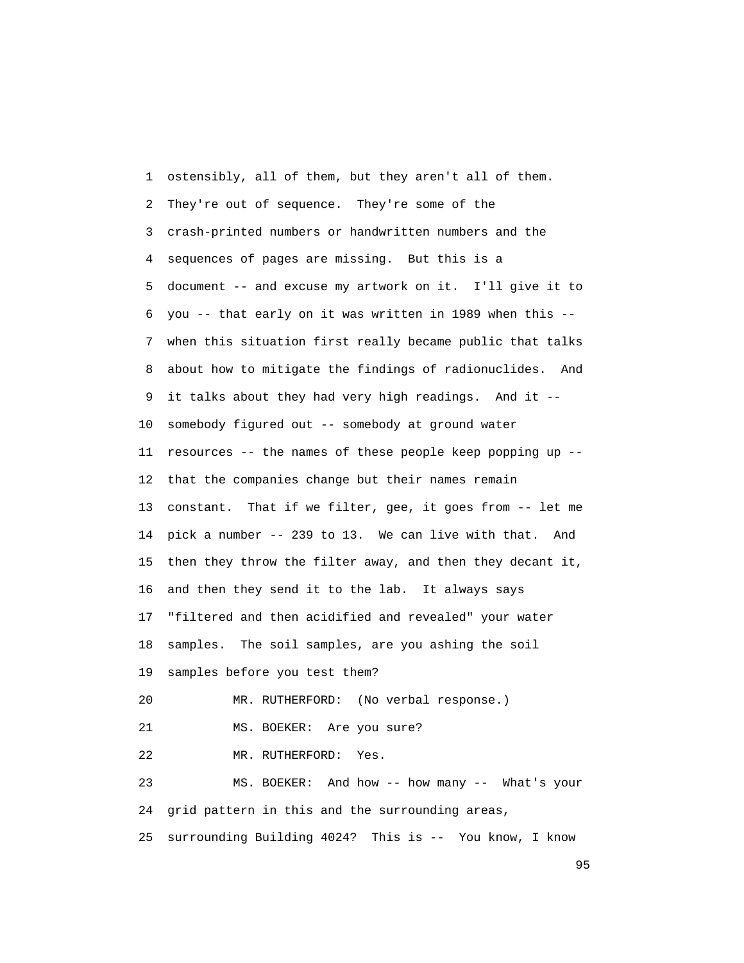1 ostensibly, all of them, but they aren't all of them. 2 They're out of sequence. They're some of the 3 crash-printed numbers or handwritten numbers and the 4 sequences of pages are missing. But this is a 5 document -- and excuse my artwork on it. I'll give it to 6 you -- that early on it was written in 1989 when this -- 7 when this situation first really became public that talks 8 about how to mitigate the findings of radionuclides. And 9 it talks about they had very high readings. And it -- 10 somebody figured out -- somebody at ground water 11 resources -- the names of these people keep popping up -- 12 that the companies change but their names remain 13 constant. That if we filter, gee, it goes from -- let me 14 pick a number -- 239 to 13. We can live with that. And 15 then they throw the filter away, and then they decant it, 16 and then they send it to the lab. It always says 17 "filtered and then acidified and revealed" your water 18 samples. The soil samples, are you ashing the soil 19 samples before you test them? 20 MR. RUTHERFORD: (No verbal response.) 21 MS. BOEKER: Are you sure? 22 MR. RUTHERFORD: Yes. 23 MS. BOEKER: And how -- how many -- What's your 24 grid pattern in this and the surrounding areas, 25 surrounding Building 4024? This is -- You know, I know

experience of the contract of the contract of the contract of the contract of the contract of the contract of the contract of the contract of the contract of the contract of the contract of the contract of the contract of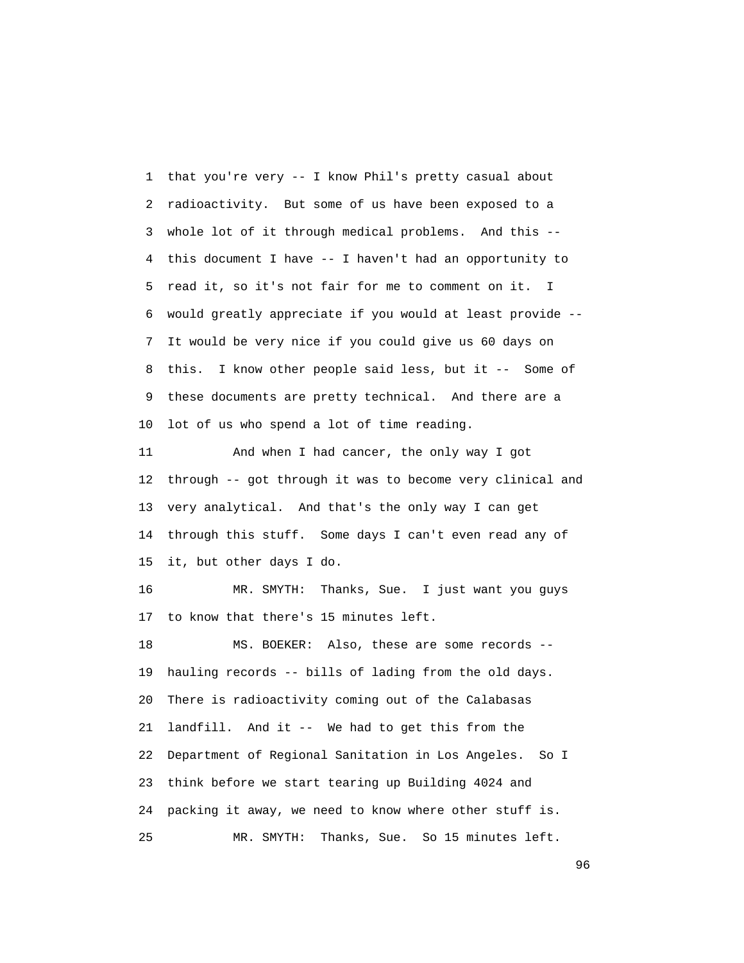1 that you're very -- I know Phil's pretty casual about 2 radioactivity. But some of us have been exposed to a 3 whole lot of it through medical problems. And this -- 4 this document I have -- I haven't had an opportunity to 5 read it, so it's not fair for me to comment on it. I 6 would greatly appreciate if you would at least provide -- 7 It would be very nice if you could give us 60 days on 8 this. I know other people said less, but it -- Some of 9 these documents are pretty technical. And there are a 10 lot of us who spend a lot of time reading.

 11 And when I had cancer, the only way I got 12 through -- got through it was to become very clinical and 13 very analytical. And that's the only way I can get 14 through this stuff. Some days I can't even read any of 15 it, but other days I do.

 16 MR. SMYTH: Thanks, Sue. I just want you guys 17 to know that there's 15 minutes left.

 18 MS. BOEKER: Also, these are some records -- 19 hauling records -- bills of lading from the old days. 20 There is radioactivity coming out of the Calabasas 21 landfill. And it -- We had to get this from the 22 Department of Regional Sanitation in Los Angeles. So I 23 think before we start tearing up Building 4024 and 24 packing it away, we need to know where other stuff is. 25 MR. SMYTH: Thanks, Sue. So 15 minutes left.

<u>96 and the state of the state of the state of the state of the state of the state of the state of the state of the state of the state of the state of the state of the state of the state of the state of the state of the st</u>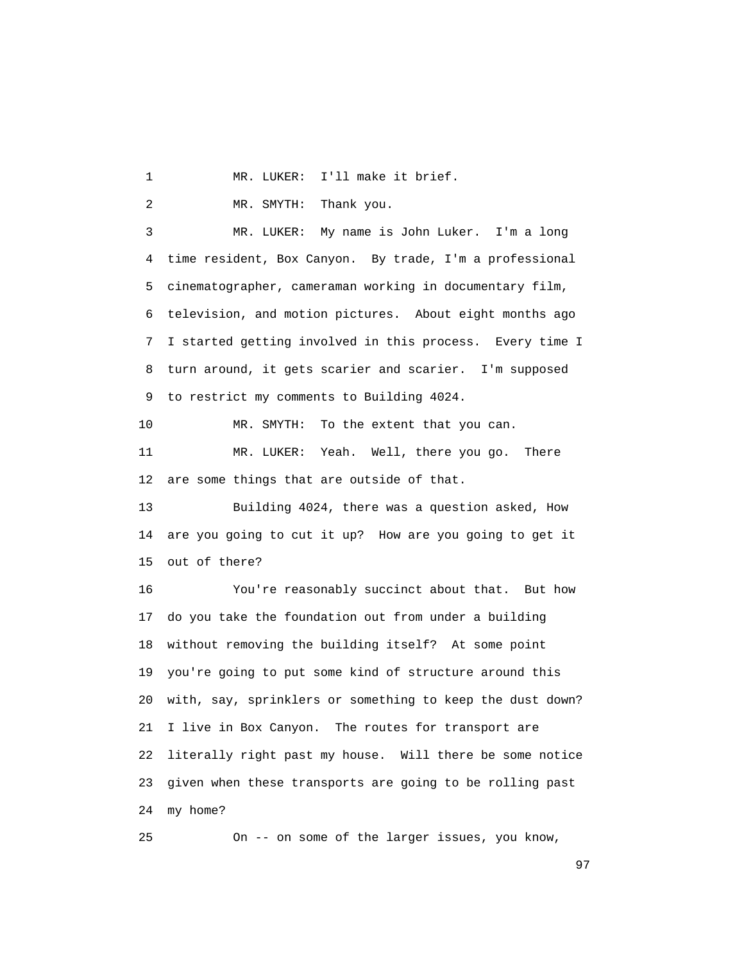1 MR. LUKER: I'll make it brief.

2 MR. SMYTH: Thank you.

 3 MR. LUKER: My name is John Luker. I'm a long 4 time resident, Box Canyon. By trade, I'm a professional 5 cinematographer, cameraman working in documentary film, 6 television, and motion pictures. About eight months ago 7 I started getting involved in this process. Every time I 8 turn around, it gets scarier and scarier. I'm supposed 9 to restrict my comments to Building 4024.

10 MR. SMYTH: To the extent that you can.

 11 MR. LUKER: Yeah. Well, there you go. There 12 are some things that are outside of that.

 13 Building 4024, there was a question asked, How 14 are you going to cut it up? How are you going to get it 15 out of there?

 16 You're reasonably succinct about that. But how 17 do you take the foundation out from under a building 18 without removing the building itself? At some point 19 you're going to put some kind of structure around this 20 with, say, sprinklers or something to keep the dust down? 21 I live in Box Canyon. The routes for transport are 22 literally right past my house. Will there be some notice 23 given when these transports are going to be rolling past 24 my home?

25 On -- on some of the larger issues, you know,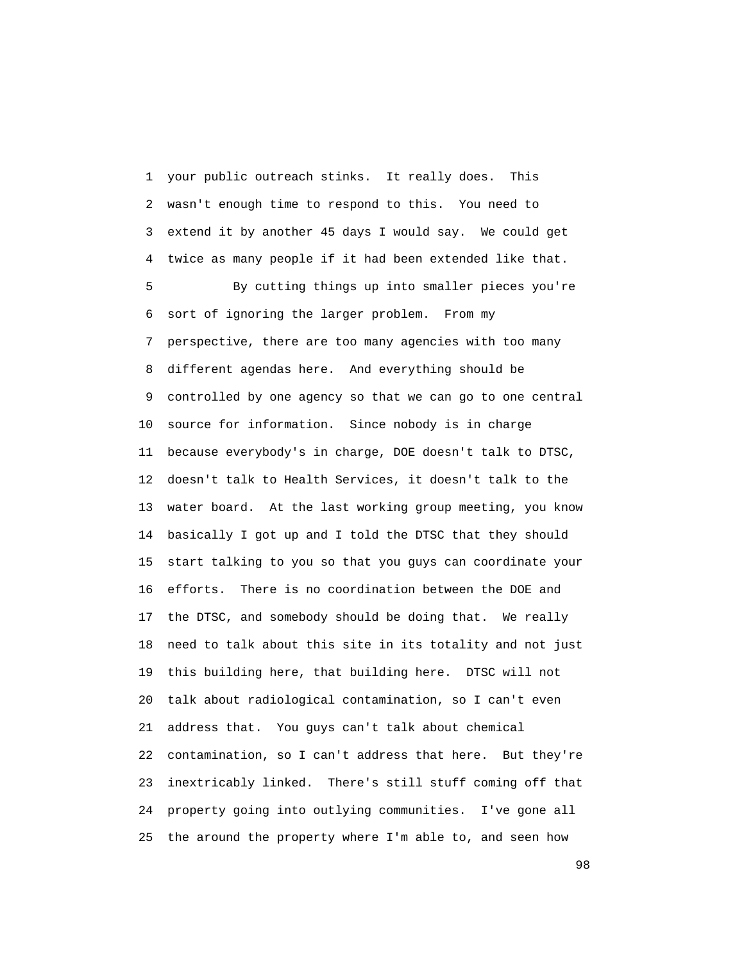1 your public outreach stinks. It really does. This 2 wasn't enough time to respond to this. You need to 3 extend it by another 45 days I would say. We could get 4 twice as many people if it had been extended like that. 5 By cutting things up into smaller pieces you're 6 sort of ignoring the larger problem. From my 7 perspective, there are too many agencies with too many 8 different agendas here. And everything should be 9 controlled by one agency so that we can go to one central 10 source for information. Since nobody is in charge 11 because everybody's in charge, DOE doesn't talk to DTSC, 12 doesn't talk to Health Services, it doesn't talk to the 13 water board. At the last working group meeting, you know 14 basically I got up and I told the DTSC that they should 15 start talking to you so that you guys can coordinate your 16 efforts. There is no coordination between the DOE and 17 the DTSC, and somebody should be doing that. We really 18 need to talk about this site in its totality and not just 19 this building here, that building here. DTSC will not 20 talk about radiological contamination, so I can't even 21 address that. You guys can't talk about chemical 22 contamination, so I can't address that here. But they're 23 inextricably linked. There's still stuff coming off that 24 property going into outlying communities. I've gone all 25 the around the property where I'm able to, and seen how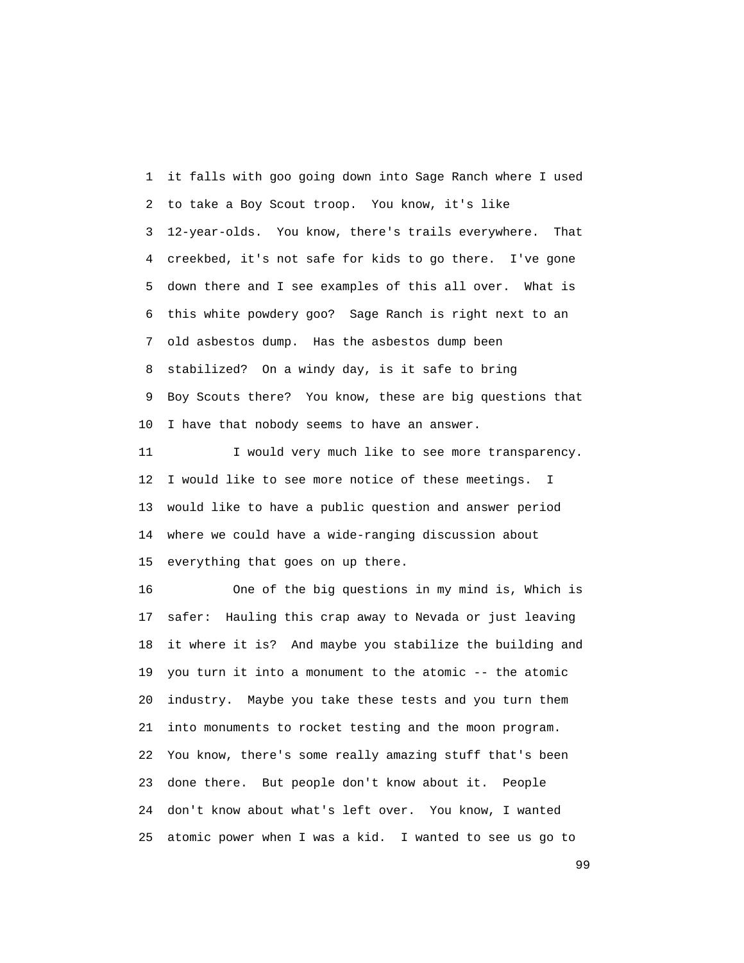1 it falls with goo going down into Sage Ranch where I used 2 to take a Boy Scout troop. You know, it's like 3 12-year-olds. You know, there's trails everywhere. That 4 creekbed, it's not safe for kids to go there. I've gone 5 down there and I see examples of this all over. What is 6 this white powdery goo? Sage Ranch is right next to an 7 old asbestos dump. Has the asbestos dump been 8 stabilized? On a windy day, is it safe to bring 9 Boy Scouts there? You know, these are big questions that 10 I have that nobody seems to have an answer.

11 I would very much like to see more transparency. 12 I would like to see more notice of these meetings. I 13 would like to have a public question and answer period 14 where we could have a wide-ranging discussion about 15 everything that goes on up there.

 16 One of the big questions in my mind is, Which is 17 safer: Hauling this crap away to Nevada or just leaving 18 it where it is? And maybe you stabilize the building and 19 you turn it into a monument to the atomic -- the atomic 20 industry. Maybe you take these tests and you turn them 21 into monuments to rocket testing and the moon program. 22 You know, there's some really amazing stuff that's been 23 done there. But people don't know about it. People 24 don't know about what's left over. You know, I wanted 25 atomic power when I was a kid. I wanted to see us go to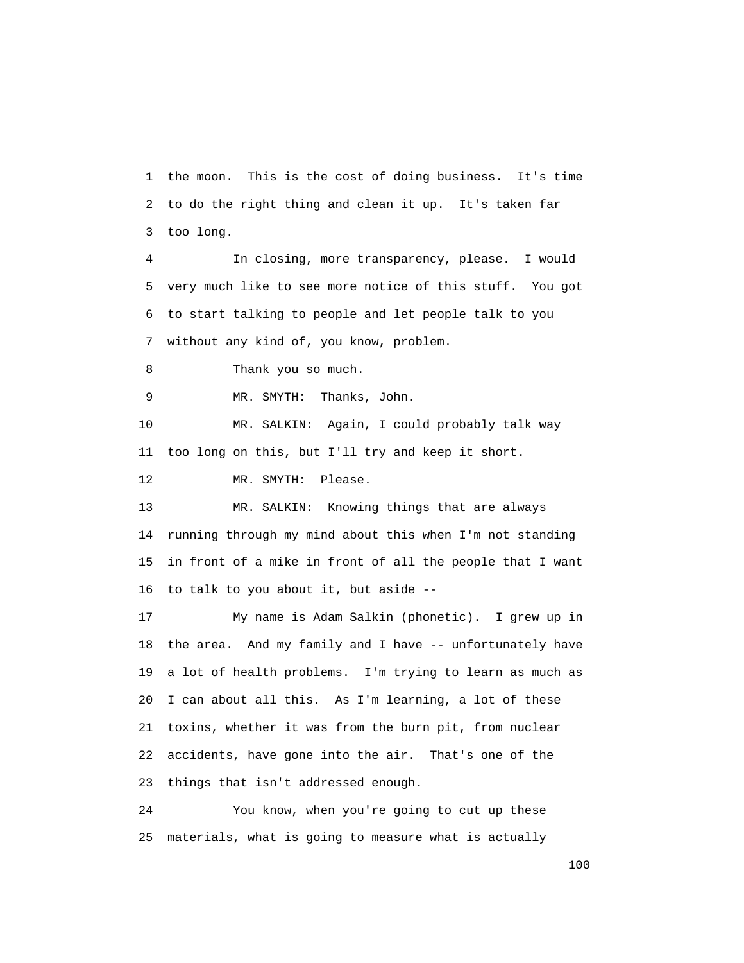1 the moon. This is the cost of doing business. It's time 2 to do the right thing and clean it up. It's taken far 3 too long.

 4 In closing, more transparency, please. I would 5 very much like to see more notice of this stuff. You got 6 to start talking to people and let people talk to you 7 without any kind of, you know, problem.

8 Thank you so much.

9 MR. SMYTH: Thanks, John.

 10 MR. SALKIN: Again, I could probably talk way 11 too long on this, but I'll try and keep it short.

12 MR. SMYTH: Please.

 13 MR. SALKIN: Knowing things that are always 14 running through my mind about this when I'm not standing 15 in front of a mike in front of all the people that I want 16 to talk to you about it, but aside --

 17 My name is Adam Salkin (phonetic). I grew up in 18 the area. And my family and I have -- unfortunately have 19 a lot of health problems. I'm trying to learn as much as 20 I can about all this. As I'm learning, a lot of these 21 toxins, whether it was from the burn pit, from nuclear 22 accidents, have gone into the air. That's one of the 23 things that isn't addressed enough.

 24 You know, when you're going to cut up these 25 materials, what is going to measure what is actually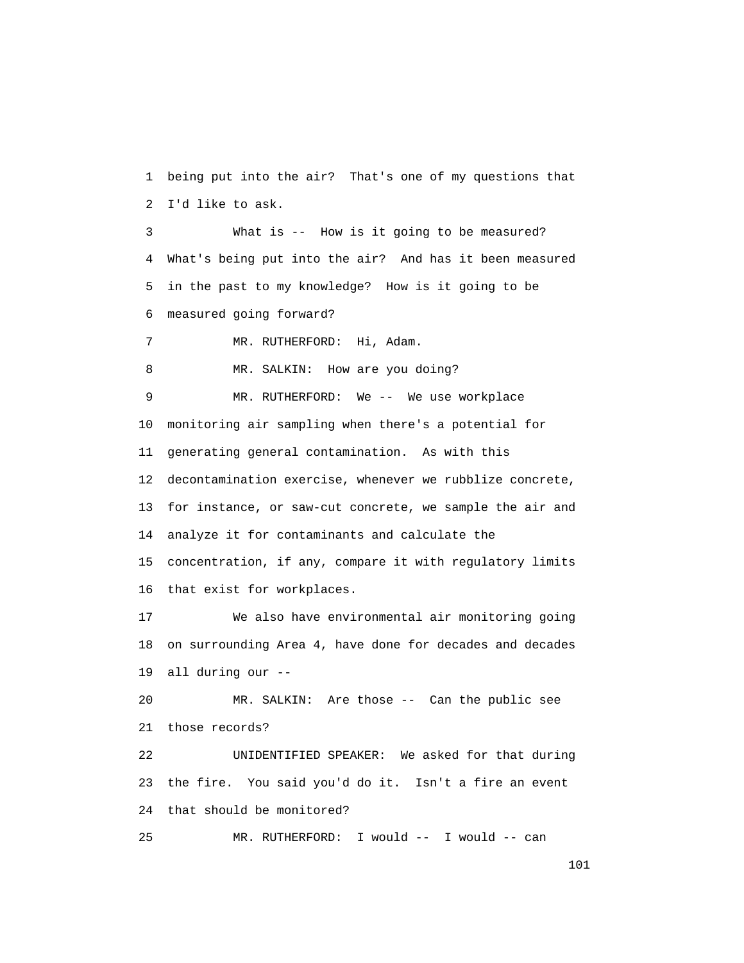1 being put into the air? That's one of my questions that 2 I'd like to ask.

 3 What is -- How is it going to be measured? 4 What's being put into the air? And has it been measured 5 in the past to my knowledge? How is it going to be 6 measured going forward?

7 MR. RUTHERFORD: Hi, Adam.

8 MR. SALKIN: How are you doing?

 9 MR. RUTHERFORD: We -- We use workplace 10 monitoring air sampling when there's a potential for 11 generating general contamination. As with this 12 decontamination exercise, whenever we rubblize concrete, 13 for instance, or saw-cut concrete, we sample the air and 14 analyze it for contaminants and calculate the 15 concentration, if any, compare it with regulatory limits 16 that exist for workplaces.

 17 We also have environmental air monitoring going 18 on surrounding Area 4, have done for decades and decades 19 all during our --

 20 MR. SALKIN: Are those -- Can the public see 21 those records?

 22 UNIDENTIFIED SPEAKER: We asked for that during 23 the fire. You said you'd do it. Isn't a fire an event 24 that should be monitored?

25 MR. RUTHERFORD: I would -- I would -- can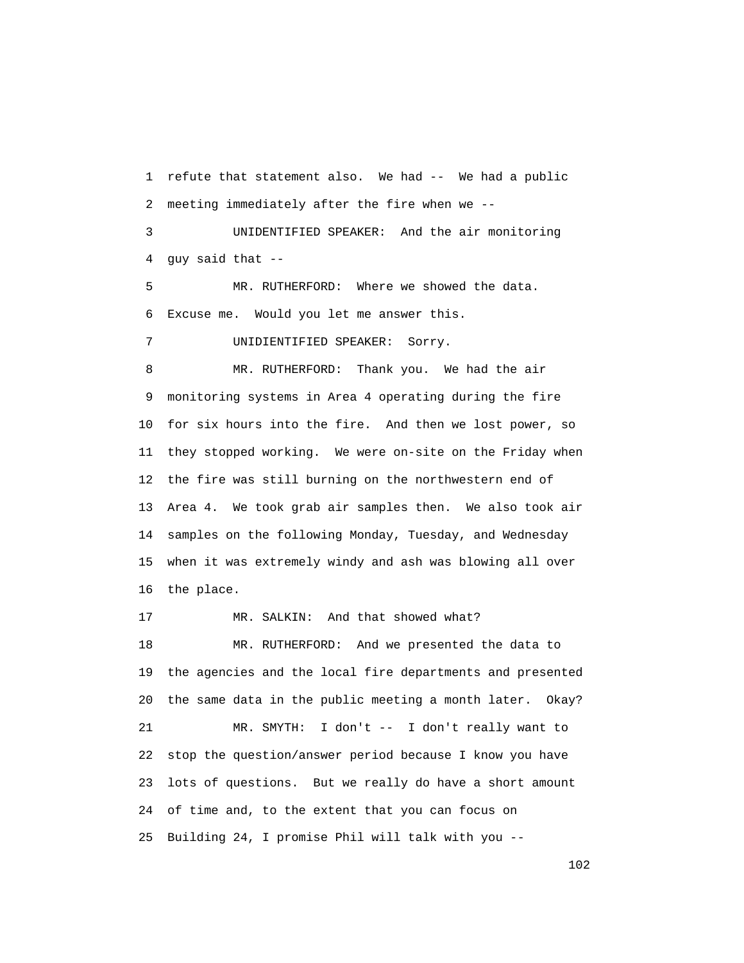1 refute that statement also. We had -- We had a public 2 meeting immediately after the fire when we --

 3 UNIDENTIFIED SPEAKER: And the air monitoring 4 guy said that --

 5 MR. RUTHERFORD: Where we showed the data. 6 Excuse me. Would you let me answer this.

7 UNIDIENTIFIED SPEAKER: Sorry.

 8 MR. RUTHERFORD: Thank you. We had the air 9 monitoring systems in Area 4 operating during the fire 10 for six hours into the fire. And then we lost power, so 11 they stopped working. We were on-site on the Friday when 12 the fire was still burning on the northwestern end of 13 Area 4. We took grab air samples then. We also took air 14 samples on the following Monday, Tuesday, and Wednesday 15 when it was extremely windy and ash was blowing all over 16 the place.

17 MR. SALKIN: And that showed what? 18 MR. RUTHERFORD: And we presented the data to 19 the agencies and the local fire departments and presented 20 the same data in the public meeting a month later. Okay? 21 MR. SMYTH: I don't -- I don't really want to 22 stop the question/answer period because I know you have 23 lots of questions. But we really do have a short amount 24 of time and, to the extent that you can focus on 25 Building 24, I promise Phil will talk with you --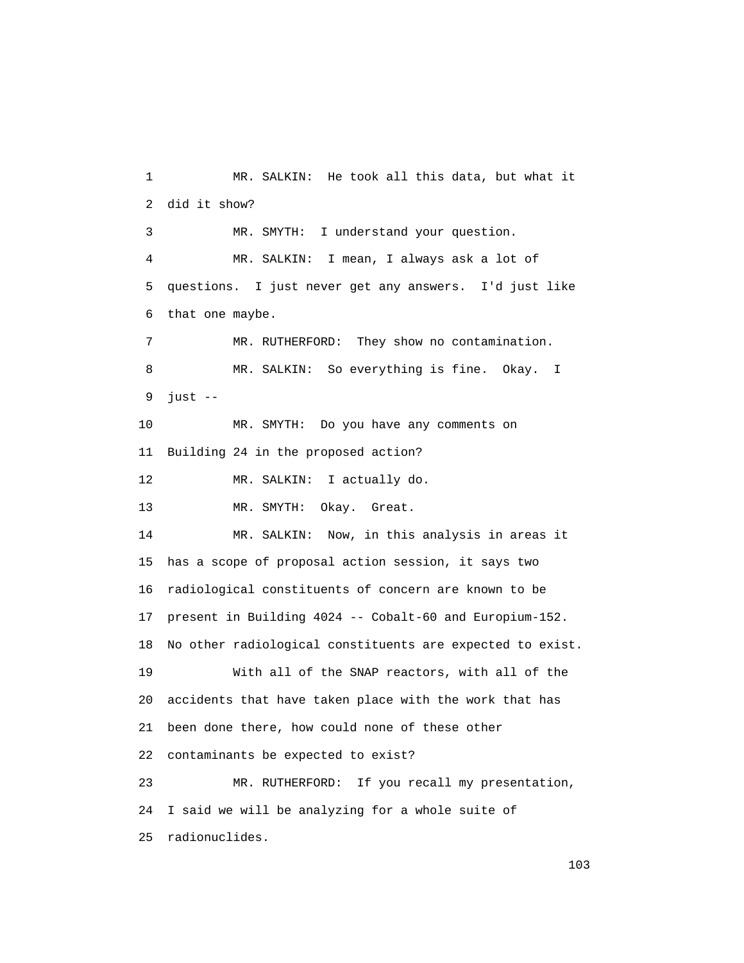1 MR. SALKIN: He took all this data, but what it 2 did it show? 3 MR. SMYTH: I understand your question. 4 MR. SALKIN: I mean, I always ask a lot of 5 questions. I just never get any answers. I'd just like 6 that one maybe. 7 MR. RUTHERFORD: They show no contamination. 8 MR. SALKIN: So everything is fine. Okay. I 9 just -- 10 MR. SMYTH: Do you have any comments on 11 Building 24 in the proposed action? 12 MR. SALKIN: I actually do. 13 MR. SMYTH: Okay. Great. 14 MR. SALKIN: Now, in this analysis in areas it 15 has a scope of proposal action session, it says two 16 radiological constituents of concern are known to be 17 present in Building 4024 -- Cobalt-60 and Europium-152. 18 No other radiological constituents are expected to exist. 19 With all of the SNAP reactors, with all of the 20 accidents that have taken place with the work that has 21 been done there, how could none of these other 22 contaminants be expected to exist? 23 MR. RUTHERFORD: If you recall my presentation, 24 I said we will be analyzing for a whole suite of 25 radionuclides.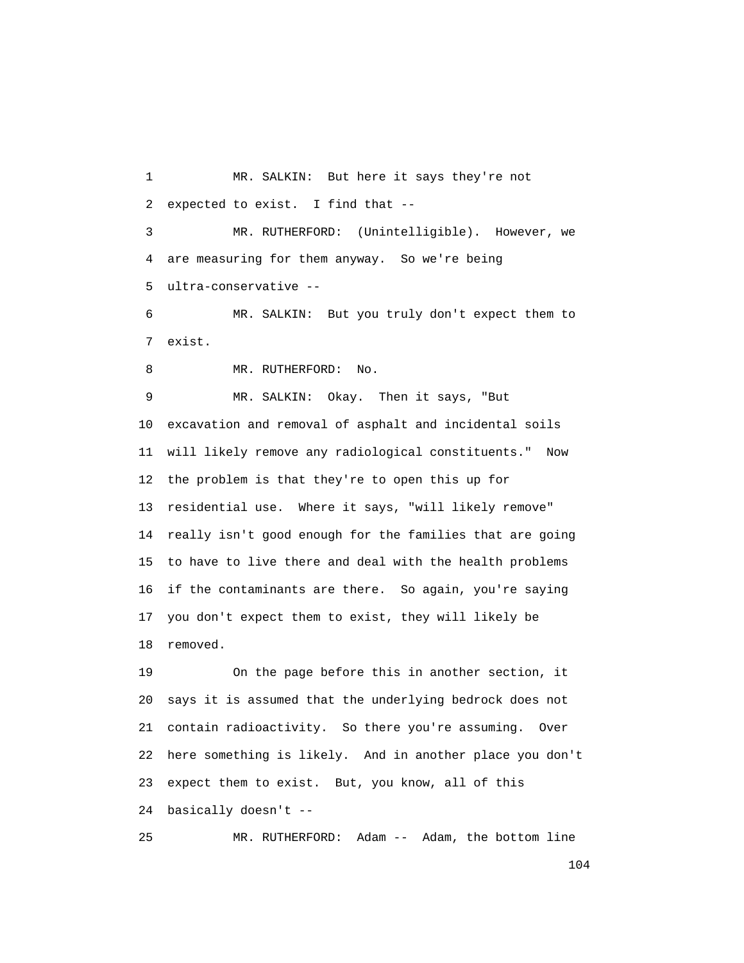1 MR. SALKIN: But here it says they're not 2 expected to exist. I find that -- 3 MR. RUTHERFORD: (Unintelligible). However, we 4 are measuring for them anyway. So we're being 5 ultra-conservative -- 6 MR. SALKIN: But you truly don't expect them to 7 exist. 8 MR. RUTHERFORD: No. 9 MR. SALKIN: Okay. Then it says, "But 10 excavation and removal of asphalt and incidental soils 11 will likely remove any radiological constituents." Now

 12 the problem is that they're to open this up for 13 residential use. Where it says, "will likely remove" 14 really isn't good enough for the families that are going 15 to have to live there and deal with the health problems 16 if the contaminants are there. So again, you're saying 17 you don't expect them to exist, they will likely be 18 removed.

 19 On the page before this in another section, it 20 says it is assumed that the underlying bedrock does not 21 contain radioactivity. So there you're assuming. Over 22 here something is likely. And in another place you don't 23 expect them to exist. But, you know, all of this 24 basically doesn't --

25 MR. RUTHERFORD: Adam -- Adam, the bottom line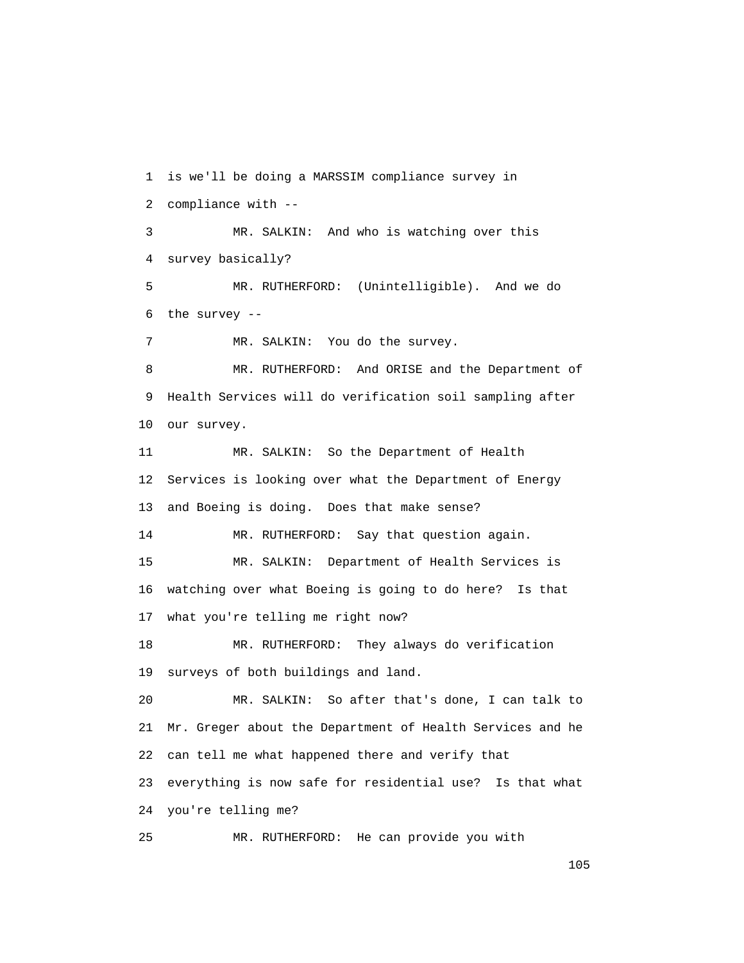1 is we'll be doing a MARSSIM compliance survey in 2 compliance with -- 3 MR. SALKIN: And who is watching over this 4 survey basically? 5 MR. RUTHERFORD: (Unintelligible). And we do 6 the survey -- 7 MR. SALKIN: You do the survey. 8 MR. RUTHERFORD: And ORISE and the Department of 9 Health Services will do verification soil sampling after 10 our survey. 11 MR. SALKIN: So the Department of Health 12 Services is looking over what the Department of Energy 13 and Boeing is doing. Does that make sense? 14 MR. RUTHERFORD: Say that question again. 15 MR. SALKIN: Department of Health Services is 16 watching over what Boeing is going to do here? Is that 17 what you're telling me right now? 18 MR. RUTHERFORD: They always do verification 19 surveys of both buildings and land. 20 MR. SALKIN: So after that's done, I can talk to 21 Mr. Greger about the Department of Health Services and he 22 can tell me what happened there and verify that 23 everything is now safe for residential use? Is that what 24 you're telling me? 25 MR. RUTHERFORD: He can provide you with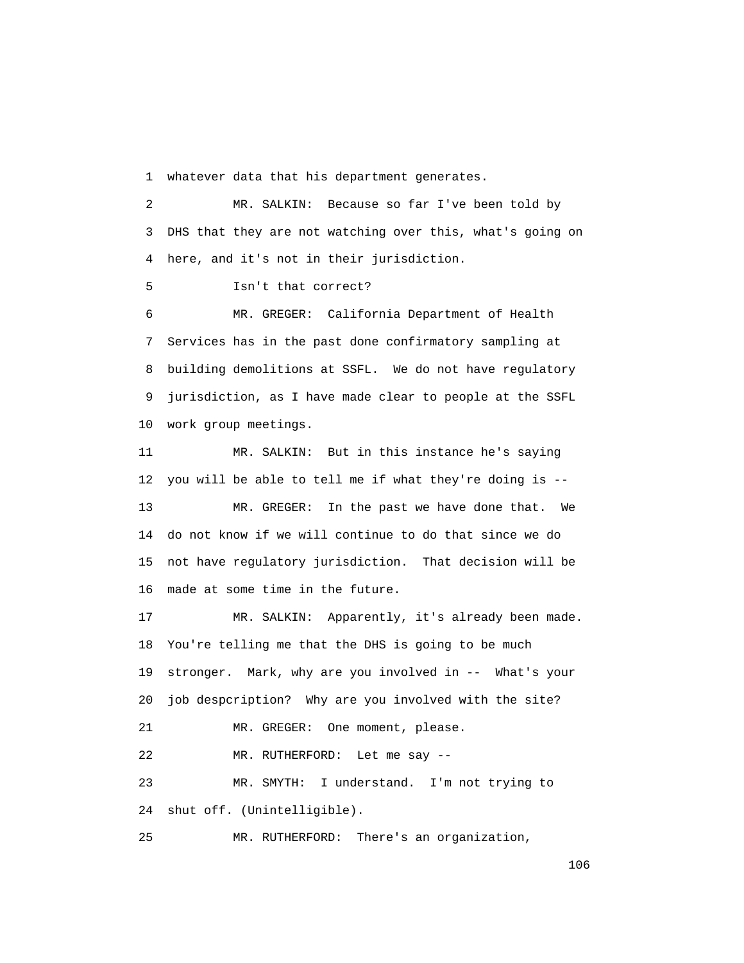1 whatever data that his department generates.

 2 MR. SALKIN: Because so far I've been told by 3 DHS that they are not watching over this, what's going on 4 here, and it's not in their jurisdiction.

5 Isn't that correct?

 6 MR. GREGER: California Department of Health 7 Services has in the past done confirmatory sampling at 8 building demolitions at SSFL. We do not have regulatory 9 jurisdiction, as I have made clear to people at the SSFL 10 work group meetings.

 11 MR. SALKIN: But in this instance he's saying 12 you will be able to tell me if what they're doing is -- 13 MR. GREGER: In the past we have done that. We 14 do not know if we will continue to do that since we do 15 not have regulatory jurisdiction. That decision will be 16 made at some time in the future.

 17 MR. SALKIN: Apparently, it's already been made. 18 You're telling me that the DHS is going to be much 19 stronger. Mark, why are you involved in -- What's your 20 job despcription? Why are you involved with the site? 21 MR. GREGER: One moment, please. 22 MR. RUTHERFORD: Let me say --

 23 MR. SMYTH: I understand. I'm not trying to 24 shut off. (Unintelligible).

25 MR. RUTHERFORD: There's an organization,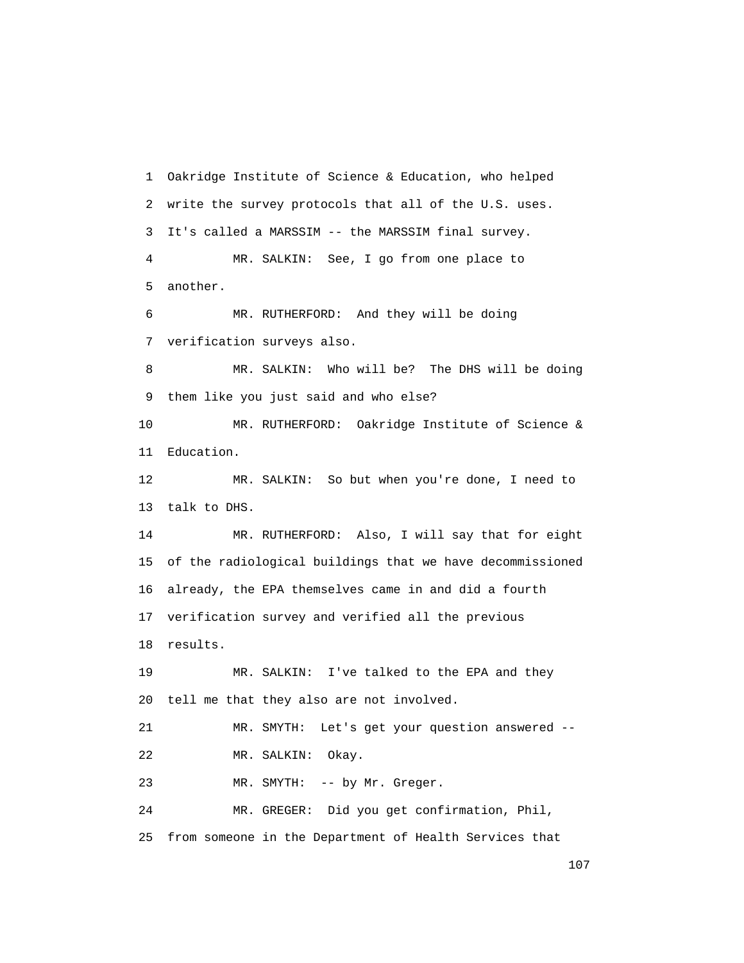1 Oakridge Institute of Science & Education, who helped 2 write the survey protocols that all of the U.S. uses. 3 It's called a MARSSIM -- the MARSSIM final survey. 4 MR. SALKIN: See, I go from one place to 5 another. 6 MR. RUTHERFORD: And they will be doing 7 verification surveys also. 8 MR. SALKIN: Who will be? The DHS will be doing 9 them like you just said and who else? 10 MR. RUTHERFORD: Oakridge Institute of Science & 11 Education. 12 MR. SALKIN: So but when you're done, I need to 13 talk to DHS. 14 MR. RUTHERFORD: Also, I will say that for eight 15 of the radiological buildings that we have decommissioned 16 already, the EPA themselves came in and did a fourth 17 verification survey and verified all the previous 18 results. 19 MR. SALKIN: I've talked to the EPA and they 20 tell me that they also are not involved. 21 MR. SMYTH: Let's get your question answered -- 22 MR. SALKIN: Okay. 23 MR. SMYTH: -- by Mr. Greger. 24 MR. GREGER: Did you get confirmation, Phil, 25 from someone in the Department of Health Services that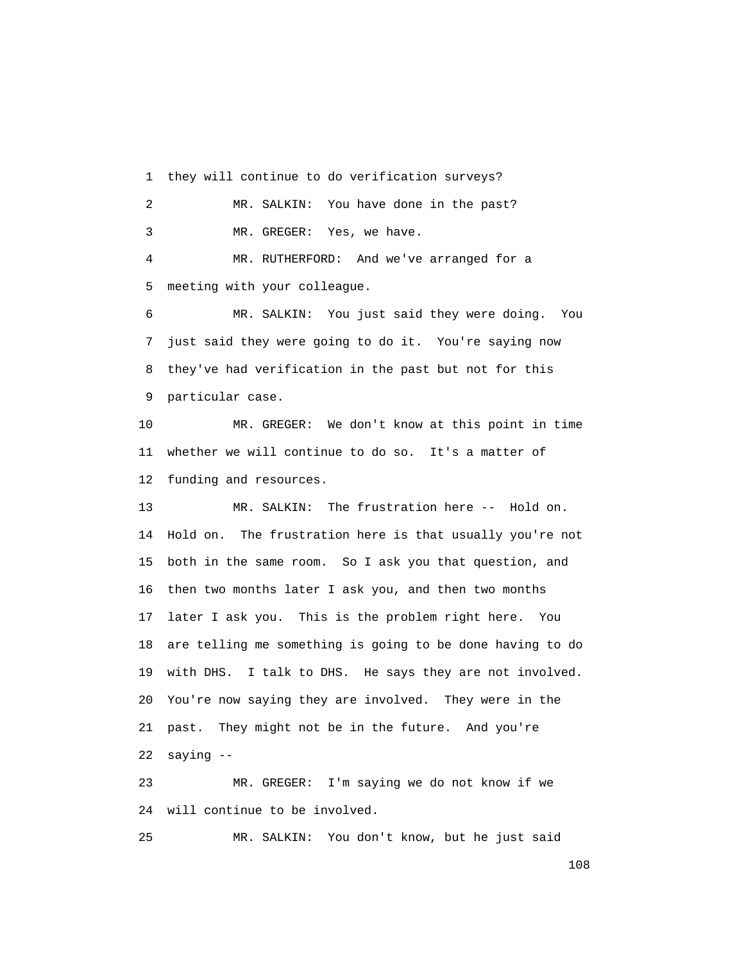1 they will continue to do verification surveys? 2 MR. SALKIN: You have done in the past? 3 MR. GREGER: Yes, we have. 4 MR. RUTHERFORD: And we've arranged for a

5 meeting with your colleague.

 6 MR. SALKIN: You just said they were doing. You 7 just said they were going to do it. You're saying now 8 they've had verification in the past but not for this 9 particular case.

 10 MR. GREGER: We don't know at this point in time 11 whether we will continue to do so. It's a matter of 12 funding and resources.

 13 MR. SALKIN: The frustration here -- Hold on. 14 Hold on. The frustration here is that usually you're not 15 both in the same room. So I ask you that question, and 16 then two months later I ask you, and then two months 17 later I ask you. This is the problem right here. You 18 are telling me something is going to be done having to do 19 with DHS. I talk to DHS. He says they are not involved. 20 You're now saying they are involved. They were in the 21 past. They might not be in the future. And you're 22 saying --

 23 MR. GREGER: I'm saying we do not know if we 24 will continue to be involved.

25 MR. SALKIN: You don't know, but he just said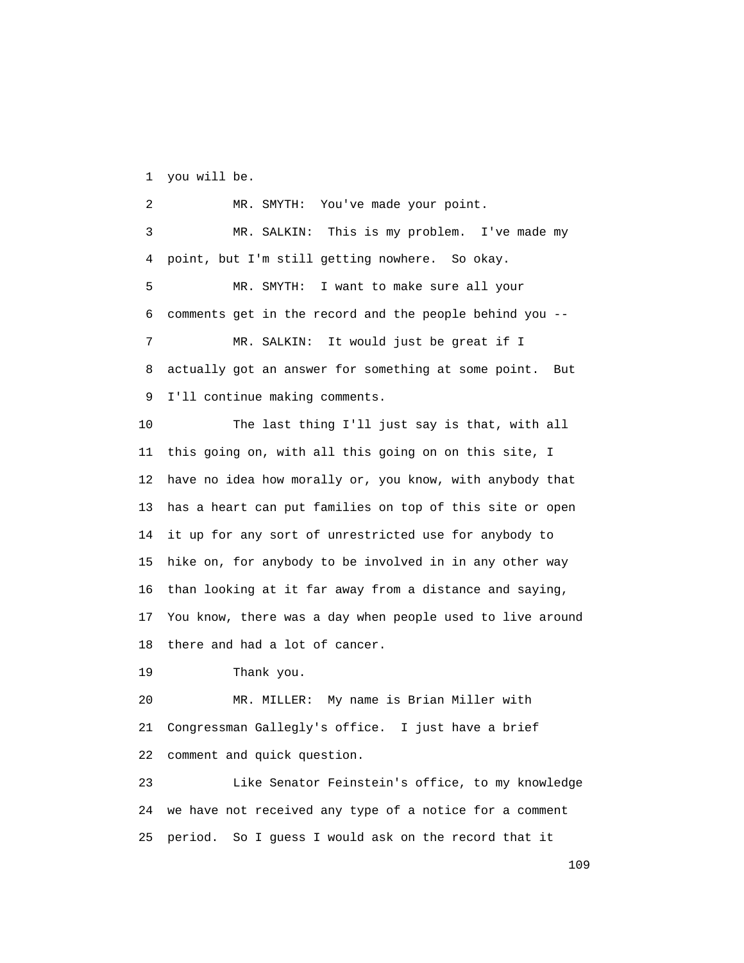1 you will be.

 2 MR. SMYTH: You've made your point. 3 MR. SALKIN: This is my problem. I've made my 4 point, but I'm still getting nowhere. So okay. 5 MR. SMYTH: I want to make sure all your 6 comments get in the record and the people behind you -- 7 MR. SALKIN: It would just be great if I 8 actually got an answer for something at some point. But 9 I'll continue making comments. 10 The last thing I'll just say is that, with all 11 this going on, with all this going on on this site, I 12 have no idea how morally or, you know, with anybody that 13 has a heart can put families on top of this site or open 14 it up for any sort of unrestricted use for anybody to 15 hike on, for anybody to be involved in in any other way

 16 than looking at it far away from a distance and saying, 17 You know, there was a day when people used to live around 18 there and had a lot of cancer.

19 Thank you.

 20 MR. MILLER: My name is Brian Miller with 21 Congressman Gallegly's office. I just have a brief 22 comment and quick question.

 23 Like Senator Feinstein's office, to my knowledge 24 we have not received any type of a notice for a comment 25 period. So I guess I would ask on the record that it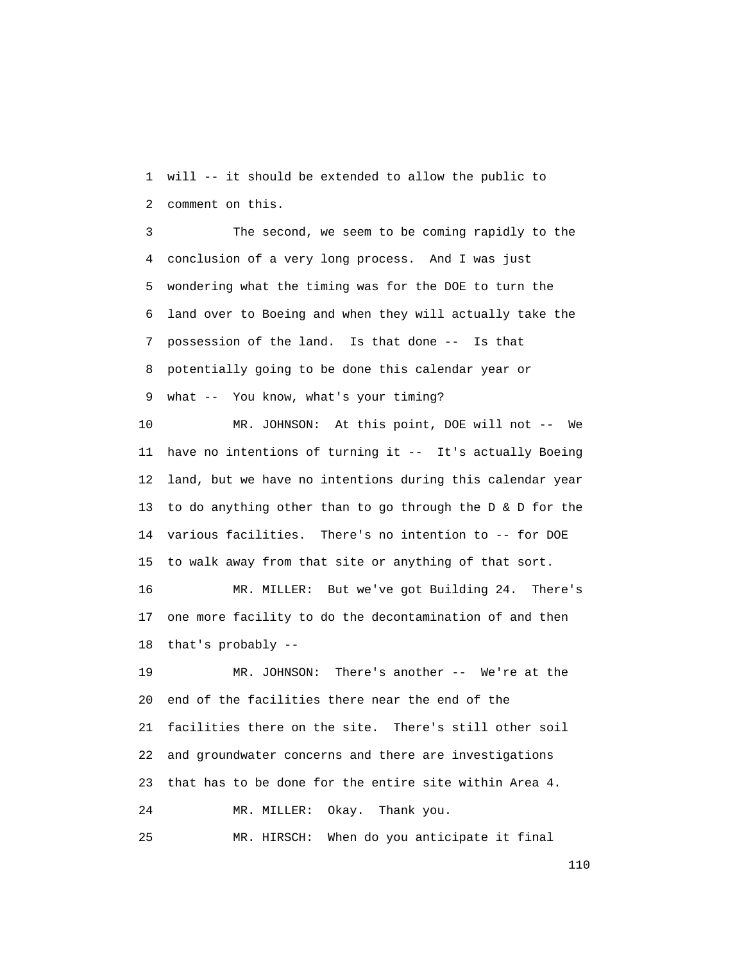1 will -- it should be extended to allow the public to 2 comment on this.

 3 The second, we seem to be coming rapidly to the 4 conclusion of a very long process. And I was just 5 wondering what the timing was for the DOE to turn the 6 land over to Boeing and when they will actually take the 7 possession of the land. Is that done -- Is that 8 potentially going to be done this calendar year or 9 what -- You know, what's your timing?

 10 MR. JOHNSON: At this point, DOE will not -- We 11 have no intentions of turning it -- It's actually Boeing 12 land, but we have no intentions during this calendar year 13 to do anything other than to go through the D & D for the 14 various facilities. There's no intention to -- for DOE 15 to walk away from that site or anything of that sort.

 16 MR. MILLER: But we've got Building 24. There's 17 one more facility to do the decontamination of and then 18 that's probably --

 19 MR. JOHNSON: There's another -- We're at the 20 end of the facilities there near the end of the 21 facilities there on the site. There's still other soil 22 and groundwater concerns and there are investigations 23 that has to be done for the entire site within Area 4. 24 MR. MILLER: Okay. Thank you.

25 MR. HIRSCH: When do you anticipate it final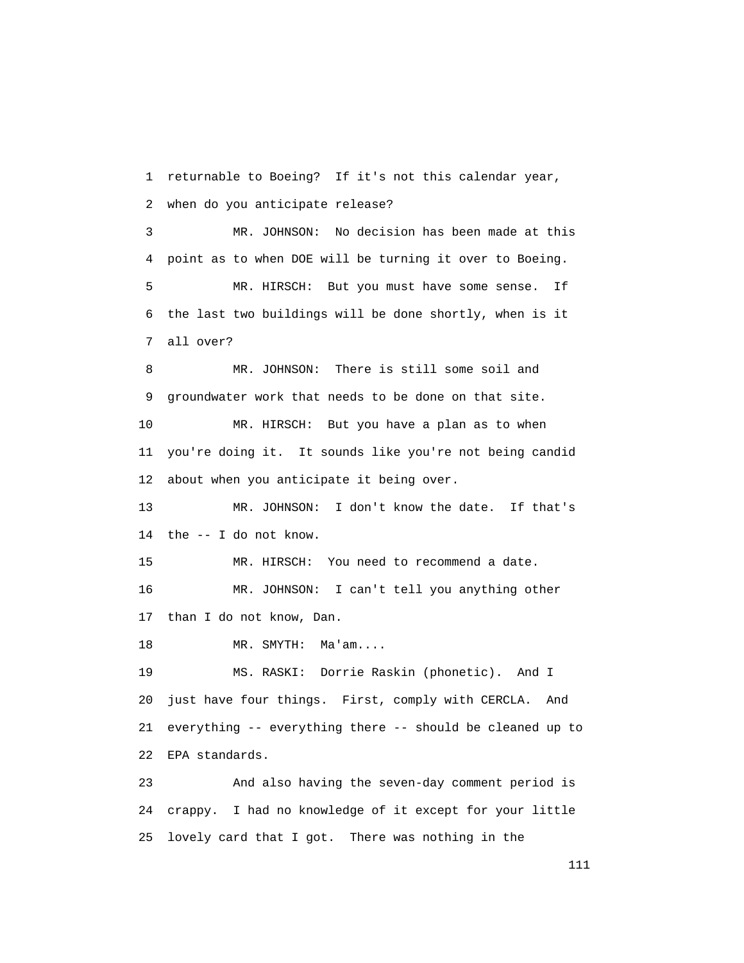1 returnable to Boeing? If it's not this calendar year, 2 when do you anticipate release? 3 MR. JOHNSON: No decision has been made at this 4 point as to when DOE will be turning it over to Boeing. 5 MR. HIRSCH: But you must have some sense. If 6 the last two buildings will be done shortly, when is it 7 all over? 8 MR. JOHNSON: There is still some soil and 9 groundwater work that needs to be done on that site. 10 MR. HIRSCH: But you have a plan as to when 11 you're doing it. It sounds like you're not being candid 12 about when you anticipate it being over. 13 MR. JOHNSON: I don't know the date. If that's 14 the -- I do not know. 15 MR. HIRSCH: You need to recommend a date. 16 MR. JOHNSON: I can't tell you anything other 17 than I do not know, Dan. 18 MR. SMYTH: Ma'am.... 19 MS. RASKI: Dorrie Raskin (phonetic). And I 20 just have four things. First, comply with CERCLA. And 21 everything -- everything there -- should be cleaned up to 22 EPA standards. 23 And also having the seven-day comment period is 24 crappy. I had no knowledge of it except for your little 25 lovely card that I got. There was nothing in the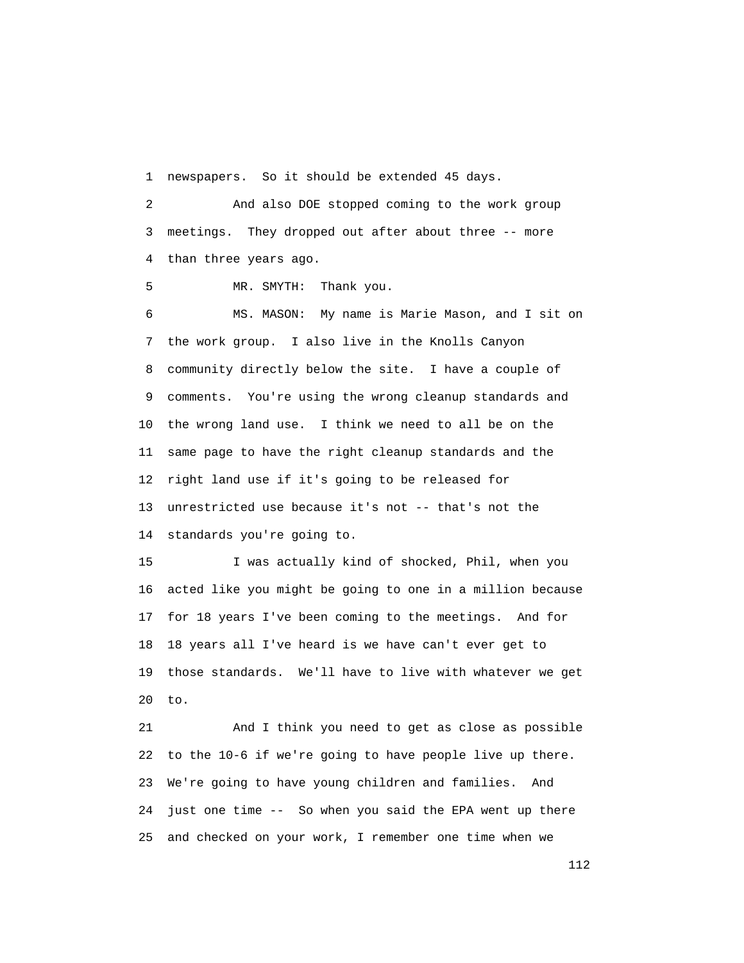1 newspapers. So it should be extended 45 days.

 2 And also DOE stopped coming to the work group 3 meetings. They dropped out after about three -- more 4 than three years ago.

5 MR. SMYTH: Thank you.

 6 MS. MASON: My name is Marie Mason, and I sit on 7 the work group. I also live in the Knolls Canyon 8 community directly below the site. I have a couple of 9 comments. You're using the wrong cleanup standards and 10 the wrong land use. I think we need to all be on the 11 same page to have the right cleanup standards and the 12 right land use if it's going to be released for 13 unrestricted use because it's not -- that's not the 14 standards you're going to.

 15 I was actually kind of shocked, Phil, when you 16 acted like you might be going to one in a million because 17 for 18 years I've been coming to the meetings. And for 18 18 years all I've heard is we have can't ever get to 19 those standards. We'll have to live with whatever we get 20 to.

 21 And I think you need to get as close as possible 22 to the 10-6 if we're going to have people live up there. 23 We're going to have young children and families. And 24 just one time -- So when you said the EPA went up there 25 and checked on your work, I remember one time when we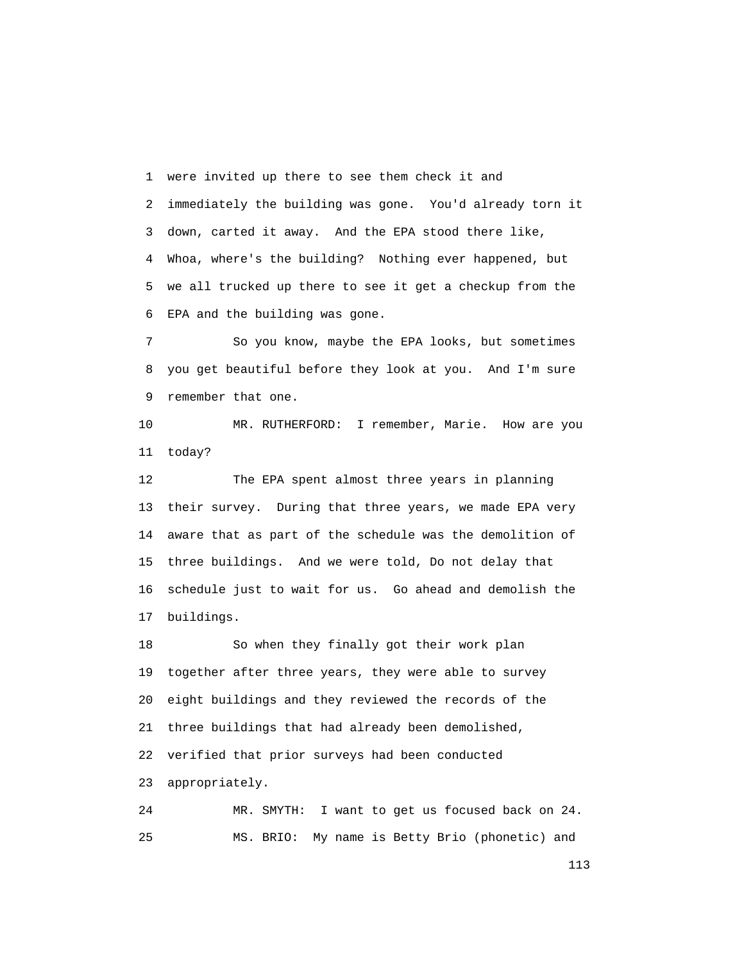1 were invited up there to see them check it and

 2 immediately the building was gone. You'd already torn it 3 down, carted it away. And the EPA stood there like, 4 Whoa, where's the building? Nothing ever happened, but 5 we all trucked up there to see it get a checkup from the 6 EPA and the building was gone.

 7 So you know, maybe the EPA looks, but sometimes 8 you get beautiful before they look at you. And I'm sure 9 remember that one.

 10 MR. RUTHERFORD: I remember, Marie. How are you 11 today?

 12 The EPA spent almost three years in planning 13 their survey. During that three years, we made EPA very 14 aware that as part of the schedule was the demolition of 15 three buildings. And we were told, Do not delay that 16 schedule just to wait for us. Go ahead and demolish the 17 buildings.

 18 So when they finally got their work plan 19 together after three years, they were able to survey 20 eight buildings and they reviewed the records of the 21 three buildings that had already been demolished, 22 verified that prior surveys had been conducted 23 appropriately.

 24 MR. SMYTH: I want to get us focused back on 24. 25 MS. BRIO: My name is Betty Brio (phonetic) and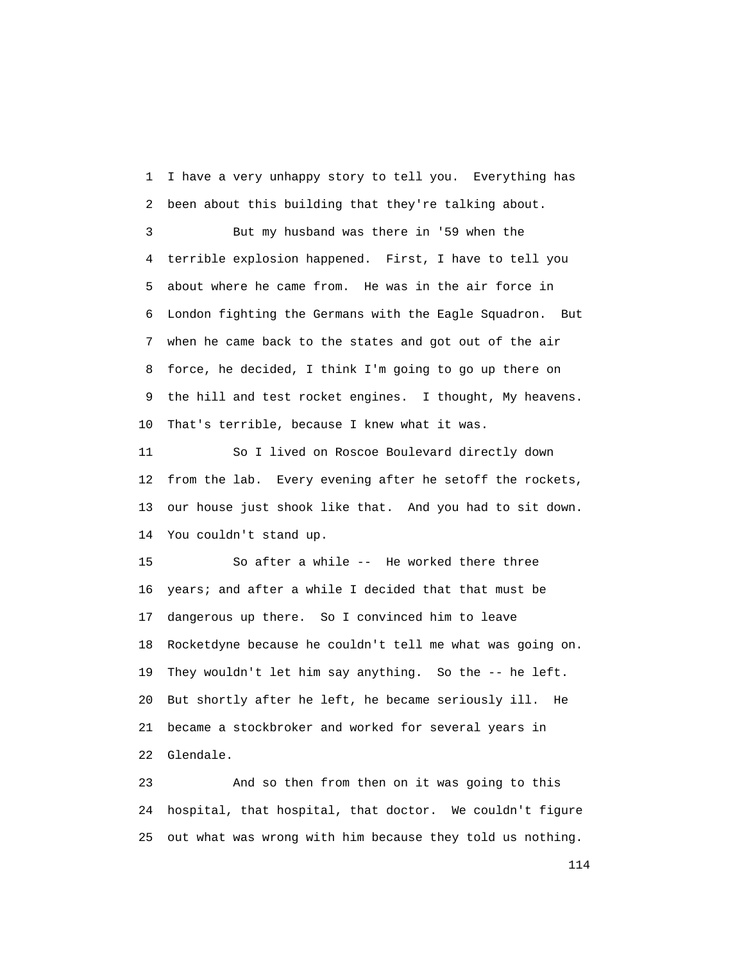1 I have a very unhappy story to tell you. Everything has 2 been about this building that they're talking about.

 3 But my husband was there in '59 when the 4 terrible explosion happened. First, I have to tell you 5 about where he came from. He was in the air force in 6 London fighting the Germans with the Eagle Squadron. But 7 when he came back to the states and got out of the air 8 force, he decided, I think I'm going to go up there on 9 the hill and test rocket engines. I thought, My heavens. 10 That's terrible, because I knew what it was.

 11 So I lived on Roscoe Boulevard directly down 12 from the lab. Every evening after he setoff the rockets, 13 our house just shook like that. And you had to sit down. 14 You couldn't stand up.

 15 So after a while -- He worked there three 16 years; and after a while I decided that that must be 17 dangerous up there. So I convinced him to leave 18 Rocketdyne because he couldn't tell me what was going on. 19 They wouldn't let him say anything. So the -- he left. 20 But shortly after he left, he became seriously ill. He 21 became a stockbroker and worked for several years in 22 Glendale.

 23 And so then from then on it was going to this 24 hospital, that hospital, that doctor. We couldn't figure 25 out what was wrong with him because they told us nothing.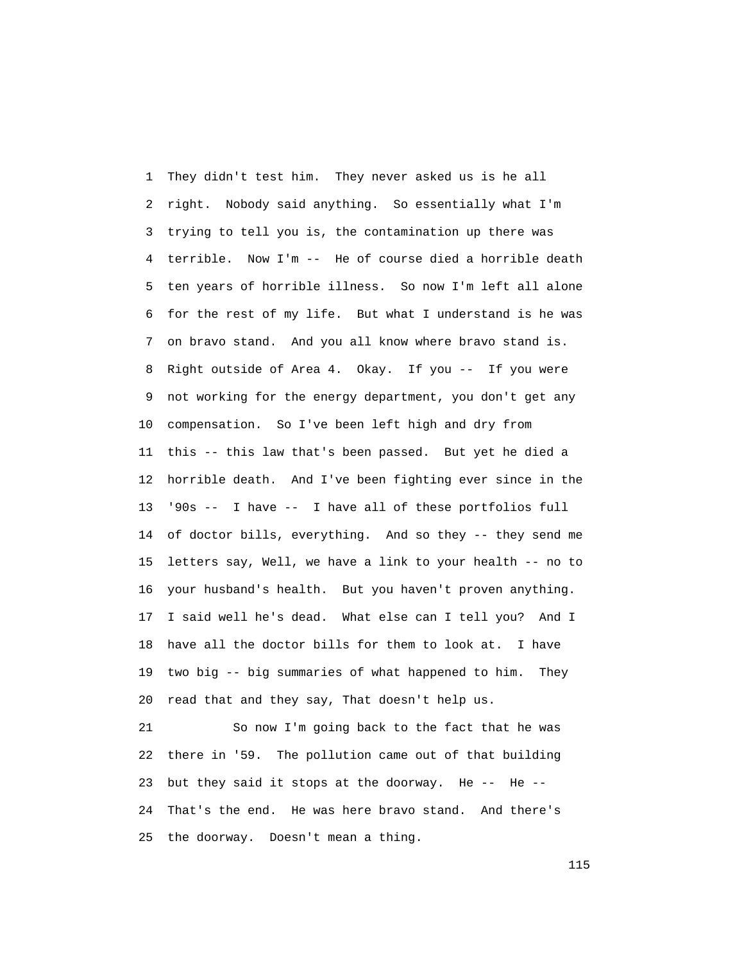1 They didn't test him. They never asked us is he all 2 right. Nobody said anything. So essentially what I'm 3 trying to tell you is, the contamination up there was 4 terrible. Now I'm -- He of course died a horrible death 5 ten years of horrible illness. So now I'm left all alone 6 for the rest of my life. But what I understand is he was 7 on bravo stand. And you all know where bravo stand is. 8 Right outside of Area 4. Okay. If you -- If you were 9 not working for the energy department, you don't get any 10 compensation. So I've been left high and dry from 11 this -- this law that's been passed. But yet he died a 12 horrible death. And I've been fighting ever since in the 13 '90s -- I have -- I have all of these portfolios full 14 of doctor bills, everything. And so they -- they send me 15 letters say, Well, we have a link to your health -- no to 16 your husband's health. But you haven't proven anything. 17 I said well he's dead. What else can I tell you? And I 18 have all the doctor bills for them to look at. I have 19 two big -- big summaries of what happened to him. They 20 read that and they say, That doesn't help us.

 21 So now I'm going back to the fact that he was 22 there in '59. The pollution came out of that building 23 but they said it stops at the doorway. He -- He -- 24 That's the end. He was here bravo stand. And there's 25 the doorway. Doesn't mean a thing.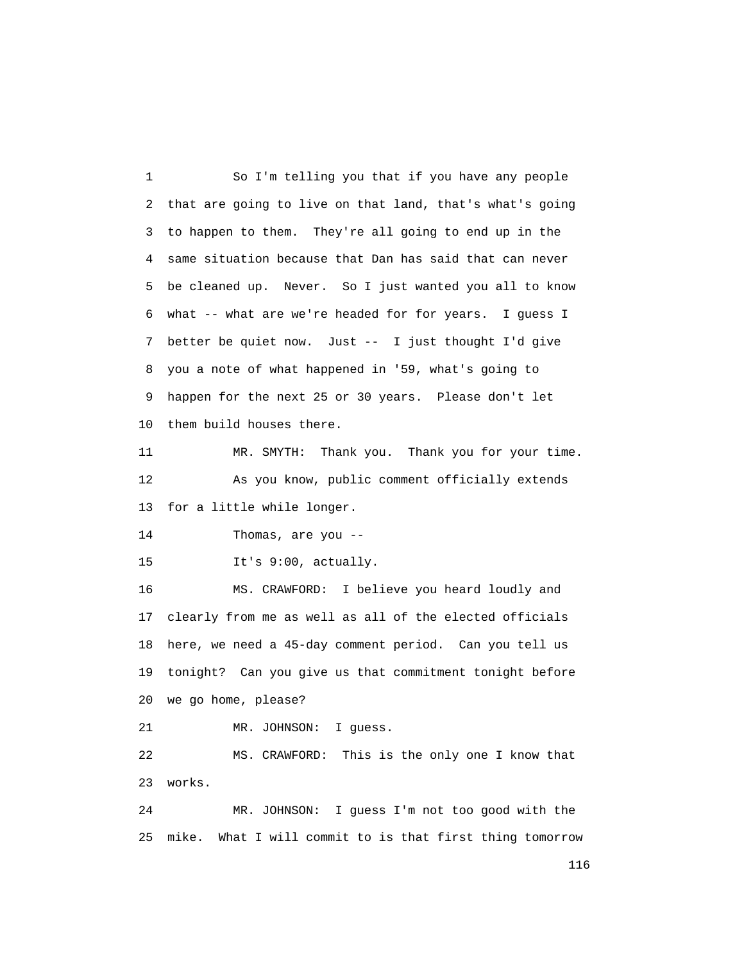1 So I'm telling you that if you have any people 2 that are going to live on that land, that's what's going 3 to happen to them. They're all going to end up in the 4 same situation because that Dan has said that can never 5 be cleaned up. Never. So I just wanted you all to know 6 what -- what are we're headed for for years. I guess I 7 better be quiet now. Just -- I just thought I'd give 8 you a note of what happened in '59, what's going to 9 happen for the next 25 or 30 years. Please don't let 10 them build houses there.

 11 MR. SMYTH: Thank you. Thank you for your time. 12 As you know, public comment officially extends 13 for a little while longer.

14 Thomas, are you --

15 It's 9:00, actually.

 16 MS. CRAWFORD: I believe you heard loudly and 17 clearly from me as well as all of the elected officials 18 here, we need a 45-day comment period. Can you tell us 19 tonight? Can you give us that commitment tonight before 20 we go home, please?

21 MR. JOHNSON: I guess.

 22 MS. CRAWFORD: This is the only one I know that 23 works.

 24 MR. JOHNSON: I guess I'm not too good with the 25 mike. What I will commit to is that first thing tomorrow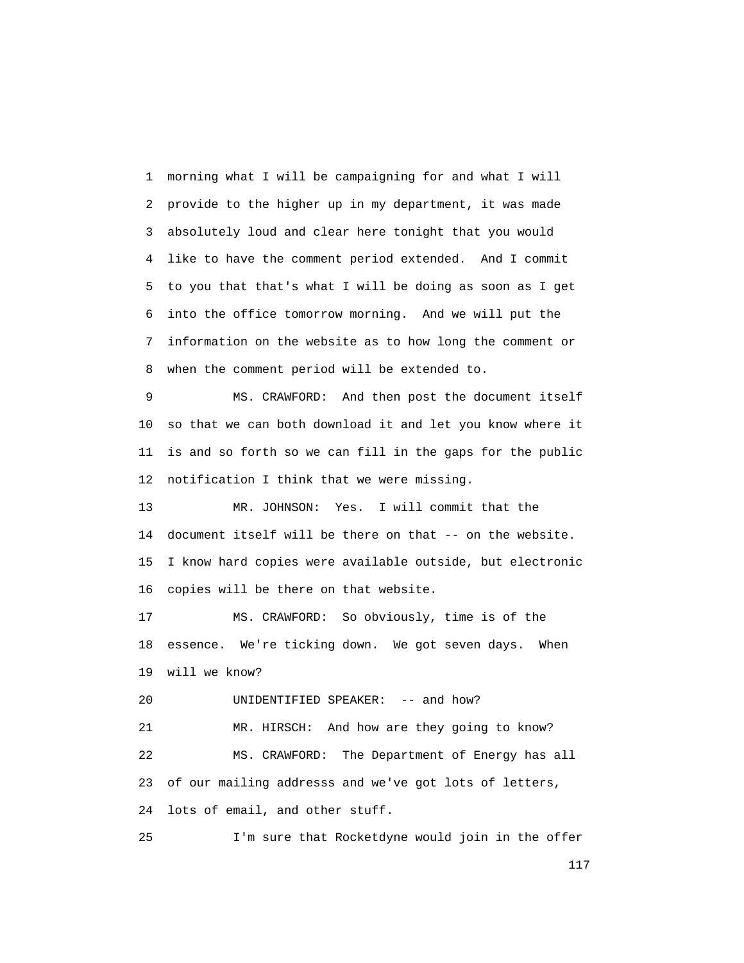1 morning what I will be campaigning for and what I will 2 provide to the higher up in my department, it was made 3 absolutely loud and clear here tonight that you would 4 like to have the comment period extended. And I commit 5 to you that that's what I will be doing as soon as I get 6 into the office tomorrow morning. And we will put the 7 information on the website as to how long the comment or 8 when the comment period will be extended to.

 9 MS. CRAWFORD: And then post the document itself 10 so that we can both download it and let you know where it 11 is and so forth so we can fill in the gaps for the public 12 notification I think that we were missing.

 13 MR. JOHNSON: Yes. I will commit that the 14 document itself will be there on that -- on the website. 15 I know hard copies were available outside, but electronic 16 copies will be there on that website.

 17 MS. CRAWFORD: So obviously, time is of the 18 essence. We're ticking down. We got seven days. When 19 will we know?

20 UNIDENTIFIED SPEAKER: -- and how?

 21 MR. HIRSCH: And how are they going to know? 22 MS. CRAWFORD: The Department of Energy has all 23 of our mailing addresss and we've got lots of letters, 24 lots of email, and other stuff.

25 I'm sure that Rocketdyne would join in the offer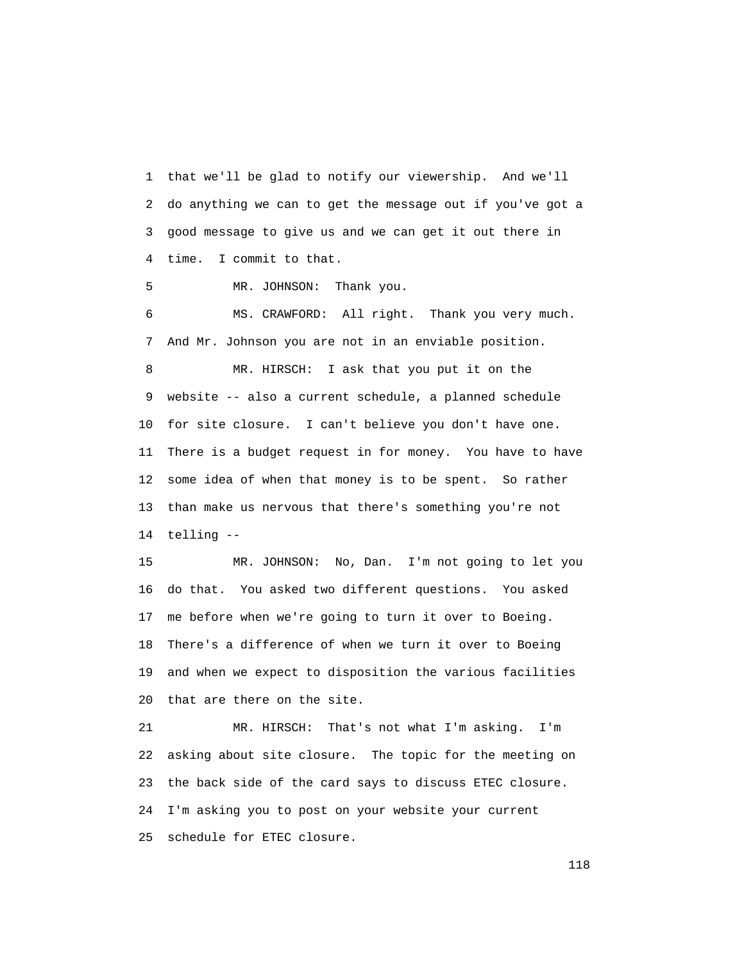1 that we'll be glad to notify our viewership. And we'll 2 do anything we can to get the message out if you've got a 3 good message to give us and we can get it out there in 4 time. I commit to that.

5 MR. JOHNSON: Thank you.

 6 MS. CRAWFORD: All right. Thank you very much. 7 And Mr. Johnson you are not in an enviable position.

 8 MR. HIRSCH: I ask that you put it on the 9 website -- also a current schedule, a planned schedule 10 for site closure. I can't believe you don't have one. 11 There is a budget request in for money. You have to have 12 some idea of when that money is to be spent. So rather 13 than make us nervous that there's something you're not 14 telling --

 15 MR. JOHNSON: No, Dan. I'm not going to let you 16 do that. You asked two different questions. You asked 17 me before when we're going to turn it over to Boeing. 18 There's a difference of when we turn it over to Boeing 19 and when we expect to disposition the various facilities 20 that are there on the site.

 21 MR. HIRSCH: That's not what I'm asking. I'm 22 asking about site closure. The topic for the meeting on 23 the back side of the card says to discuss ETEC closure. 24 I'm asking you to post on your website your current 25 schedule for ETEC closure.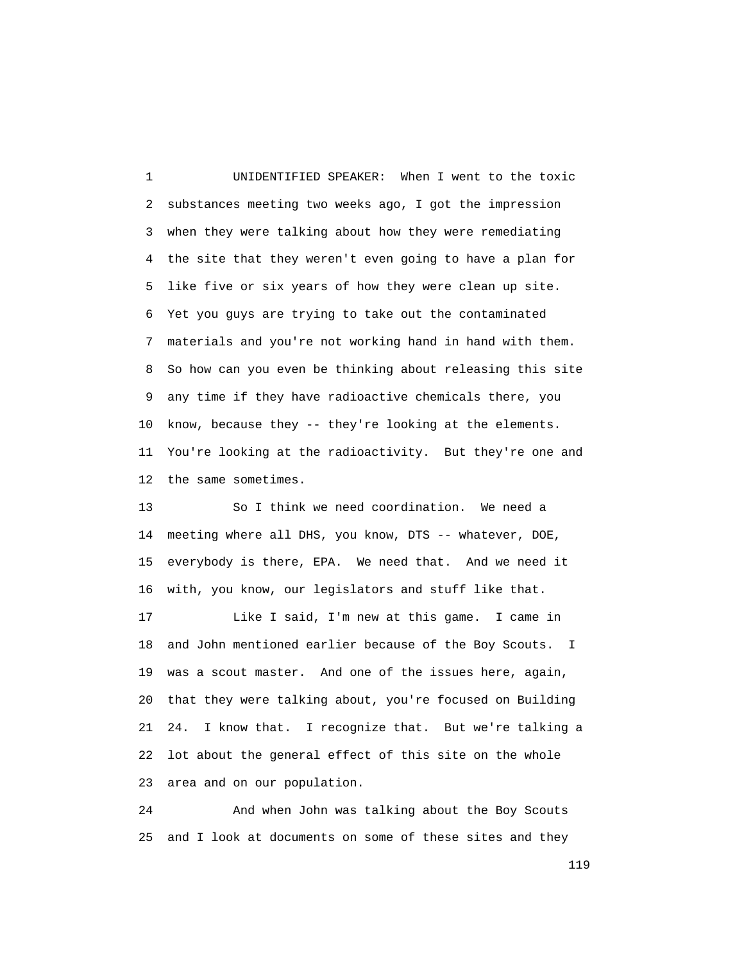1 UNIDENTIFIED SPEAKER: When I went to the toxic 2 substances meeting two weeks ago, I got the impression 3 when they were talking about how they were remediating 4 the site that they weren't even going to have a plan for 5 like five or six years of how they were clean up site. 6 Yet you guys are trying to take out the contaminated 7 materials and you're not working hand in hand with them. 8 So how can you even be thinking about releasing this site 9 any time if they have radioactive chemicals there, you 10 know, because they -- they're looking at the elements. 11 You're looking at the radioactivity. But they're one and 12 the same sometimes.

 13 So I think we need coordination. We need a 14 meeting where all DHS, you know, DTS -- whatever, DOE, 15 everybody is there, EPA. We need that. And we need it 16 with, you know, our legislators and stuff like that.

 17 Like I said, I'm new at this game. I came in 18 and John mentioned earlier because of the Boy Scouts. I 19 was a scout master. And one of the issues here, again, 20 that they were talking about, you're focused on Building 21 24. I know that. I recognize that. But we're talking a 22 lot about the general effect of this site on the whole 23 area and on our population.

 24 And when John was talking about the Boy Scouts 25 and I look at documents on some of these sites and they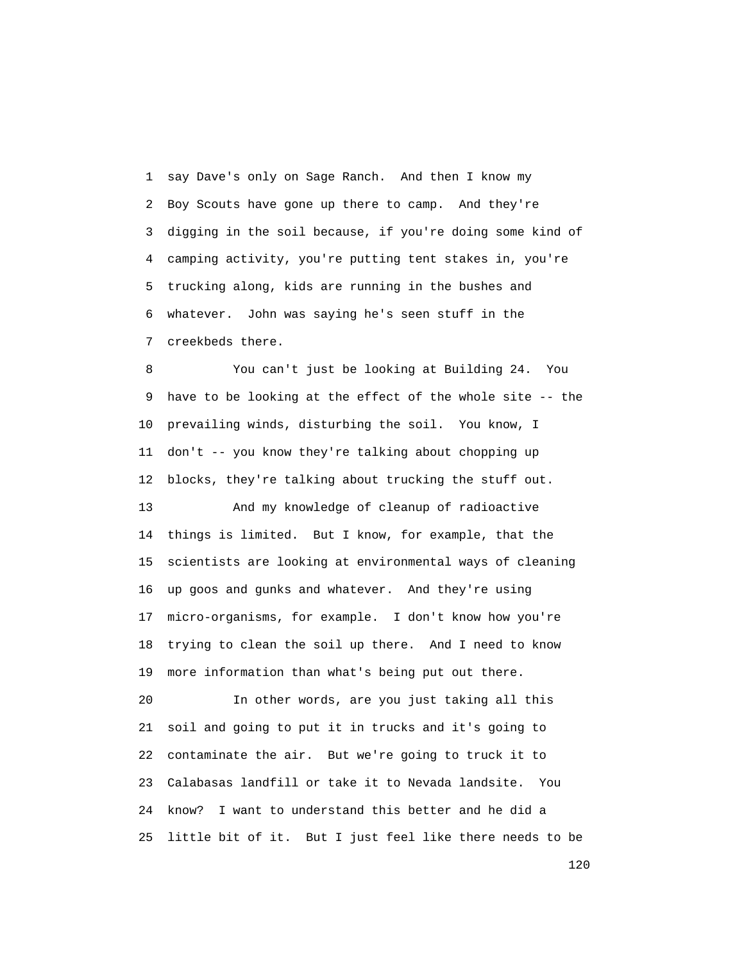1 say Dave's only on Sage Ranch. And then I know my 2 Boy Scouts have gone up there to camp. And they're 3 digging in the soil because, if you're doing some kind of 4 camping activity, you're putting tent stakes in, you're 5 trucking along, kids are running in the bushes and 6 whatever. John was saying he's seen stuff in the 7 creekbeds there.

 8 You can't just be looking at Building 24. You 9 have to be looking at the effect of the whole site -- the 10 prevailing winds, disturbing the soil. You know, I 11 don't -- you know they're talking about chopping up 12 blocks, they're talking about trucking the stuff out.

 13 And my knowledge of cleanup of radioactive 14 things is limited. But I know, for example, that the 15 scientists are looking at environmental ways of cleaning 16 up goos and gunks and whatever. And they're using 17 micro-organisms, for example. I don't know how you're 18 trying to clean the soil up there. And I need to know 19 more information than what's being put out there.

 20 In other words, are you just taking all this 21 soil and going to put it in trucks and it's going to 22 contaminate the air. But we're going to truck it to 23 Calabasas landfill or take it to Nevada landsite. You 24 know? I want to understand this better and he did a 25 little bit of it. But I just feel like there needs to be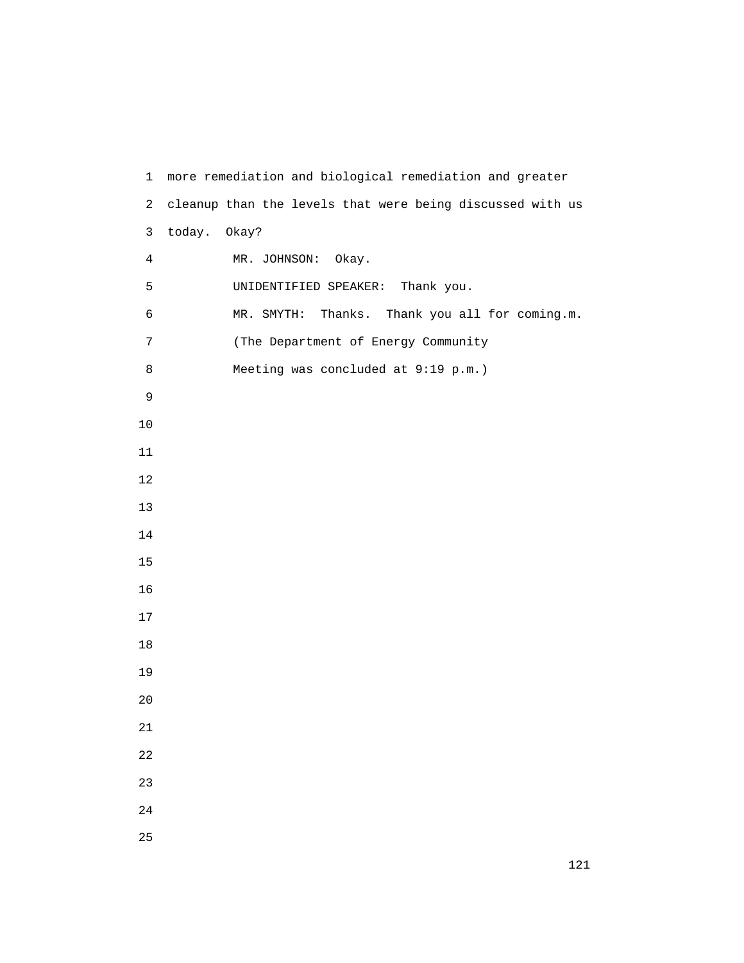1 more remediation and biological remediation and greater 2 cleanup than the levels that were being discussed with us 3 today. Okay? 4 MR. JOHNSON: Okay. 5 UNIDENTIFIED SPEAKER: Thank you. 6 MR. SMYTH: Thanks. Thank you all for coming.m. 7 (The Department of Energy Community 8 Meeting was concluded at 9:19 p.m.)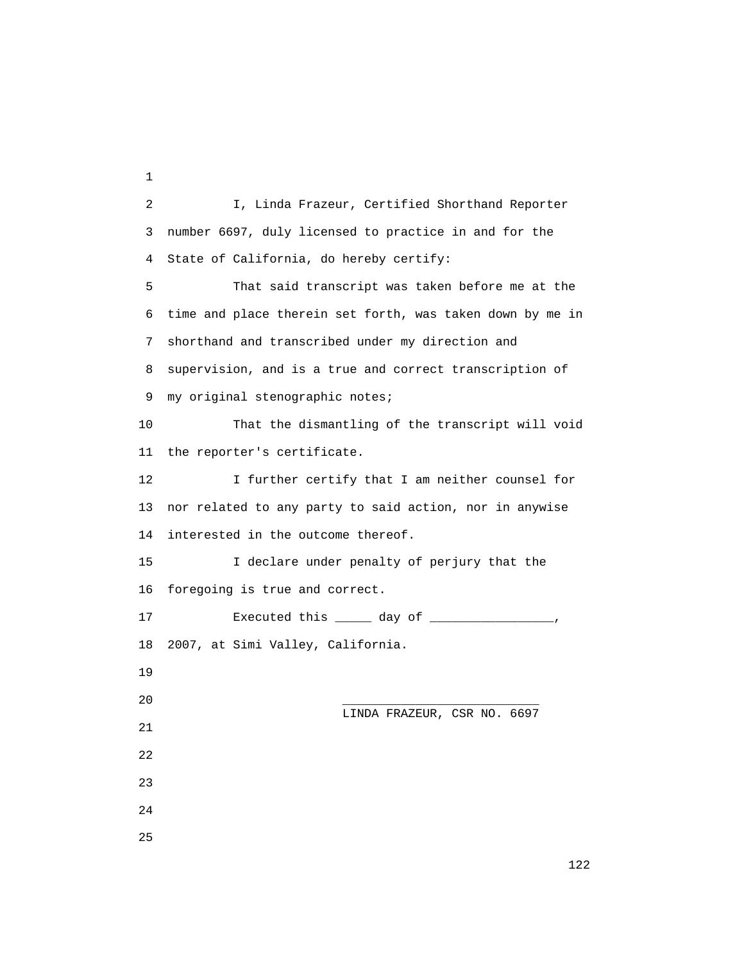2 I, Linda Frazeur, Certified Shorthand Reporter 3 number 6697, duly licensed to practice in and for the 4 State of California, do hereby certify: 5 That said transcript was taken before me at the 6 time and place therein set forth, was taken down by me in 7 shorthand and transcribed under my direction and 8 supervision, and is a true and correct transcription of 9 my original stenographic notes; 10 That the dismantling of the transcript will void 11 the reporter's certificate. 12 I further certify that I am neither counsel for 13 nor related to any party to said action, nor in anywise 14 interested in the outcome thereof. 15 I declare under penalty of perjury that the 16 foregoing is true and correct. 17 Executed this \_\_\_\_\_ day of \_\_\_\_\_\_\_\_\_\_\_\_\_\_\_\_\_, 18 2007, at Simi Valley, California. 19 20 \_\_\_\_\_\_\_\_\_\_\_\_\_\_\_\_\_\_\_\_\_\_\_\_\_\_\_ LINDA FRAZEUR, CSR NO. 6697 21 22 23 24 25

1